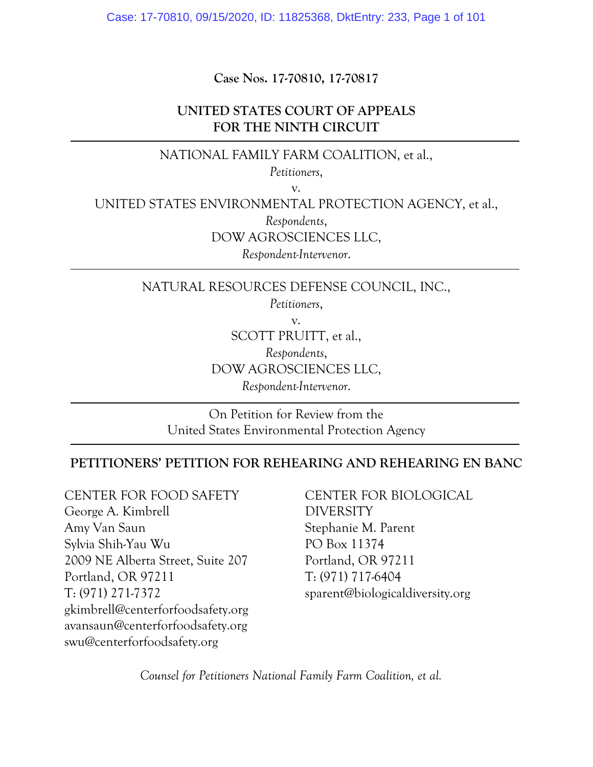Case: 17-70810, 09/15/2020, ID: 11825368, DktEntry: 233, Page 1 of 101

**Case Nos. 17-70810, 17-70817** 

## **UNITED STATES COURT OF APPEALS FOR THE NINTH CIRCUIT**

# NATIONAL FAMILY FARM COALITION, et al.,

*Petitioners*,

v.

UNITED STATES ENVIRONMENTAL PROTECTION AGENCY, et al.,

*Respondents*,

DOW AGROSCIENCES LLC,

*Respondent-Intervenor*.

NATURAL RESOURCES DEFENSE COUNCIL, INC.,

*Petitioners*,

v.

SCOTT PRUITT, et al.,

*Respondents*,

DOW AGROSCIENCES LLC,

*Respondent-Intervenor*.

On Petition for Review from the United States Environmental Protection Agency

### **PETITIONERS' PETITION FOR REHEARING AND REHEARING EN BANC**

CENTER FOR FOOD SAFETY George A. Kimbrell Amy Van Saun Sylvia Shih-Yau Wu 2009 NE Alberta Street, Suite 207 Portland, OR 97211 T: (971) 271-7372 gkimbrell@centerforfoodsafety.org avansaun@centerforfoodsafety.org swu@centerforfoodsafety.org

CENTER FOR BIOLOGICAL DIVERSITY Stephanie M. Parent PO Box 11374 Portland, OR 97211 T: (971) 717-6404 sparent@biologicaldiversity.org

*Counsel for Petitioners National Family Farm Coalition, et al.*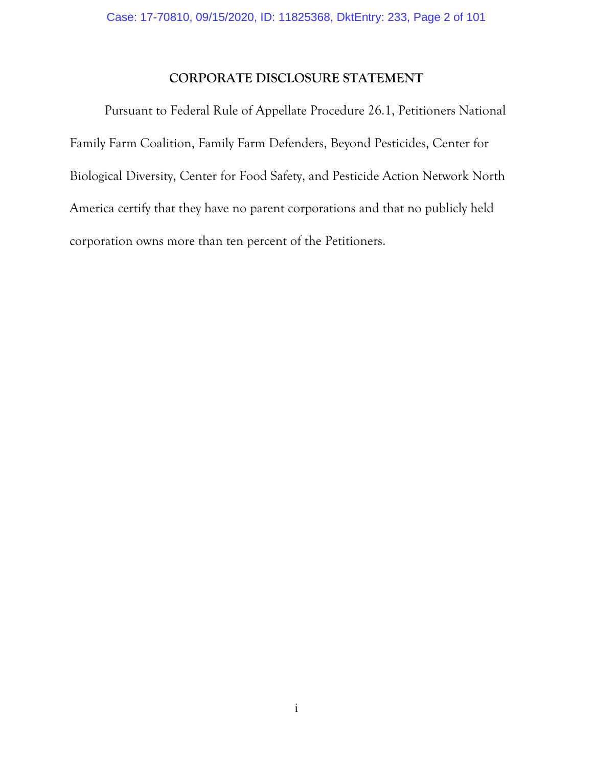# <span id="page-1-0"></span>**CORPORATE DISCLOSURE STATEMENT**

Pursuant to Federal Rule of Appellate Procedure 26.1, Petitioners National Family Farm Coalition, Family Farm Defenders, Beyond Pesticides, Center for Biological Diversity, Center for Food Safety, and Pesticide Action Network North America certify that they have no parent corporations and that no publicly held corporation owns more than ten percent of the Petitioners.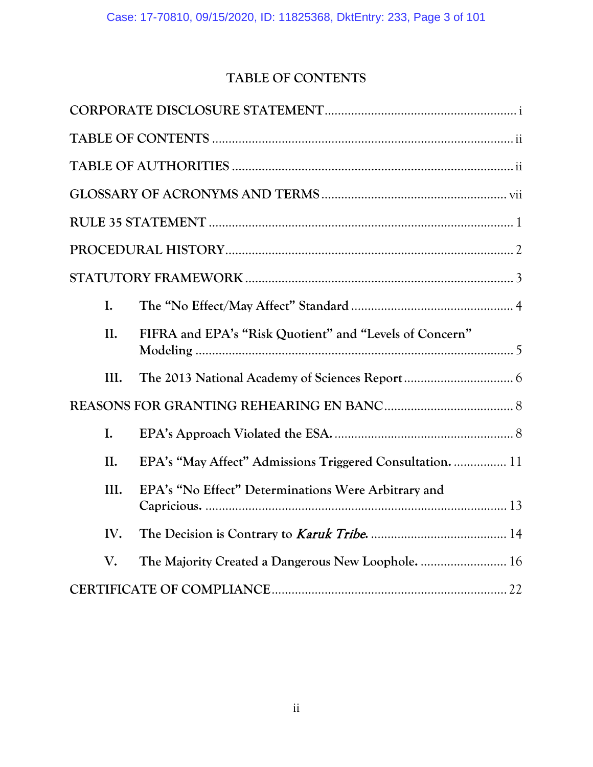# <span id="page-2-0"></span>**TABLE OF CONTENTS**

| I.             |                                                         |
|----------------|---------------------------------------------------------|
| II.            | FIFRA and EPA's "Risk Quotient" and "Levels of Concern" |
| III.           |                                                         |
|                |                                                         |
| $\mathbf{I}$ . |                                                         |
| II.            | EPA's "May Affect" Admissions Triggered Consultation 11 |
| III.           | EPA's "No Effect" Determinations Were Arbitrary and     |
| IV.            |                                                         |
| V.             |                                                         |
|                |                                                         |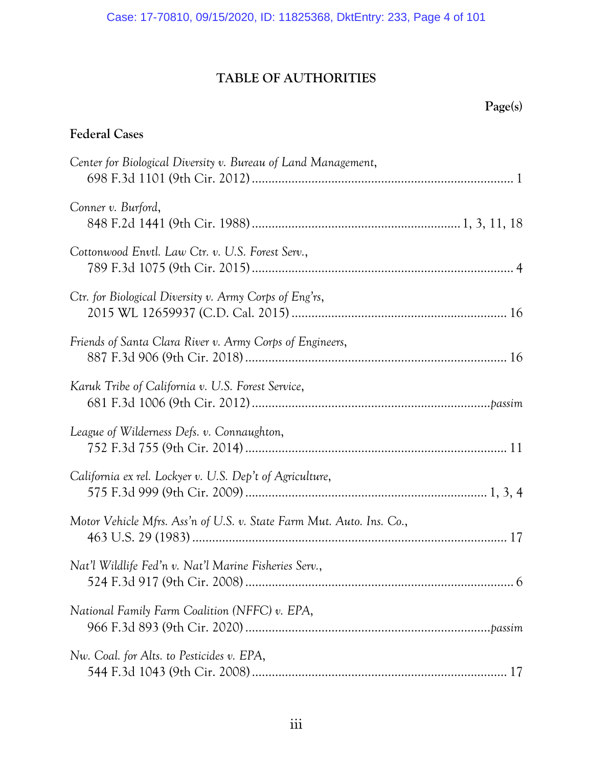# **TABLE OF AUTHORITIES**

# **Federal Cases**

| Center for Biological Diversity v. Bureau of Land Management,        |
|----------------------------------------------------------------------|
| Conner v. Burford,                                                   |
| Cottonwood Envtl. Law Ctr. v. U.S. Forest Serv.,                     |
| Ctr. for Biological Diversity v. Army Corps of Eng'rs,               |
| Friends of Santa Clara River v. Army Corps of Engineers,             |
| Karuk Tribe of California v. U.S. Forest Service,                    |
| League of Wilderness Defs. v. Connaughton,                           |
| California ex rel. Lockyer v. U.S. Dep't of Agriculture,             |
| Motor Vehicle Mfrs. Ass'n of U.S. v. State Farm Mut. Auto. Ins. Co., |
| Nat'l Wildlife Fed'n v. Nat'l Marine Fisheries Serv.,                |
| National Family Farm Coalition (NFFC) v. EPA,                        |
| Nw. Coal. for Alts. to Pesticides v. EPA,                            |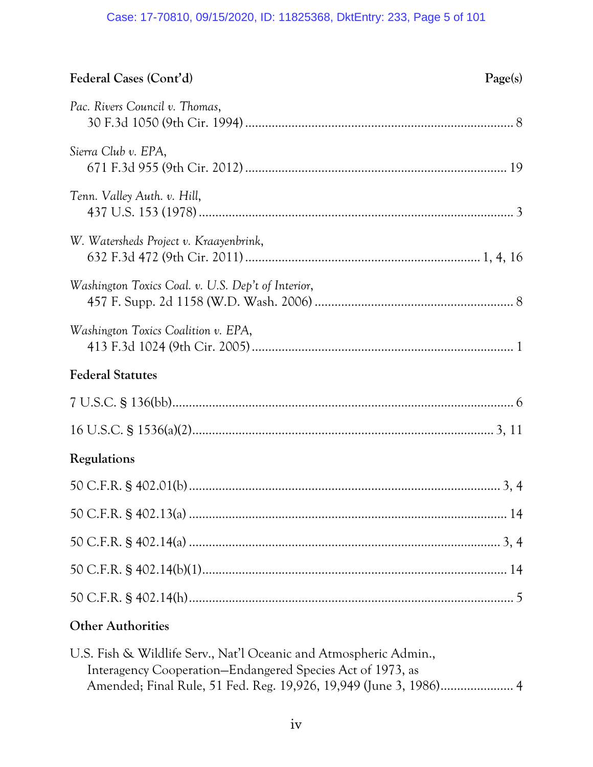# Case: 17-70810, 09/15/2020, ID: 11825368, DktEntry: 233, Page 5 of 101

# **Federal Cases (Cont'd) Page(s)**

| Pac. Rivers Council v. Thomas,                     |
|----------------------------------------------------|
| Sierra Club v. EPA,                                |
| Tenn. Valley Auth. v. Hill,                        |
| W. Watersheds Project v. Kraayenbrink,             |
| Washington Toxics Coal. v. U.S. Dep't of Interior, |
| Washington Toxics Coalition v. EPA,                |
| <b>Federal Statutes</b>                            |
|                                                    |
|                                                    |
| Regulations                                        |
|                                                    |
|                                                    |
|                                                    |
|                                                    |
|                                                    |
| <b>Other Authorities</b>                           |

| U.S. Fish & Wildlife Serv., Nat'l Oceanic and Atmospheric Admin., |  |
|-------------------------------------------------------------------|--|
| Interagency Cooperation-Endangered Species Act of 1973, as        |  |
|                                                                   |  |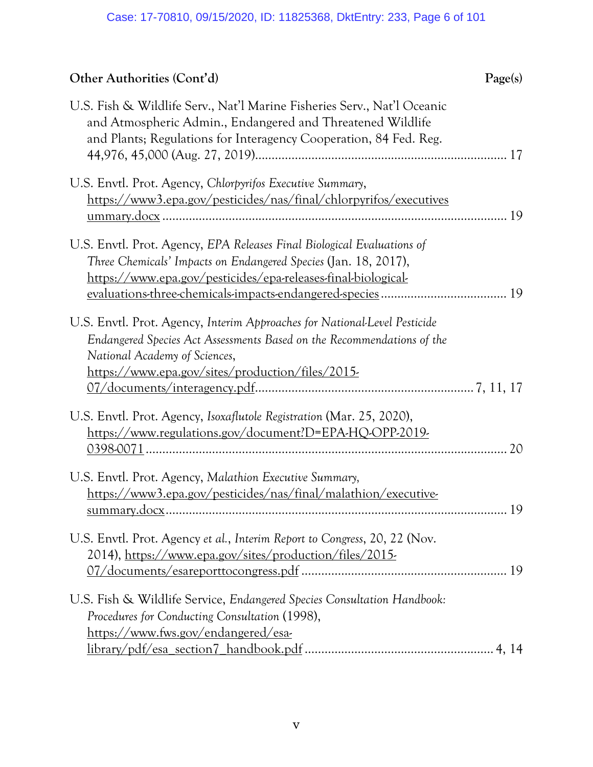# **Other Authorities (Cont'd) Page(s)**

| U.S. Fish & Wildlife Serv., Nat'l Marine Fisheries Serv., Nat'l Oceanic<br>and Atmospheric Admin., Endangered and Threatened Wildlife<br>and Plants; Regulations for Interagency Cooperation, 84 Fed. Reg.                               |    |
|------------------------------------------------------------------------------------------------------------------------------------------------------------------------------------------------------------------------------------------|----|
| U.S. Envtl. Prot. Agency, Chlorpyrifos Executive Summary,<br>https://www3.epa.gov/pesticides/nas/final/chlorpyrifos/executives                                                                                                           |    |
| U.S. Envtl. Prot. Agency, EPA Releases Final Biological Evaluations of<br>Three Chemicals' Impacts on Endangered Species (Jan. 18, 2017),<br>https://www.epa.gov/pesticides/epa-releases-final-biological-                               |    |
| U.S. Envtl. Prot. Agency, Interim Approaches for National-Level Pesticide<br>Endangered Species Act Assessments Based on the Recommendations of the<br>National Academy of Sciences,<br>https://www.epa.gov/sites/production/files/2015- |    |
| U.S. Envtl. Prot. Agency, Isoxaflutole Registration (Mar. 25, 2020),<br>https://www.regulations.gov/document?D=EPA-HQ-OPP-2019-                                                                                                          | 20 |
| U.S. Envtl. Prot. Agency, Malathion Executive Summary,<br>https://www3.epa.gov/pesticides/nas/final/malathion/executive-                                                                                                                 | 19 |
| U.S. Envtl. Prot. Agency et al., Interim Report to Congress, 20, 22 (Nov.<br>2014), https://www.epa.gov/sites/production/files/2015-                                                                                                     |    |
| U.S. Fish & Wildlife Service, Endangered Species Consultation Handbook:<br>Procedures for Conducting Consultation (1998),<br>https://www.fws.gov/endangered/esa-                                                                         |    |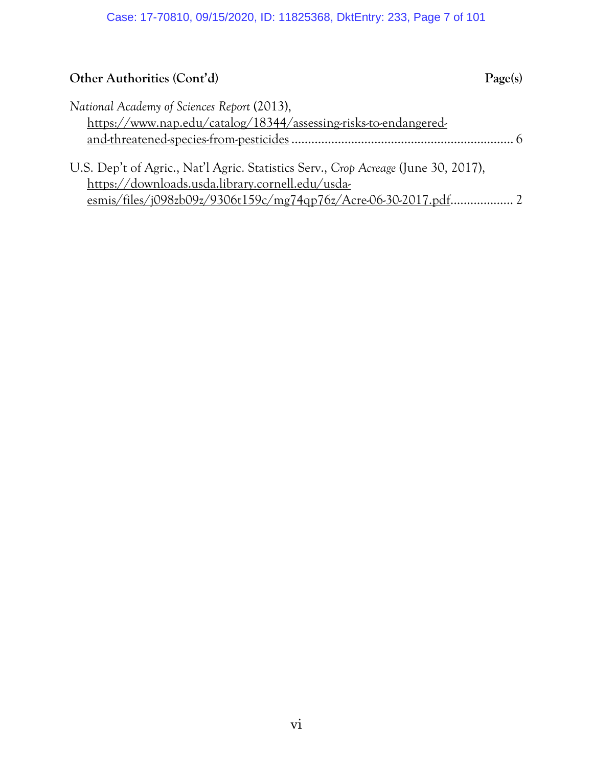# **Other Authorities (Cont'd) Page(s)**

| National Academy of Sciences Report (2013),                      |
|------------------------------------------------------------------|
| https://www.nap.edu/catalog/18344/assessing-risks-to-endangered- |
|                                                                  |

| U.S. Dep't of Agric., Nat'l Agric. Statistics Serv., Crop Acreage (June 30, 2017), |  |
|------------------------------------------------------------------------------------|--|
| https://downloads.usda.library.cornell.edu/usda-                                   |  |
|                                                                                    |  |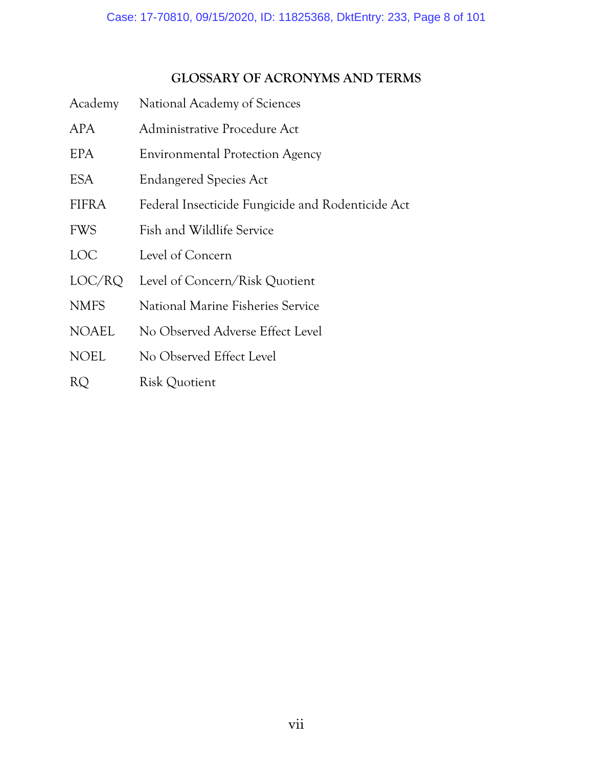# <span id="page-7-0"></span>**GLOSSARY OF ACRONYMS AND TERMS**

| Academy      | National Academy of Sciences                      |
|--------------|---------------------------------------------------|
| <b>APA</b>   | Administrative Procedure Act                      |
| EPA          | <b>Environmental Protection Agency</b>            |
| ESA          | <b>Endangered Species Act</b>                     |
| <b>FIFRA</b> | Federal Insecticide Fungicide and Rodenticide Act |
| <b>FWS</b>   | Fish and Wildlife Service                         |
| LOC          | Level of Concern                                  |
| LOC/RQ       | Level of Concern/Risk Quotient                    |
| <b>NMFS</b>  | National Marine Fisheries Service                 |
| <b>NOAEL</b> | No Observed Adverse Effect Level                  |
| <b>NOEL</b>  | No Observed Effect Level                          |
| RQ           | Risk Quotient                                     |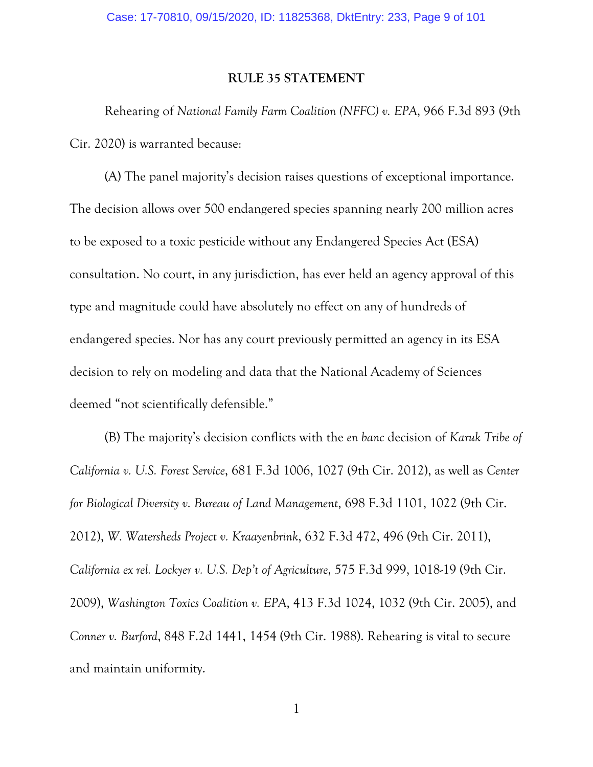#### <span id="page-8-0"></span>**RULE 35 STATEMENT**

Rehearing of *National Family Farm Coalition (NFFC) v. EPA*, 966 F.3d 893 (9th Cir. 2020) is warranted because:

(A) The panel majority's decision raises questions of exceptional importance. The decision allows over 500 endangered species spanning nearly 200 million acres to be exposed to a toxic pesticide without any Endangered Species Act (ESA) consultation. No court, in any jurisdiction, has ever held an agency approval of this type and magnitude could have absolutely no effect on any of hundreds of endangered species. Nor has any court previously permitted an agency in its ESA decision to rely on modeling and data that the National Academy of Sciences deemed "not scientifically defensible."

<span id="page-8-5"></span><span id="page-8-4"></span><span id="page-8-3"></span><span id="page-8-2"></span>(B) The majority's decision conflicts with the *en banc* decision of *Karuk Tribe of California v. U.S. Forest Service*, 681 F.3d 1006, 1027 (9th Cir. 2012), as well as *Center for Biological Diversity v. Bureau of Land Management*, 698 F.3d 1101, 1022 (9th Cir. 2012), *W. Watersheds Project v. Kraayenbrink*, 632 F.3d 472, 496 (9th Cir. 2011), *California ex rel. Lockyer v. U.S. Dep't of Agriculture*, 575 F.3d 999, 1018-19 (9th Cir. 2009), *Washington Toxics Coalition v. EPA*, 413 F.3d 1024, 1032 (9th Cir. 2005), and *Conner v. Burford*, 848 F.2d 1441, 1454 (9th Cir. 1988). Rehearing is vital to secure and maintain uniformity.

<span id="page-8-1"></span>1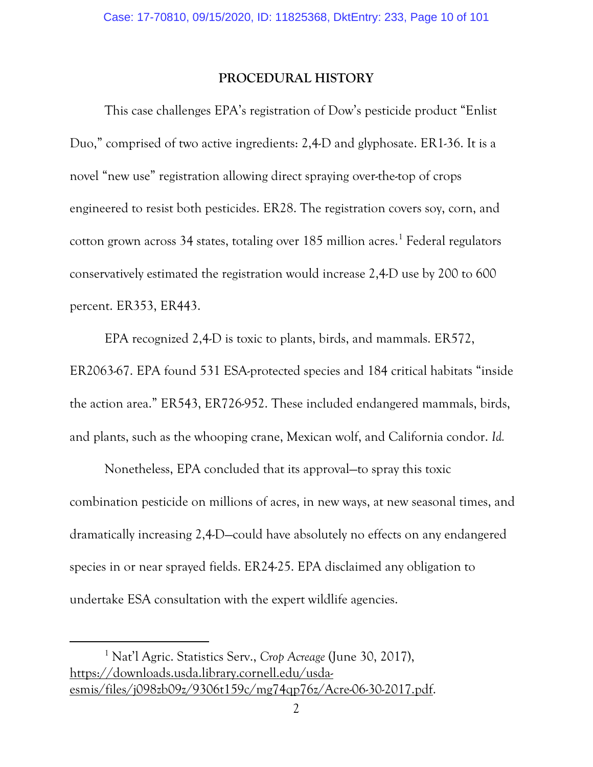#### <span id="page-9-0"></span>**PROCEDURAL HISTORY**

This case challenges EPA's registration of Dow's pesticide product "Enlist Duo," comprised of two active ingredients: 2,4-D and glyphosate. ER1-36. It is a novel "new use" registration allowing direct spraying over-the-top of crops engineered to resist both pesticides. ER28. The registration covers soy, corn, and cotton grown across 34 states, totaling over  $185$  $185$  million acres.<sup>1</sup> Federal regulators conservatively estimated the registration would increase 2,4-D use by 200 to 600 percent. ER353, ER443.

EPA recognized 2,4-D is toxic to plants, birds, and mammals. ER572, ER2063-67. EPA found 531 ESA-protected species and 184 critical habitats "inside the action area." ER543, ER726-952. These included endangered mammals, birds, and plants, such as the whooping crane, Mexican wolf, and California condor. *Id.*

Nonetheless, EPA concluded that its approval—to spray this toxic combination pesticide on millions of acres, in new ways, at new seasonal times, and dramatically increasing 2,4-D—could have absolutely no effects on any endangered species in or near sprayed fields. ER24-25. EPA disclaimed any obligation to undertake ESA consultation with the expert wildlife agencies.

<span id="page-9-1"></span> $\overline{a}$ 

<span id="page-9-2"></span><sup>1</sup> Nat'l Agric. Statistics Serv., *Crop Acreage* (June 30, 2017), [https://downloads.usda.library.cornell.edu/usda](https://downloads.usda.library.cornell.edu/usda-esmis/files/j098zb09z/9306t159c/mg74qp76z/Acre-06-30-2017.pdf)[esmis/files/j098zb09z/9306t159c/mg74qp76z/Acre-06-30-2017.pdf.](https://downloads.usda.library.cornell.edu/usda-esmis/files/j098zb09z/9306t159c/mg74qp76z/Acre-06-30-2017.pdf)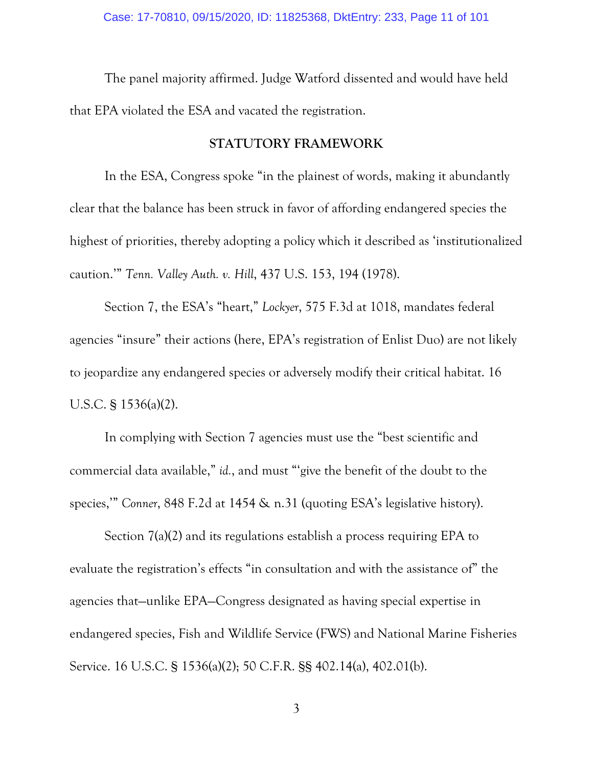The panel majority affirmed. Judge Watford dissented and would have held that EPA violated the ESA and vacated the registration.

#### <span id="page-10-4"></span><span id="page-10-2"></span><span id="page-10-0"></span>**STATUTORY FRAMEWORK**

In the ESA, Congress spoke "in the plainest of words, making it abundantly clear that the balance has been struck in favor of affording endangered species the highest of priorities, thereby adopting a policy which it described as 'institutionalized caution.'" *Tenn. Valley Auth. v. Hill*, 437 U.S. 153, 194 (1978).

<span id="page-10-3"></span>Section 7, the ESA's "heart," *Lockyer*, 575 F.3d at 1018, mandates federal agencies "insure" their actions (here, EPA's registration of Enlist Duo) are not likely to jeopardize any endangered species or adversely modify their critical habitat. 16 U.S.C. § 1536(a)(2).

In complying with Section 7 agencies must use the "best scientific and commercial data available," *id.*, and must "'give the benefit of the doubt to the species,'" *Conner*, 848 F.2d at 1454 & n.31 (quoting ESA's legislative history).

<span id="page-10-5"></span><span id="page-10-1"></span>Section 7(a)(2) and its regulations establish a process requiring EPA to evaluate the registration's effects "in consultation and with the assistance of" the agencies that—unlike EPA—Congress designated as having special expertise in endangered species, Fish and Wildlife Service (FWS) and National Marine Fisheries Service. 16 U.S.C. § 1536(a)(2); 50 C.F.R. §§ 402.14(a), 402.01(b).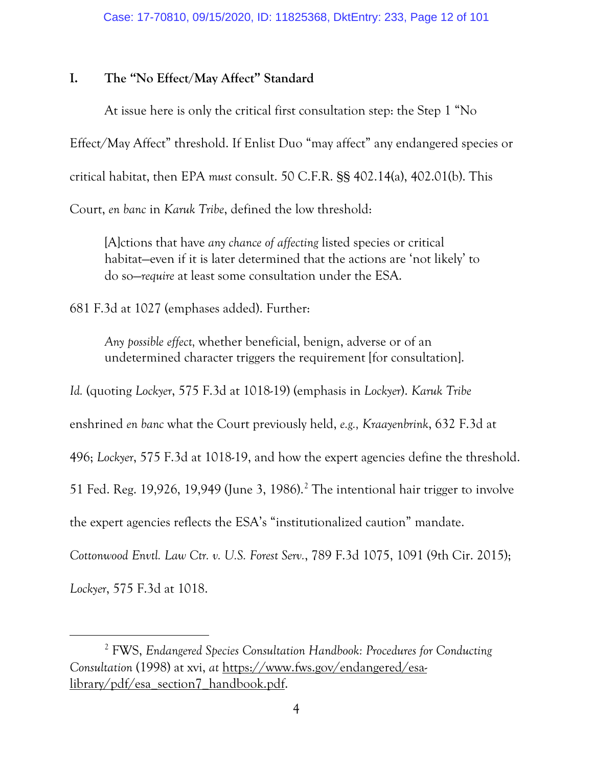#### <span id="page-11-0"></span>**I. The "No Effect/May Affect" Standard**

At issue here is only the critical first consultation step: the Step 1 "No Effect/May Affect" threshold. If Enlist Duo "may affect" any endangered species or critical habitat, then EPA *must* consult. 50 C.F.R. §§ 402.14(a), 402.01(b). This Court, *en banc* in *Karuk Tribe*, defined the low threshold:

<span id="page-11-4"></span>[A]ctions that have *any chance of affecting* listed species or critical habitat—even if it is later determined that the actions are 'not likely' to do so—*require* at least some consultation under the ESA.

681 F.3d at 1027 (emphases added). Further:

<span id="page-11-3"></span><span id="page-11-2"></span>*Any possible effect,* whether beneficial, benign, adverse or of an undetermined character triggers the requirement [for consultation].

*Id.* (quoting *Lockyer*, 575 F.3d at 1018-19) (emphasis in *Lockyer*). *Karuk Tribe*

enshrined *en banc* what the Court previously held, *e.g., Kraayenbrink*, 632 F.3d at

496; *Lockyer*, 575 F.3d at 1018-19, and how the expert agencies define the threshold.

<span id="page-11-5"></span>51 Fed. Reg. 19,9[2](#page-11-7)6, 19,949 (June 3, 1986).<sup>2</sup> The intentional hair trigger to involve

the expert agencies reflects the ESA's "institutionalized caution" mandate.

<span id="page-11-1"></span>*Cottonwood Envtl. Law Ctr. v. U.S. Forest Serv.*, 789 F.3d 1075, 1091 (9th Cir. 2015);

*Lockyer*, 575 F.3d at 1018.

<span id="page-11-6"></span> $\overline{a}$ 

<span id="page-11-7"></span><sup>2</sup> FWS, *Endangered Species Consultation Handbook: Procedures for Conducting Consultation* (1998) at xvi, *at* [https://www.fws.gov/endangered/esa](https://www.fws.gov/endangered/esa-library/pdf/esa_section7_handbook.pdf)[library/pdf/esa\\_section7\\_handbook.pdf.](https://www.fws.gov/endangered/esa-library/pdf/esa_section7_handbook.pdf)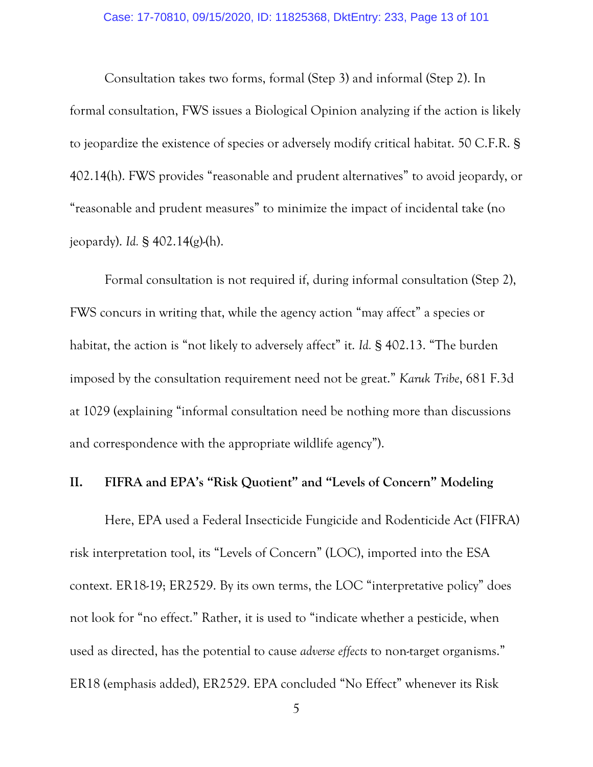<span id="page-12-1"></span>Consultation takes two forms, formal (Step 3) and informal (Step 2). In formal consultation, FWS issues a Biological Opinion analyzing if the action is likely to jeopardize the existence of species or adversely modify critical habitat. 50 C.F.R. § 402.14(h). FWS provides "reasonable and prudent alternatives" to avoid jeopardy, or "reasonable and prudent measures" to minimize the impact of incidental take (no jeopardy). *Id.* § 402.14(g)-(h).

Formal consultation is not required if, during informal consultation (Step 2), FWS concurs in writing that, while the agency action "may affect" a species or habitat, the action is "not likely to adversely affect" it. *Id.* § 402.13. "The burden imposed by the consultation requirement need not be great." *Karuk Tribe*, 681 F.3d at 1029 (explaining "informal consultation need be nothing more than discussions and correspondence with the appropriate wildlife agency").

## <span id="page-12-0"></span>**II. FIFRA and EPA's "Risk Quotient" and "Levels of Concern" Modeling**

Here, EPA used a Federal Insecticide Fungicide and Rodenticide Act (FIFRA) risk interpretation tool, its "Levels of Concern" (LOC), imported into the ESA context. ER18-19; ER2529. By its own terms, the LOC "interpretative policy" does not look for "no effect." Rather, it is used to "indicate whether a pesticide, when used as directed, has the potential to cause *adverse effects* to non-target organisms." ER18 (emphasis added), ER2529. EPA concluded "No Effect" whenever its Risk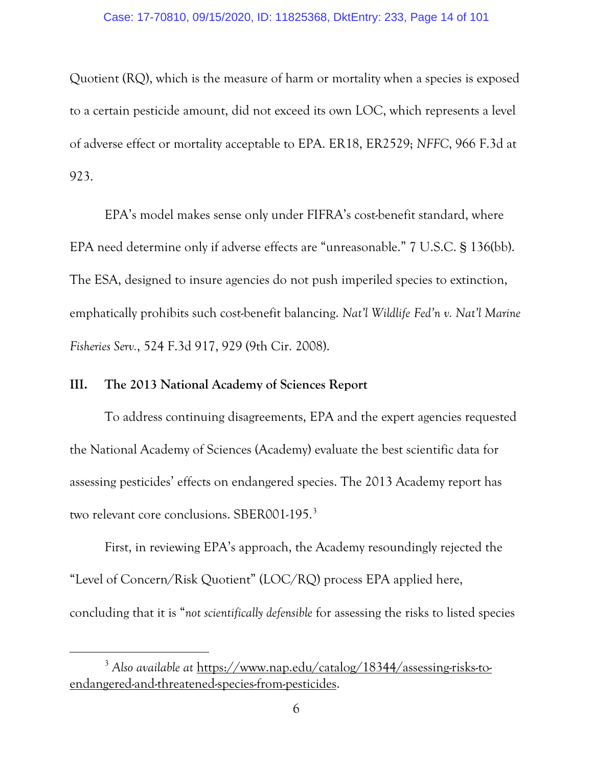Quotient (RQ), which is the measure of harm or mortality when a species is exposed to a certain pesticide amount, did not exceed its own LOC, which represents a level of adverse effect or mortality acceptable to EPA. ER18, ER2529; *NFFC*, 966 F.3d at 923.

<span id="page-13-2"></span>EPA's model makes sense only under FIFRA's cost-benefit standard, where EPA need determine only if adverse effects are "unreasonable." 7 U.S.C. § 136(bb). The ESA, designed to insure agencies do not push imperiled species to extinction, emphatically prohibits such cost-benefit balancing. *Nat'l Wildlife Fed'n v. Nat'l Marine Fisheries Serv.*, 524 F.3d 917, 929 (9th Cir. 2008).

#### <span id="page-13-1"></span><span id="page-13-0"></span>**III. The 2013 National Academy of Sciences Report**

<span id="page-13-3"></span> $\overline{a}$ 

To address continuing disagreements, EPA and the expert agencies requested the National Academy of Sciences (Academy) evaluate the best scientific data for assessing pesticides' effects on endangered species. The 2013 Academy report has two relevant core conclusions. SBER001-195.<sup>[3](#page-13-4)</sup>

First, in reviewing EPA's approach, the Academy resoundingly rejected the "Level of Concern/Risk Quotient" (LOC/RQ) process EPA applied here, concluding that it is "*not scientifically defensible* for assessing the risks to listed species

<span id="page-13-4"></span><sup>3</sup> *Also available at* [https://www.nap.edu/catalog/18344/assessing-risks-to](https://www.nap.edu/catalog/18344/assessing-risks-to-endangered-and-threatened-species-from-pesticides)[endangered-and-threatened-species-from-pesticides.](https://www.nap.edu/catalog/18344/assessing-risks-to-endangered-and-threatened-species-from-pesticides)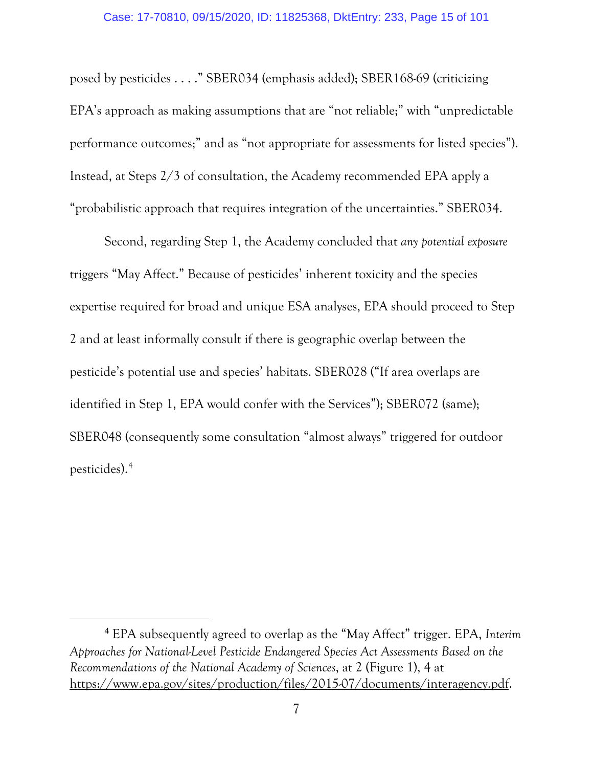posed by pesticides . . . ." SBER034 (emphasis added); SBER168-69 (criticizing EPA's approach as making assumptions that are "not reliable;" with "unpredictable performance outcomes;" and as "not appropriate for assessments for listed species"). Instead, at Steps 2/3 of consultation, the Academy recommended EPA apply a "probabilistic approach that requires integration of the uncertainties." SBER034.

Second, regarding Step 1, the Academy concluded that *any potential exposure* triggers "May Affect." Because of pesticides' inherent toxicity and the species expertise required for broad and unique ESA analyses, EPA should proceed to Step 2 and at least informally consult if there is geographic overlap between the pesticide's potential use and species' habitats. SBER028 ("If area overlaps are identified in Step 1, EPA would confer with the Services"); SBER072 (same); SBER048 (consequently some consultation "almost always" triggered for outdoor pesticides).[4](#page-14-1)

<span id="page-14-1"></span><span id="page-14-0"></span> <sup>4</sup> EPA subsequently agreed to overlap as the "May Affect" trigger. EPA, *Interim Approaches for National-Level Pesticide Endangered Species Act Assessments Based on the Recommendations of the National Academy of Sciences*, at 2 (Figure 1), 4 at [https://www.epa.gov/sites/production/files/2015-07/documents/interagency.pdf.](https://www.epa.gov/sites/production/files/2015-07/documents/interagency.pdf)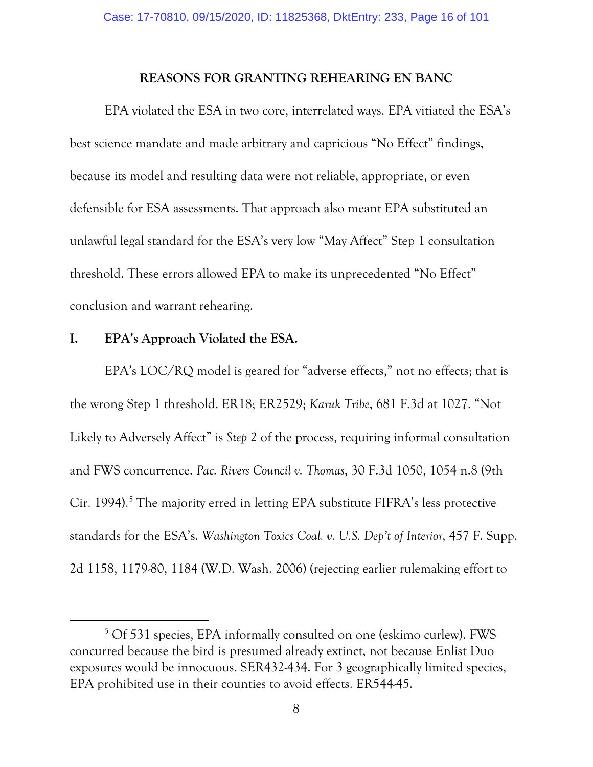#### <span id="page-15-0"></span>**REASONS FOR GRANTING REHEARING EN BANC**

EPA violated the ESA in two core, interrelated ways. EPA vitiated the ESA's best science mandate and made arbitrary and capricious "No Effect" findings, because its model and resulting data were not reliable, appropriate, or even defensible for ESA assessments. That approach also meant EPA substituted an unlawful legal standard for the ESA's very low "May Affect" Step 1 consultation threshold. These errors allowed EPA to make its unprecedented "No Effect" conclusion and warrant rehearing.

#### <span id="page-15-1"></span>**I. EPA's Approach Violated the ESA.**

<span id="page-15-3"></span> $\overline{a}$ 

<span id="page-15-2"></span>EPA's LOC/RQ model is geared for "adverse effects," not no effects; that is the wrong Step 1 threshold. ER18; ER2529; *Karuk Tribe*, 681 F.3d at 1027. "Not Likely to Adversely Affect" is *Step 2* of the process, requiring informal consultation and FWS concurrence. *Pac. Rivers Council v. Thomas*, 30 F.3d 1050, 1054 n.8 (9th Cir. 1994).<sup>[5](#page-15-4)</sup> The majority erred in letting EPA substitute FIFRA's less protective standards for the ESA's. *Washington Toxics Coal. v. U.S. Dep't of Interior*, 457 F. Supp. 2d 1158, 1179-80, 1184 (W.D. Wash. 2006) (rejecting earlier rulemaking effort to

<span id="page-15-4"></span><sup>5</sup> Of 531 species, EPA informally consulted on one (eskimo curlew). FWS concurred because the bird is presumed already extinct, not because Enlist Duo exposures would be innocuous. SER432-434. For 3 geographically limited species, EPA prohibited use in their counties to avoid effects. ER544-45.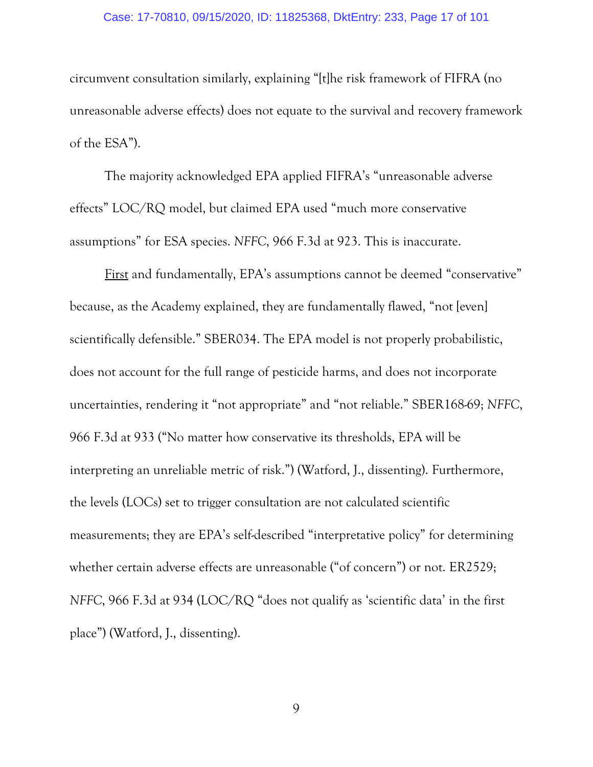#### Case: 17-70810, 09/15/2020, ID: 11825368, DktEntry: 233, Page 17 of 101

circumvent consultation similarly, explaining "[t]he risk framework of FIFRA (no unreasonable adverse effects) does not equate to the survival and recovery framework of the ESA").

The majority acknowledged EPA applied FIFRA's "unreasonable adverse effects" LOC/RQ model, but claimed EPA used "much more conservative assumptions" for ESA species. *NFFC*, 966 F.3d at 923. This is inaccurate.

First and fundamentally, EPA's assumptions cannot be deemed "conservative" because, as the Academy explained, they are fundamentally flawed, "not [even] scientifically defensible." SBER034. The EPA model is not properly probabilistic, does not account for the full range of pesticide harms, and does not incorporate uncertainties, rendering it "not appropriate" and "not reliable." SBER168-69; *NFFC*, 966 F.3d at 933 ("No matter how conservative its thresholds, EPA will be interpreting an unreliable metric of risk.") (Watford, J., dissenting). Furthermore, the levels (LOCs) set to trigger consultation are not calculated scientific measurements; they are EPA's self-described "interpretative policy" for determining whether certain adverse effects are unreasonable ("of concern") or not. ER2529; *NFFC*, 966 F.3d at 934 (LOC/RQ "does not qualify as 'scientific data' in the first place") (Watford, J., dissenting).

9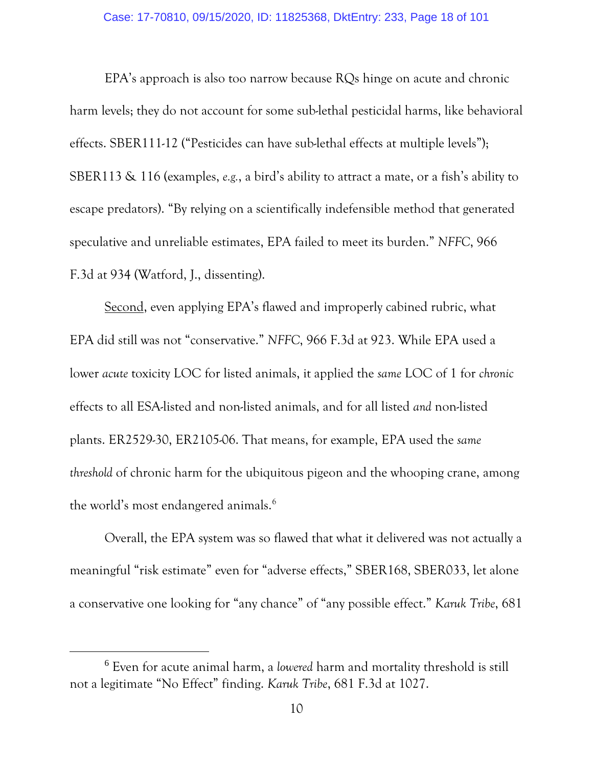EPA's approach is also too narrow because RQs hinge on acute and chronic harm levels; they do not account for some sub-lethal pesticidal harms, like behavioral effects. SBER111-12 ("Pesticides can have sub-lethal effects at multiple levels"); SBER113 & 116 (examples, *e.g.*, a bird's ability to attract a mate, or a fish's ability to escape predators). "By relying on a scientifically indefensible method that generated speculative and unreliable estimates, EPA failed to meet its burden." *NFFC*, 966 F.3d at 934 (Watford, J., dissenting).

Second, even applying EPA's flawed and improperly cabined rubric, what EPA did still was not "conservative." *NFFC*, 966 F.3d at 923. While EPA used a lower *acute* toxicity LOC for listed animals, it applied the *same* LOC of 1 for *chronic* effects to all ESA-listed and non-listed animals, and for all listed *and* non-listed plants. ER2529-30, ER2105-06. That means, for example, EPA used the *same threshold* of chronic harm for the ubiquitous pigeon and the whooping crane, among the world's most endangered animals.<sup>[6](#page-17-0)</sup>

Overall, the EPA system was so flawed that what it delivered was not actually a meaningful "risk estimate" even for "adverse effects," SBER168, SBER033, let alone a conservative one looking for "any chance" of "any possible effect." *Karuk Tribe*, 681

<span id="page-17-0"></span> <sup>6</sup> Even for acute animal harm, a *lowered* harm and mortality threshold is still not a legitimate "No Effect" finding. *Karuk Tribe*, 681 F.3d at 1027.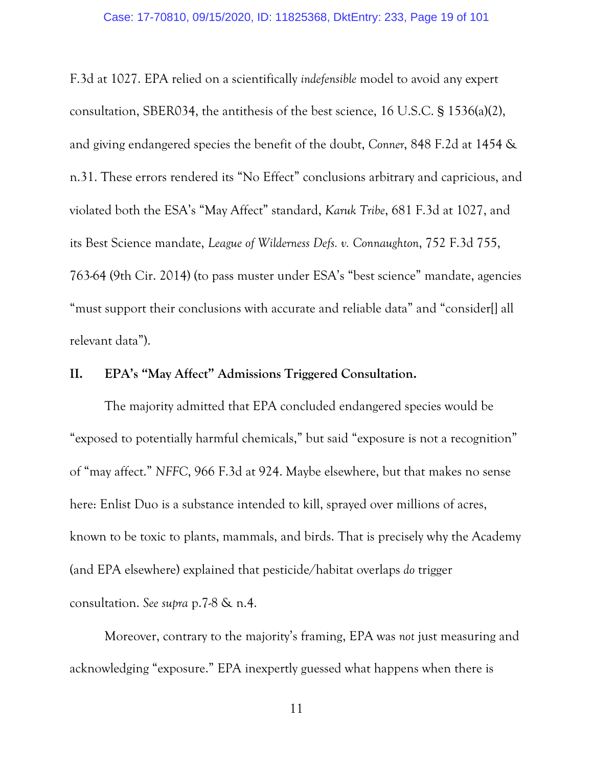<span id="page-18-3"></span><span id="page-18-1"></span>F.3d at 1027. EPA relied on a scientifically *indefensible* model to avoid any expert consultation, SBER034, the antithesis of the best science, 16 U.S.C. § 1536(a)(2), and giving endangered species the benefit of the doubt, *Conner*, 848 F.2d at 1454 & n.31. These errors rendered its "No Effect" conclusions arbitrary and capricious, and violated both the ESA's "May Affect" standard, *Karuk Tribe*, 681 F.3d at 1027, and its Best Science mandate, *League of Wilderness Defs. v. Connaughton*, 752 F.3d 755, 763-64 (9th Cir. 2014) (to pass muster under ESA's "best science" mandate, agencies "must support their conclusions with accurate and reliable data" and "consider[] all relevant data").

#### <span id="page-18-2"></span><span id="page-18-0"></span>**II. EPA's "May Affect" Admissions Triggered Consultation.**

The majority admitted that EPA concluded endangered species would be "exposed to potentially harmful chemicals," but said "exposure is not a recognition" of "may affect." *NFFC*, 966 F.3d at 924. Maybe elsewhere, but that makes no sense here: Enlist Duo is a substance intended to kill, sprayed over millions of acres, known to be toxic to plants, mammals, and birds. That is precisely why the Academy (and EPA elsewhere) explained that pesticide/habitat overlaps *do* trigger consultation. *See supra* p.7-8 & n.4.

Moreover, contrary to the majority's framing, EPA was *not* just measuring and acknowledging "exposure." EPA inexpertly guessed what happens when there is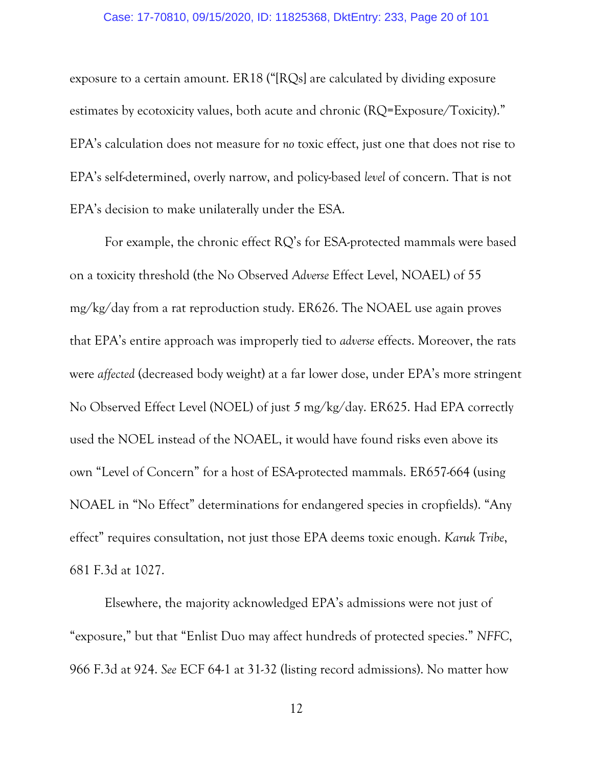exposure to a certain amount. ER18 ("[RQs] are calculated by dividing exposure estimates by ecotoxicity values, both acute and chronic (RQ=Exposure/Toxicity)." EPA's calculation does not measure for *no* toxic effect, just one that does not rise to EPA's self-determined, overly narrow, and policy-based *level* of concern. That is not EPA's decision to make unilaterally under the ESA.

For example, the chronic effect RQ's for ESA-protected mammals were based on a toxicity threshold (the No Observed *Adverse* Effect Level, NOAEL) of 55 mg/kg/day from a rat reproduction study. ER626. The NOAEL use again proves that EPA's entire approach was improperly tied to *adverse* effects. Moreover, the rats were *affected* (decreased body weight) at a far lower dose, under EPA's more stringent No Observed Effect Level (NOEL) of just *5* mg/kg/day. ER625. Had EPA correctly used the NOEL instead of the NOAEL, it would have found risks even above its own "Level of Concern" for a host of ESA-protected mammals. ER657-664 (using NOAEL in "No Effect" determinations for endangered species in cropfields). "Any effect" requires consultation, not just those EPA deems toxic enough. *Karuk Tribe*, 681 F.3d at 1027.

Elsewhere, the majority acknowledged EPA's admissions were not just of "exposure," but that "Enlist Duo may affect hundreds of protected species." *NFFC*, 966 F.3d at 924. *See* ECF 64-1 at 31-32 (listing record admissions). No matter how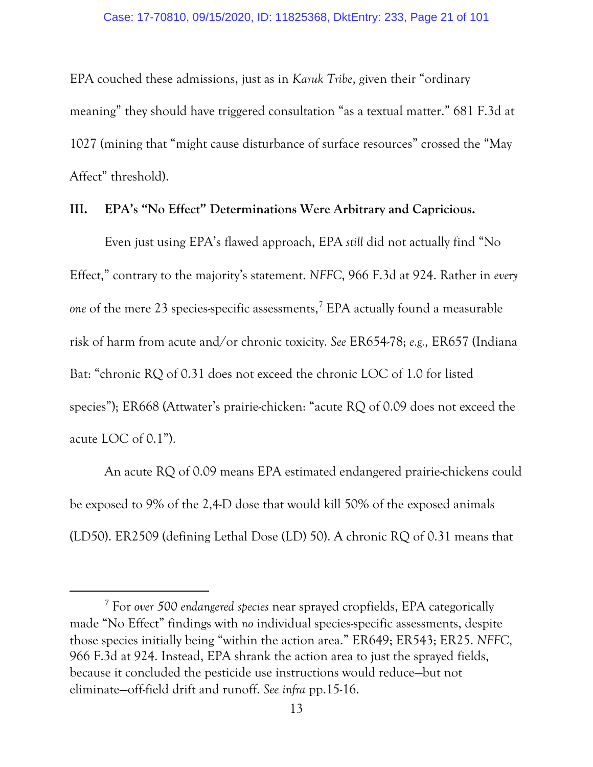EPA couched these admissions, just as in *Karuk Tribe*, given their "ordinary meaning" they should have triggered consultation "as a textual matter." 681 F.3d at 1027 (mining that "might cause disturbance of surface resources" crossed the "May Affect" threshold).

#### <span id="page-20-0"></span>**III. EPA's "No Effect" Determinations Were Arbitrary and Capricious.**

Even just using EPA's flawed approach, EPA *still* did not actually find "No Effect," contrary to the majority's statement. *NFFC*, 966 F.3d at 924. Rather in *every*  one of the mere 23 species-specific assessments,<sup>[7](#page-20-1)</sup> EPA actually found a measurable risk of harm from acute and/or chronic toxicity. *See* ER654-78; *e.g.,* ER657 (Indiana Bat: "chronic RQ of 0.31 does not exceed the chronic LOC of 1.0 for listed species"); ER668 (Attwater's prairie-chicken: "acute RQ of 0.09 does not exceed the acute LOC of 0.1").

An acute RQ of 0.09 means EPA estimated endangered prairie-chickens could be exposed to 9% of the 2,4-D dose that would kill 50% of the exposed animals (LD50). ER2509 (defining Lethal Dose (LD) 50). A chronic RQ of 0.31 means that

<span id="page-20-1"></span> <sup>7</sup> For *over 500 endangered species* near sprayed cropfields, EPA categorically made "No Effect" findings with *no* individual species-specific assessments, despite those species initially being "within the action area." ER649; ER543; ER25. *NFFC*, 966 F.3d at 924. Instead, EPA shrank the action area to just the sprayed fields, because it concluded the pesticide use instructions would reduce—but not eliminate—off-field drift and runoff. *See infra* pp.15-16.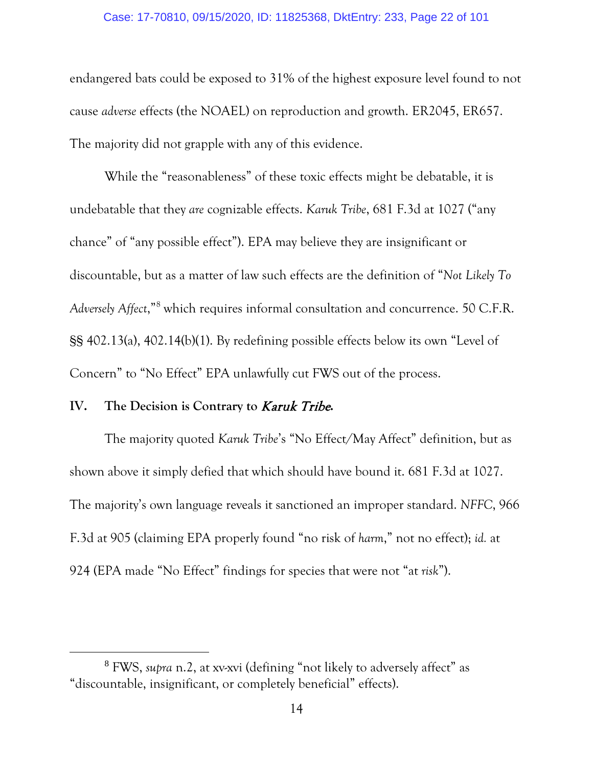endangered bats could be exposed to 31% of the highest exposure level found to not cause *adverse* effects (the NOAEL) on reproduction and growth. ER2045, ER657. The majority did not grapple with any of this evidence.

While the "reasonableness" of these toxic effects might be debatable, it is undebatable that they *are* cognizable effects. *Karuk Tribe*, 681 F.3d at 1027 ("any chance" of "any possible effect"). EPA may believe they are insignificant or discountable, but as a matter of law such effects are the definition of "*Not Likely To Adversely Affect*,["8](#page-21-2) which requires informal consultation and concurrence. 50 C.F.R. §§ 402.13(a), 402.14(b)(1). By redefining possible effects below its own "Level of Concern" to "No Effect" EPA unlawfully cut FWS out of the process.

## <span id="page-21-1"></span><span id="page-21-0"></span>**IV. The Decision is Contrary to** Karuk Tribe**.**

The majority quoted *Karuk Tribe*'s "No Effect/May Affect" definition, but as shown above it simply defied that which should have bound it. 681 F.3d at 1027. The majority's own language reveals it sanctioned an improper standard. *NFFC*, 966 F.3d at 905 (claiming EPA properly found "no risk of *harm*," not no effect); *id.* at 924 (EPA made "No Effect" findings for species that were not "at *risk*").

<span id="page-21-2"></span> <sup>8</sup> FWS, *supra* n.2, at xv-xvi (defining "not likely to adversely affect" as "discountable, insignificant, or completely beneficial" effects).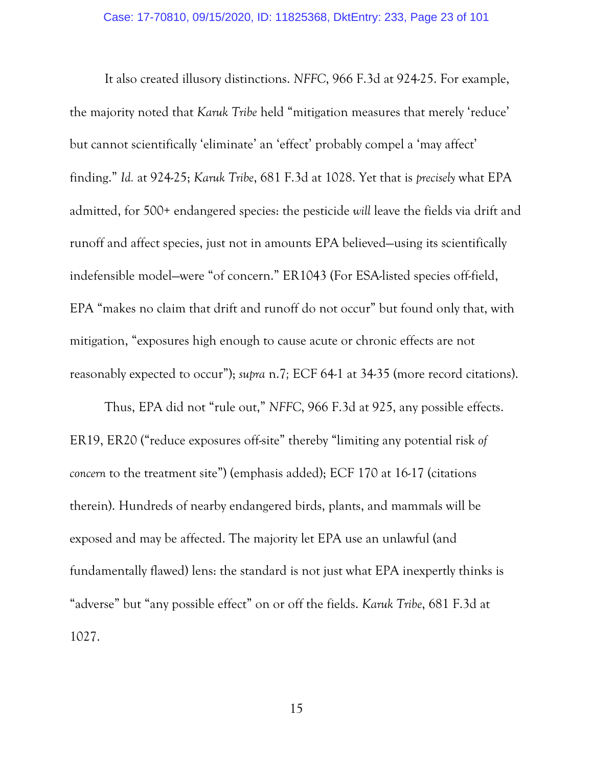It also created illusory distinctions. *NFFC*, 966 F.3d at 924-25. For example, the majority noted that *Karuk Tribe* held "mitigation measures that merely 'reduce' but cannot scientifically 'eliminate' an 'effect' probably compel a 'may affect' finding." *Id.* at 924-25; *Karuk Tribe*, 681 F.3d at 1028. Yet that is *precisely* what EPA admitted, for 500+ endangered species: the pesticide *will* leave the fields via drift and runoff and affect species, just not in amounts EPA believed—using its scientifically indefensible model—were "of concern." ER1043 (For ESA-listed species off-field, EPA "makes no claim that drift and runoff do not occur" but found only that, with mitigation, "exposures high enough to cause acute or chronic effects are not reasonably expected to occur"); *supra* n.7*;* ECF 64-1 at 34-35 (more record citations).

Thus, EPA did not "rule out," *NFFC*, 966 F.3d at 925, any possible effects. ER19, ER20 ("reduce exposures off-site" thereby "limiting any potential risk *of concern* to the treatment site") (emphasis added); ECF 170 at 16-17 (citations therein). Hundreds of nearby endangered birds, plants, and mammals will be exposed and may be affected. The majority let EPA use an unlawful (and fundamentally flawed) lens: the standard is not just what EPA inexpertly thinks is "adverse" but "any possible effect" on or off the fields. *Karuk Tribe*, 681 F.3d at 1027.

15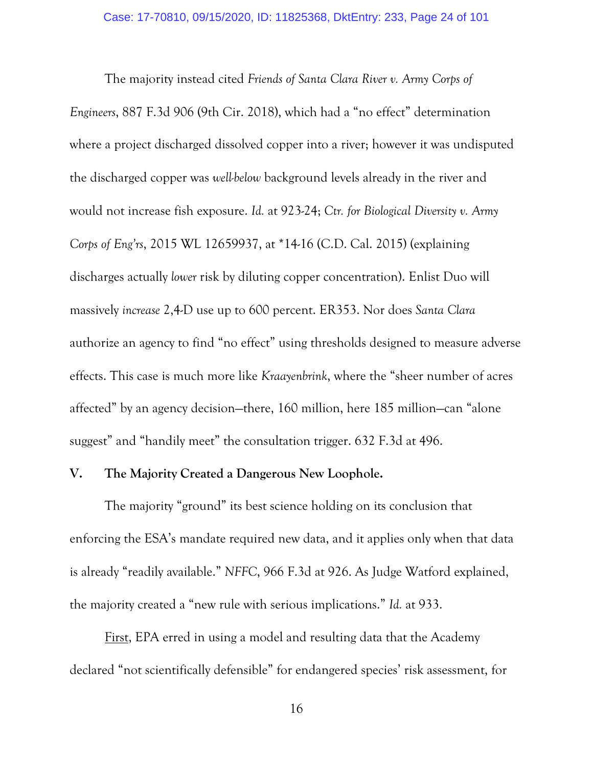<span id="page-23-2"></span><span id="page-23-1"></span>The majority instead cited *Friends of Santa Clara River v. Army Corps of Engineers*, 887 F.3d 906 (9th Cir. 2018), which had a "no effect" determination where a project discharged dissolved copper into a river; however it was undisputed the discharged copper was *well-below* background levels already in the river and would not increase fish exposure. *Id.* at 923-24; *Ctr. for Biological Diversity v. Army Corps of Eng'rs*, 2015 WL 12659937, at \*14-16 (C.D. Cal. 2015) (explaining discharges actually *lower* risk by diluting copper concentration). Enlist Duo will massively *increase* 2,4-D use up to 600 percent. ER353. Nor does *Santa Clara* authorize an agency to find "no effect" using thresholds designed to measure adverse effects. This case is much more like *Kraayenbrink*, where the "sheer number of acres affected" by an agency decision—there, 160 million, here 185 million—can "alone suggest" and "handily meet" the consultation trigger. 632 F.3d at 496.

#### <span id="page-23-3"></span><span id="page-23-0"></span>**V. The Majority Created a Dangerous New Loophole.**

The majority "ground" its best science holding on its conclusion that enforcing the ESA's mandate required new data, and it applies only when that data is already "readily available." *NFFC*, 966 F.3d at 926. As Judge Watford explained, the majority created a "new rule with serious implications." *Id.* at 933.

<u>First</u>, EPA erred in using a model and resulting data that the Academy declared "not scientifically defensible" for endangered species' risk assessment, for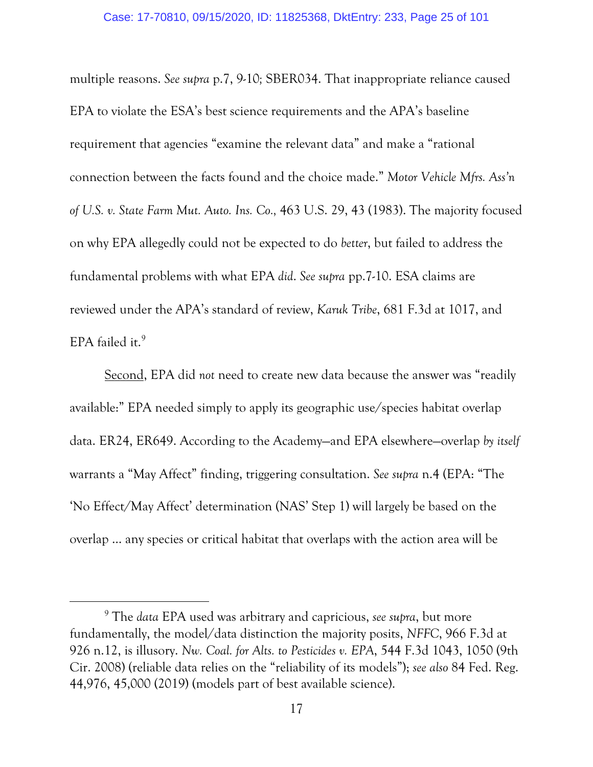<span id="page-24-0"></span>multiple reasons. *See supra* p.7, 9-10*;* SBER034. That inappropriate reliance caused EPA to violate the ESA's best science requirements and the APA's baseline requirement that agencies "examine the relevant data" and make a "rational connection between the facts found and the choice made." *Motor Vehicle Mfrs. Ass'n of U.S. v. State Farm Mut. Auto. Ins. Co.,* 463 U.S. 29, 43 (1983). The majority focused on why EPA allegedly could not be expected to do *better*, but failed to address the fundamental problems with what EPA *did*. *See supra* pp.7-10. ESA claims are reviewed under the APA's standard of review, *Karuk Tribe*, 681 F.3d at 1017, and EPA failed it.<sup>[9](#page-24-3)</sup>

Second, EPA did *not* need to create new data because the answer was "readily available:" EPA needed simply to apply its geographic use/species habitat overlap data. ER24, ER649. According to the Academy—and EPA elsewhere—overlap *by itself* warrants a "May Affect" finding, triggering consultation. *See supra* n.4 (EPA: "The 'No Effect/May Affect' determination (NAS' Step 1) will largely be based on the overlap … any species or critical habitat that overlaps with the action area will be

 $\overline{a}$ 

<span id="page-24-3"></span><span id="page-24-2"></span><span id="page-24-1"></span><sup>9</sup> The *data* EPA used was arbitrary and capricious, *see supra*, but more fundamentally, the model/data distinction the majority posits, *NFFC*, 966 F.3d at 926 n.12, is illusory. *Nw. Coal. for Alts. to Pesticides v. EPA*, 544 F.3d 1043, 1050 (9th Cir. 2008) (reliable data relies on the "reliability of its models"); *see also* 84 Fed. Reg. 44,976, 45,000 (2019) (models part of best available science).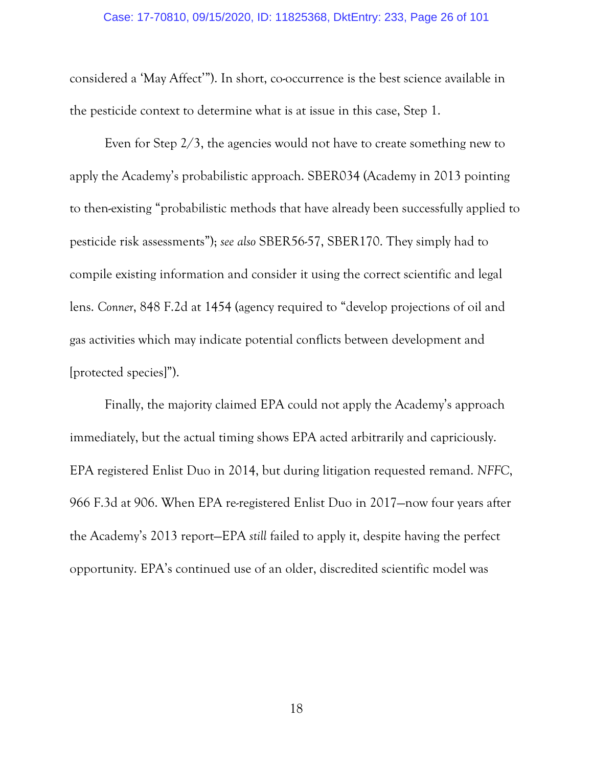considered a 'May Affect'"). In short, co-occurrence is the best science available in the pesticide context to determine what is at issue in this case, Step 1.

Even for Step 2/3, the agencies would not have to create something new to apply the Academy's probabilistic approach. SBER034 (Academy in 2013 pointing to then-existing "probabilistic methods that have already been successfully applied to pesticide risk assessments"); *see also* SBER56-57, SBER170. They simply had to compile existing information and consider it using the correct scientific and legal lens. *Conner*, 848 F.2d at 1454 (agency required to "develop projections of oil and gas activities which may indicate potential conflicts between development and [protected species]").

<span id="page-25-0"></span>Finally, the majority claimed EPA could not apply the Academy's approach immediately, but the actual timing shows EPA acted arbitrarily and capriciously. EPA registered Enlist Duo in 2014, but during litigation requested remand. *NFFC*, 966 F.3d at 906. When EPA re-registered Enlist Duo in 2017—now four years after the Academy's 2013 report—EPA *still* failed to apply it, despite having the perfect opportunity. EPA's continued use of an older, discredited scientific model was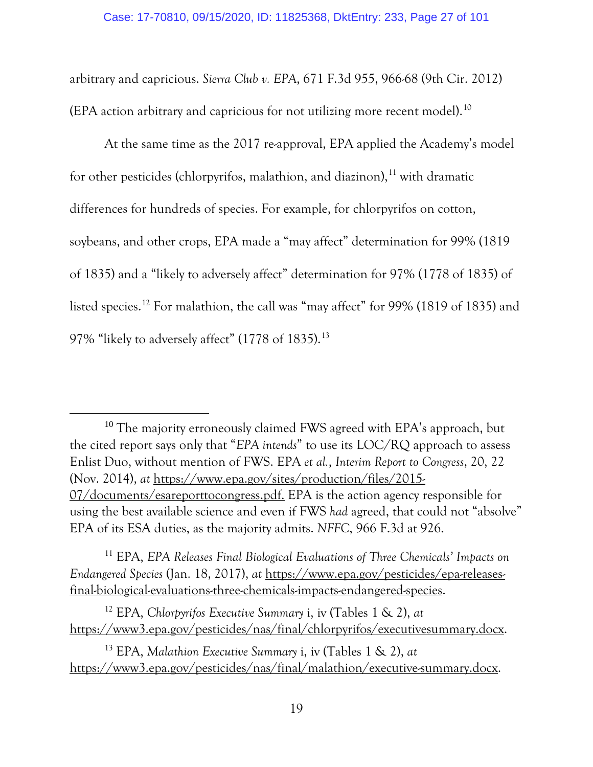<span id="page-26-0"></span>arbitrary and capricious. *Sierra Club v. EPA*, 671 F.3d 955, 966-68 (9th Cir. 2012) (EPA action arbitrary and capricious for not utilizing more recent model).[10](#page-26-5)

At the same time as the 2017 re-approval, EPA applied the Academy's model for other pesticides (chlorpyrifos, malathion, and diazinon), $11$  with dramatic differences for hundreds of species. For example, for chlorpyrifos on cotton, soybeans, and other crops, EPA made a "may affect" determination for 99% (1819 of 1835) and a "likely to adversely affect" determination for 97% (1778 of 1835) of listed species.<sup>[12](#page-26-7)</sup> For malathion, the call was "may affect" for 99% (1819 of 1835) and 97% "likely to adversely affect" (1778 of 1835).<sup>[13](#page-26-8)</sup>

<span id="page-26-5"></span><span id="page-26-4"></span><sup>10</sup> The majority erroneously claimed FWS agreed with EPA's approach, but the cited report says only that "*EPA intends*" to use its LOC/RQ approach to assess Enlist Duo, without mention of FWS. EPA *et al.*, *Interim Report to Congress*, 20, 22 (Nov. 2014), *at* [https://www.epa.gov/sites/production/files/2015-](https://www.epa.gov/sites/production/files/2015-07/documents/esareporttocongress.pdf) [07/documents/esareporttocongress.pdf.](https://www.epa.gov/sites/production/files/2015-07/documents/esareporttocongress.pdf) EPA is the action agency responsible for using the best available science and even if FWS *had* agreed, that could not "absolve" EPA of its ESA duties, as the majority admits. *NFFC*, 966 F.3d at 926.

<span id="page-26-6"></span><span id="page-26-2"></span><sup>11</sup> EPA, *EPA Releases Final Biological Evaluations of Three Chemicals' Impacts on Endangered Species* (Jan. 18, 2017), *at* [https://www.epa.gov/pesticides/epa-releases](https://www.epa.gov/pesticides/epa-releases-final-biological-evaluations-three-chemicals-impacts-endangered-species)[final-biological-evaluations-three-chemicals-impacts-endangered-species.](https://www.epa.gov/pesticides/epa-releases-final-biological-evaluations-three-chemicals-impacts-endangered-species)

<span id="page-26-7"></span><span id="page-26-1"></span><sup>12</sup> EPA, *Chlorpyrifos Executive Summary* i, iv (Tables 1 & 2), *at*  [https://www3.epa.gov/pesticides/nas/final/chlorpyrifos/executivesummary.docx.](https://www3.epa.gov/pesticides/nas/final/chlorpyrifos/executivesummary.docx)

<span id="page-26-8"></span><span id="page-26-3"></span><sup>13</sup> EPA, *Malathion Executive Summary* i, iv (Tables 1 & 2), *at*  [https://www3.epa.gov/pesticides/nas/final/malathion/executive-summary.docx.](https://www3.epa.gov/pesticides/nas/final/malathion/executive-summary.docx)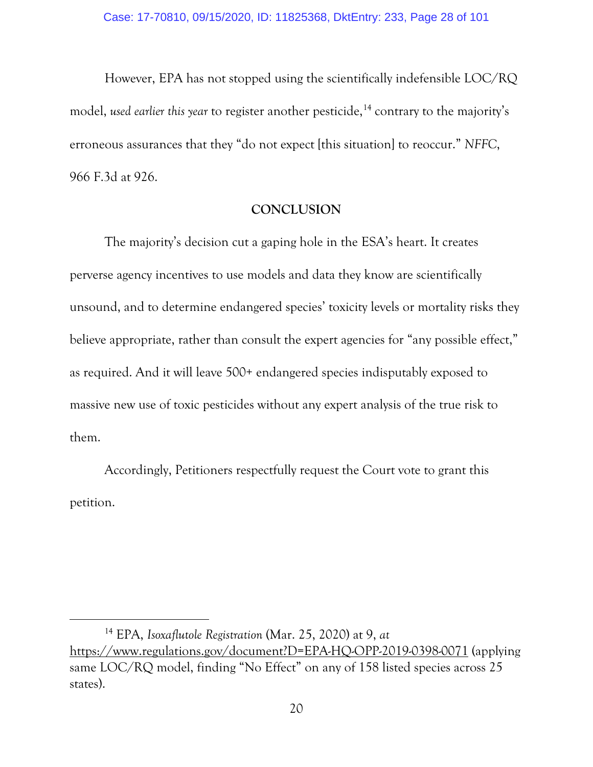However, EPA has not stopped using the scientifically indefensible LOC/RQ model, *used earlier this year* to register another pesticide, [14](#page-27-1) contrary to the majority's erroneous assurances that they "do not expect [this situation] to reoccur." *NFFC*, 966 F.3d at 926.

# **CONCLUSION**

The majority's decision cut a gaping hole in the ESA's heart. It creates perverse agency incentives to use models and data they know are scientifically unsound, and to determine endangered species' toxicity levels or mortality risks they believe appropriate, rather than consult the expert agencies for "any possible effect," as required. And it will leave 500+ endangered species indisputably exposed to massive new use of toxic pesticides without any expert analysis of the true risk to them.

Accordingly, Petitioners respectfully request the Court vote to grant this petition.

 $\overline{a}$ 

<span id="page-27-1"></span><span id="page-27-0"></span><sup>14</sup> EPA, *Isoxaflutole Registration* (Mar. 25, 2020) at 9, *at* <https://www.regulations.gov/document?D=EPA-HQ-OPP-2019-0398-0071> (applying same LOC/RQ model, finding "No Effect" on any of 158 listed species across 25 states).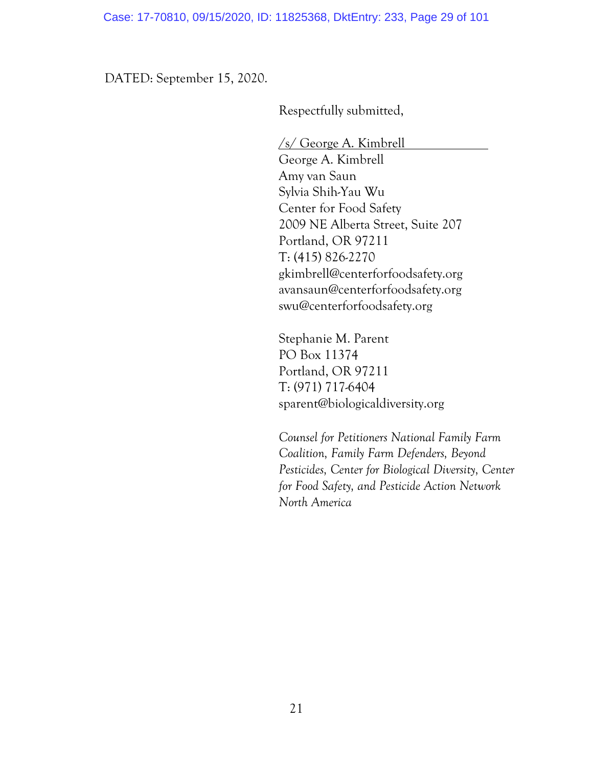DATED: September 15, 2020.

Respectfully submitted,

/s/ George A. Kimbrell

George A. Kimbrell Amy van Saun Sylvia Shih-Yau Wu Center for Food Safety 2009 NE Alberta Street, Suite 207 Portland, OR 97211 T: (415) 826-2270 gkimbrell@centerforfoodsafety.org avansaun@centerforfoodsafety.org swu@centerforfoodsafety.org

Stephanie M. Parent PO Box 11374 Portland, OR 97211 T: (971) 717-6404 sparent@biologicaldiversity.org

*Counsel for Petitioners National Family Farm Coalition, Family Farm Defenders, Beyond Pesticides, Center for Biological Diversity, Center for Food Safety, and Pesticide Action Network North America*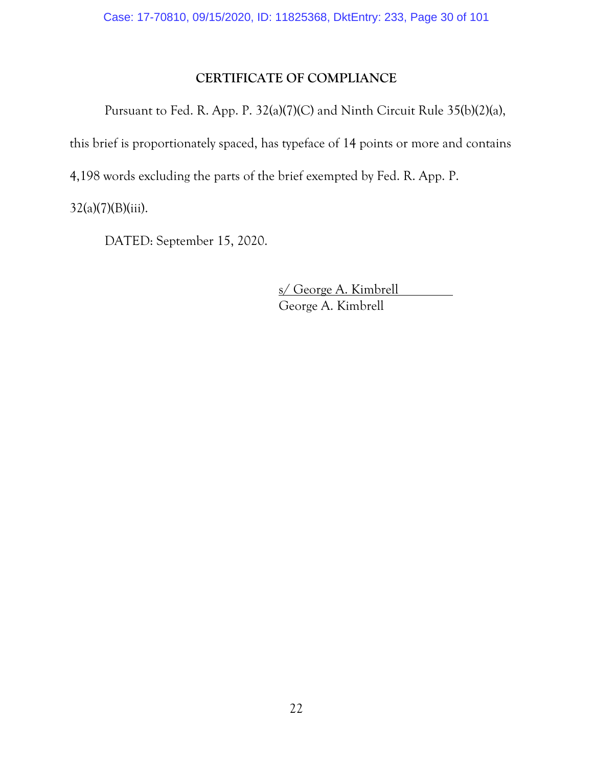# <span id="page-29-0"></span>**CERTIFICATE OF COMPLIANCE**

Pursuant to Fed. R. App. P. 32(a)(7)(C) and Ninth Circuit Rule 35(b)(2)(a),

this brief is proportionately spaced, has typeface of 14 points or more and contains

4,198 words excluding the parts of the brief exempted by Fed. R. App. P.

 $32(a)(7)(B)(iii)$ .

DATED: September 15, 2020.

s/ George A. Kimbrell George A. Kimbrell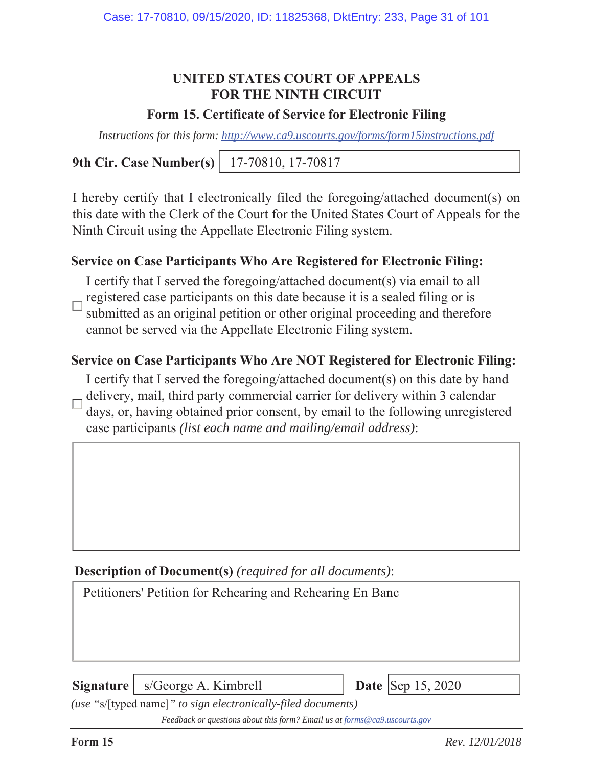# **UNITED STATES COURT OF APPEALS FOR THE NINTH CIRCUIT**

## **Form 15. Certificate of Service for Electronic Filing**

*Instructions for this form: http://www.ca9.uscourts.gov/forms/form15instructions.pdf*

**9th Cir. Case Number(s)** 17-70810, 17-70817

I hereby certify that I electronically filed the foregoing/attached document(s) on this date with the Clerk of the Court for the United States Court of Appeals for the Ninth Circuit using the Appellate Electronic Filing system.

# **Service on Case Participants Who Are Registered for Electronic Filing:**

I certify that I served the foregoing/attached document(s) via email to all registered case participants on this date because it is a sealed filing or is submitted as an original petition or other original proceeding and therefore cannot be served via the Appellate Electronic Filing system.

# **Service on Case Participants Who Are NOT Registered for Electronic Filing:**

I certify that I served the foregoing/attached document(s) on this date by hand

delivery, mail, third party commercial carrier for delivery within 3 calendar days, or, having obtained prior consent, by email to the following unregistered case participants *(list each name and mailing/email address)*:

# **Description of Document(s)** *(required for all documents)*:

Petitioners' Petition for Rehearing and Rehearing En Banc

**Signature** | s/George A. Kimbrell **Date** | **Date** | Sep 15, 2020



*(use "*s/[typed name]*" to sign electronically-filed documents)*

*Feedback or questions about this form? Email us at forms@ca9.uscourts.gov*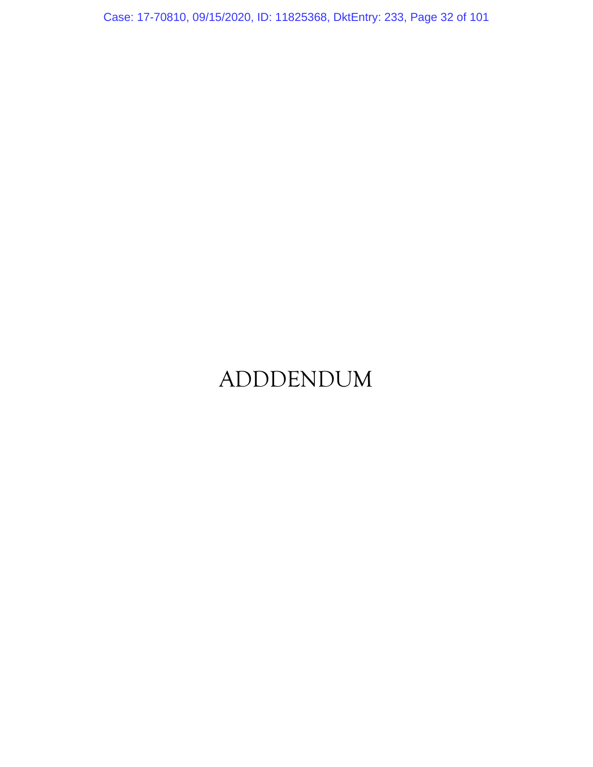Case: 17-70810, 09/15/2020, ID: 11825368, DktEntry: 233, Page 32 of 101

# ADDDENDUM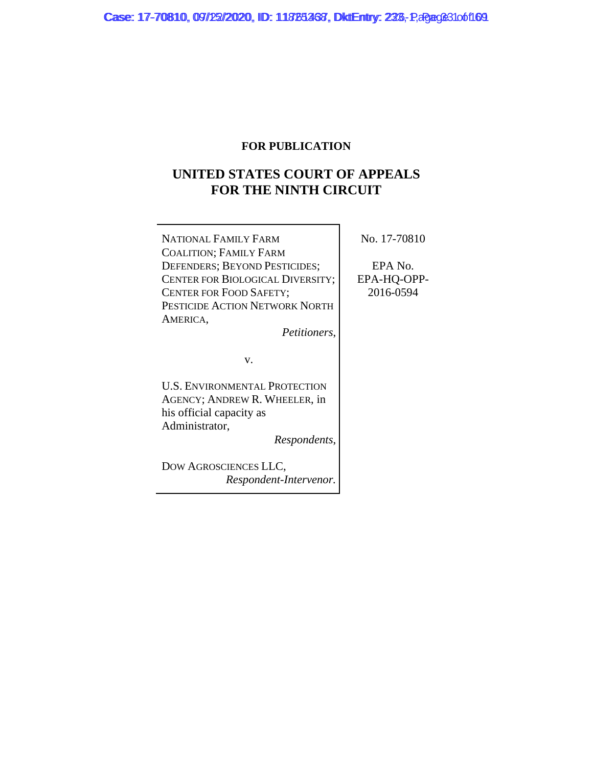#### **FOR PUBLICATION**

# **UNITED STATES COURT OF APPEALS FOR THE NINTH CIRCUIT**

| <b>NATIONAL FAMILY FARM</b>      |  |
|----------------------------------|--|
| <b>COALITION; FAMILY FARM</b>    |  |
| DEFENDERS; BEYOND PESTICIDES;    |  |
| CENTER FOR BIOLOGICAL DIVERSITY; |  |
| <b>CENTER FOR FOOD SAFETY;</b>   |  |
| PESTICIDE ACTION NETWORK NORTH   |  |
| AMERICA,                         |  |
| Petitioners,                     |  |

No. 17-70810

EPA No. EPA-HQ-OPP-2016-0594

v.

U.S. ENVIRONMENTAL PROTECTION AGENCY; ANDREW R. WHEELER, in his official capacity as Administrator,

*Respondents*,

DOW AGROSCIENCES LLC, *Respondent-Intervenor.*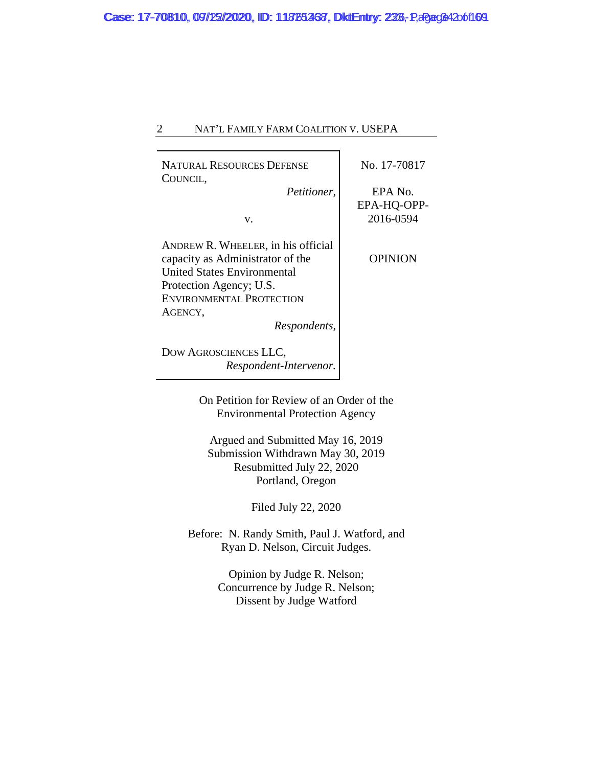## 2 NAT'L FAMILY FARM COALITION V. USEPA

| <b>NATURAL RESOURCES DEFENSE</b><br>COUNCIL, | No. 17-70817   |  |
|----------------------------------------------|----------------|--|
| Petitioner,                                  | EPA No.        |  |
|                                              | EPA-HQ-OPP-    |  |
| V.                                           | 2016-0594      |  |
| ANDREW R. WHEELER, in his official           |                |  |
| capacity as Administrator of the             | <b>OPINION</b> |  |
| <b>United States Environmental</b>           |                |  |
| Protection Agency; U.S.                      |                |  |
| <b>ENVIRONMENTAL PROTECTION</b>              |                |  |
| AGENCY,                                      |                |  |
| Respondents,                                 |                |  |
| DOW AGROSCIENCES LLC,                        |                |  |
| Respondent-Intervenor.                       |                |  |
| On Petition for Review of an Order of the    |                |  |
| <b>Environmental Protection Agency</b>       |                |  |

Argued and Submitted May 16, 2019 Submission Withdrawn May 30, 2019 Resubmitted July 22, 2020 Portland, Oregon

Filed July 22, 2020

Before: N. Randy Smith, Paul J. Watford, and Ryan D. Nelson, Circuit Judges.

> Opinion by Judge R. Nelson; Concurrence by Judge R. Nelson; Dissent by Judge Watford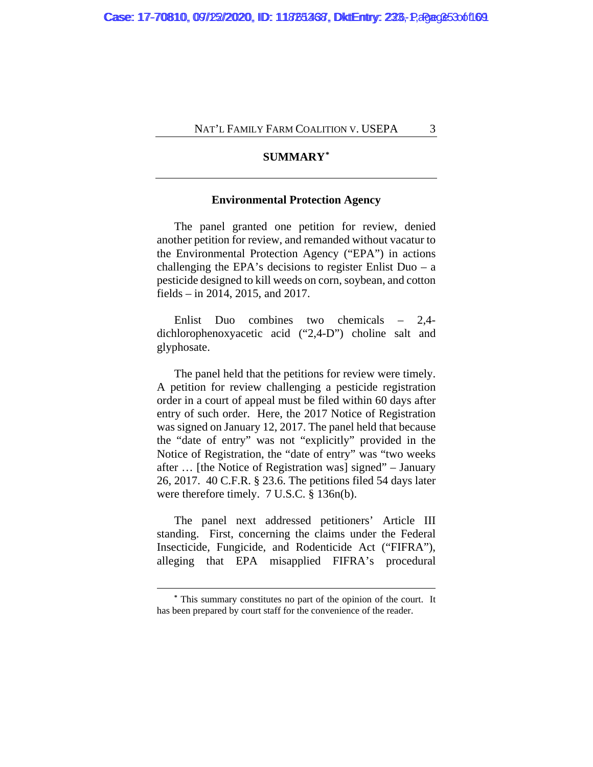#### **SUMMARY[\\*](#page-34-0)**

#### **Environmental Protection Agency**

The panel granted one petition for review, denied another petition for review, and remanded without vacatur to the Environmental Protection Agency ("EPA") in actions challenging the EPA's decisions to register Enlist Duo –  $a$ pesticide designed to kill weeds on corn, soybean, and cotton fields – in 2014, 2015, and 2017.

Enlist Duo combines two chemicals – 2,4 dichlorophenoxyacetic acid ("2,4-D") choline salt and glyphosate.

The panel held that the petitions for review were timely. A petition for review challenging a pesticide registration order in a court of appeal must be filed within 60 days after entry of such order. Here, the 2017 Notice of Registration was signed on January 12, 2017. The panel held that because the "date of entry" was not "explicitly" provided in the Notice of Registration, the "date of entry" was "two weeks after … [the Notice of Registration was] signed" – January 26, 2017. 40 C.F.R. § 23.6. The petitions filed 54 days later were therefore timely. 7 U.S.C. § 136n(b).

The panel next addressed petitioners' Article III standing. First, concerning the claims under the Federal Insecticide, Fungicide, and Rodenticide Act ("FIFRA"), alleging that EPA misapplied FIFRA's procedural

<span id="page-34-0"></span>**<sup>\*</sup>** This summary constitutes no part of the opinion of the court. It has been prepared by court staff for the convenience of the reader.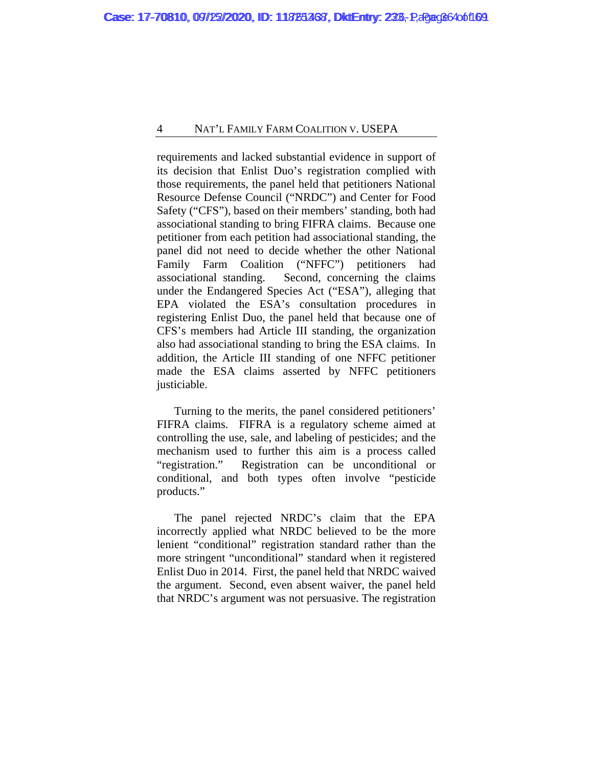#### 4 NAT'L FAMILY FARM COALITION V. USEPA

requirements and lacked substantial evidence in support of its decision that Enlist Duo's registration complied with those requirements, the panel held that petitioners National Resource Defense Council ("NRDC") and Center for Food Safety ("CFS"), based on their members' standing, both had associational standing to bring FIFRA claims. Because one petitioner from each petition had associational standing, the panel did not need to decide whether the other National Family Farm Coalition ("NFFC") petitioners had associational standing. Second, concerning the claims under the Endangered Species Act ("ESA"), alleging that EPA violated the ESA's consultation procedures in registering Enlist Duo, the panel held that because one of CFS's members had Article III standing, the organization also had associational standing to bring the ESA claims. In addition, the Article III standing of one NFFC petitioner made the ESA claims asserted by NFFC petitioners justiciable.

Turning to the merits, the panel considered petitioners' FIFRA claims. FIFRA is a regulatory scheme aimed at controlling the use, sale, and labeling of pesticides; and the mechanism used to further this aim is a process called "registration." Registration can be unconditional or conditional, and both types often involve "pesticide products."

The panel rejected NRDC's claim that the EPA incorrectly applied what NRDC believed to be the more lenient "conditional" registration standard rather than the more stringent "unconditional" standard when it registered Enlist Duo in 2014. First, the panel held that NRDC waived the argument. Second, even absent waiver, the panel held that NRDC's argument was not persuasive. The registration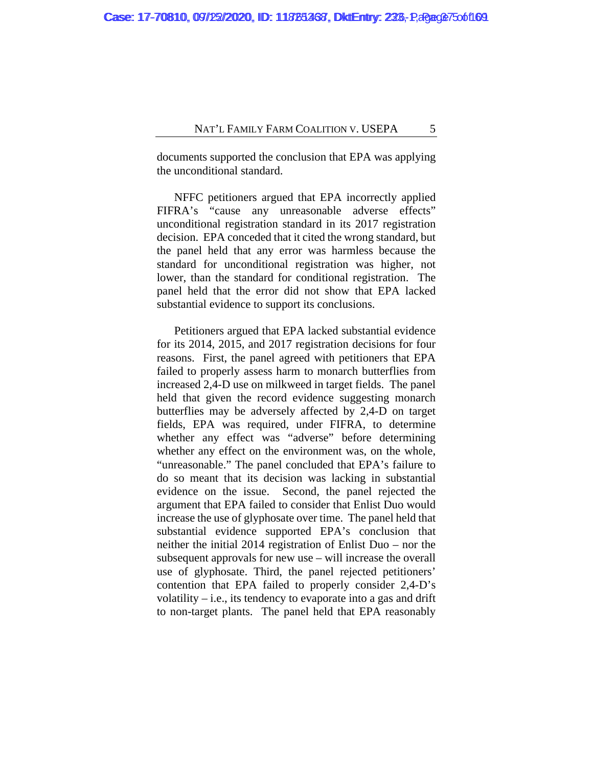documents supported the conclusion that EPA was applying the unconditional standard.

NFFC petitioners argued that EPA incorrectly applied FIFRA's "cause any unreasonable adverse effects" unconditional registration standard in its 2017 registration decision. EPA conceded that it cited the wrong standard, but the panel held that any error was harmless because the standard for unconditional registration was higher, not lower, than the standard for conditional registration. The panel held that the error did not show that EPA lacked substantial evidence to support its conclusions.

Petitioners argued that EPA lacked substantial evidence for its 2014, 2015, and 2017 registration decisions for four reasons. First, the panel agreed with petitioners that EPA failed to properly assess harm to monarch butterflies from increased 2,4-D use on milkweed in target fields. The panel held that given the record evidence suggesting monarch butterflies may be adversely affected by 2,4-D on target fields, EPA was required, under FIFRA, to determine whether any effect was "adverse" before determining whether any effect on the environment was, on the whole, "unreasonable." The panel concluded that EPA's failure to do so meant that its decision was lacking in substantial evidence on the issue. Second, the panel rejected the argument that EPA failed to consider that Enlist Duo would increase the use of glyphosate over time. The panel held that substantial evidence supported EPA's conclusion that neither the initial 2014 registration of Enlist Duo – nor the subsequent approvals for new use – will increase the overall use of glyphosate. Third, the panel rejected petitioners' contention that EPA failed to properly consider 2,4-D's volatility  $-$  i.e., its tendency to evaporate into a gas and drift to non-target plants. The panel held that EPA reasonably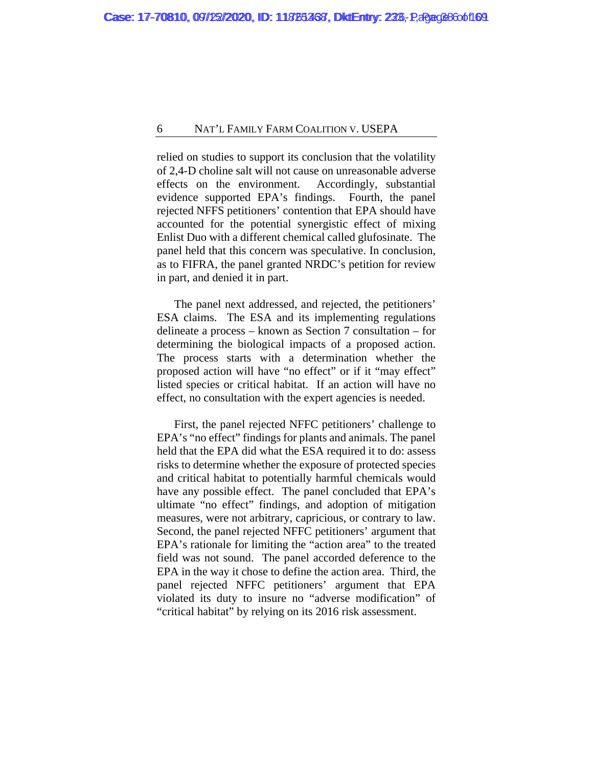relied on studies to support its conclusion that the volatility of 2,4-D choline salt will not cause on unreasonable adverse effects on the environment. Accordingly, substantial evidence supported EPA's findings. Fourth, the panel rejected NFFS petitioners' contention that EPA should have accounted for the potential synergistic effect of mixing Enlist Duo with a different chemical called glufosinate. The panel held that this concern was speculative. In conclusion, as to FIFRA, the panel granted NRDC's petition for review in part, and denied it in part.

The panel next addressed, and rejected, the petitioners' ESA claims. The ESA and its implementing regulations delineate a process – known as Section 7 consultation – for determining the biological impacts of a proposed action. The process starts with a determination whether the proposed action will have "no effect" or if it "may effect" listed species or critical habitat. If an action will have no effect, no consultation with the expert agencies is needed.

First, the panel rejected NFFC petitioners' challenge to EPA's "no effect" findings for plants and animals. The panel held that the EPA did what the ESA required it to do: assess risks to determine whether the exposure of protected species and critical habitat to potentially harmful chemicals would have any possible effect. The panel concluded that EPA's ultimate "no effect" findings, and adoption of mitigation measures, were not arbitrary, capricious, or contrary to law. Second, the panel rejected NFFC petitioners' argument that EPA's rationale for limiting the "action area" to the treated field was not sound. The panel accorded deference to the EPA in the way it chose to define the action area. Third, the panel rejected NFFC petitioners' argument that EPA violated its duty to insure no "adverse modification" of "critical habitat" by relying on its 2016 risk assessment.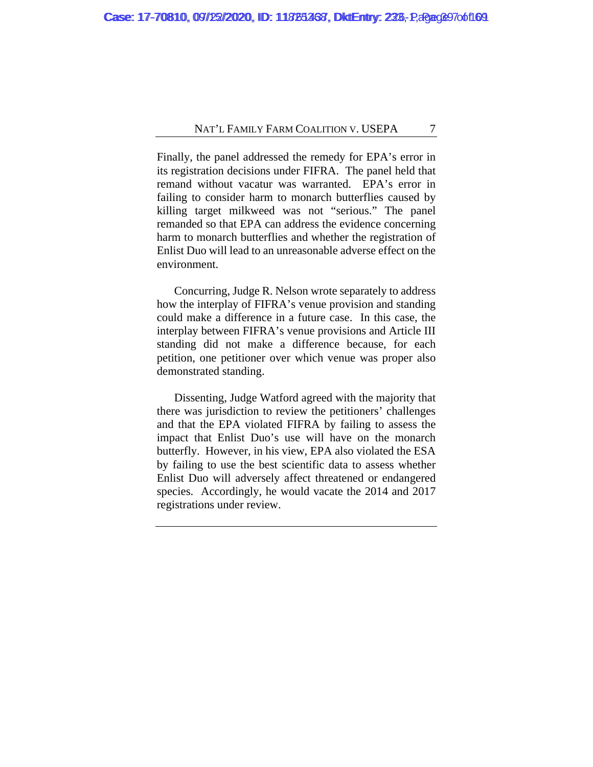Finally, the panel addressed the remedy for EPA's error in its registration decisions under FIFRA. The panel held that remand without vacatur was warranted. EPA's error in failing to consider harm to monarch butterflies caused by killing target milkweed was not "serious." The panel remanded so that EPA can address the evidence concerning harm to monarch butterflies and whether the registration of Enlist Duo will lead to an unreasonable adverse effect on the environment.

Concurring, Judge R. Nelson wrote separately to address how the interplay of FIFRA's venue provision and standing could make a difference in a future case. In this case, the interplay between FIFRA's venue provisions and Article III standing did not make a difference because, for each petition, one petitioner over which venue was proper also demonstrated standing.

Dissenting, Judge Watford agreed with the majority that there was jurisdiction to review the petitioners' challenges and that the EPA violated FIFRA by failing to assess the impact that Enlist Duo's use will have on the monarch butterfly. However, in his view, EPA also violated the ESA by failing to use the best scientific data to assess whether Enlist Duo will adversely affect threatened or endangered species. Accordingly, he would vacate the 2014 and 2017 registrations under review.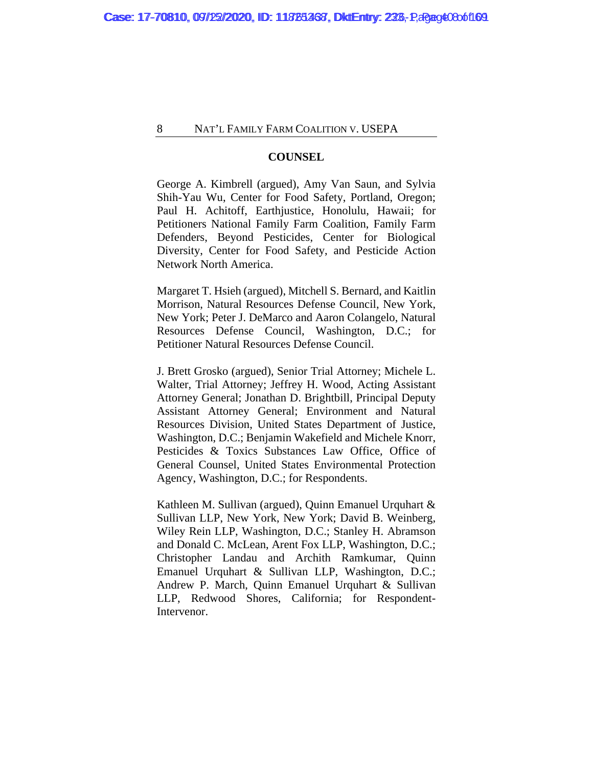### **COUNSEL**

George A. Kimbrell (argued), Amy Van Saun, and Sylvia Shih-Yau Wu, Center for Food Safety, Portland, Oregon; Paul H. Achitoff, Earthjustice, Honolulu, Hawaii; for Petitioners National Family Farm Coalition, Family Farm Defenders, Beyond Pesticides, Center for Biological Diversity, Center for Food Safety, and Pesticide Action Network North America.

Margaret T. Hsieh (argued), Mitchell S. Bernard, and Kaitlin Morrison, Natural Resources Defense Council, New York, New York; Peter J. DeMarco and Aaron Colangelo, Natural Resources Defense Council, Washington, D.C.; for Petitioner Natural Resources Defense Council.

J. Brett Grosko (argued), Senior Trial Attorney; Michele L. Walter, Trial Attorney; Jeffrey H. Wood, Acting Assistant Attorney General; Jonathan D. Brightbill, Principal Deputy Assistant Attorney General; Environment and Natural Resources Division, United States Department of Justice, Washington, D.C.; Benjamin Wakefield and Michele Knorr, Pesticides & Toxics Substances Law Office, Office of General Counsel, United States Environmental Protection Agency, Washington, D.C.; for Respondents.

Kathleen M. Sullivan (argued), Quinn Emanuel Urquhart & Sullivan LLP, New York, New York; David B. Weinberg, Wiley Rein LLP, Washington, D.C.; Stanley H. Abramson and Donald C. McLean, Arent Fox LLP, Washington, D.C.; Christopher Landau and Archith Ramkumar, Quinn Emanuel Urquhart & Sullivan LLP, Washington, D.C.; Andrew P. March, Quinn Emanuel Urquhart & Sullivan LLP, Redwood Shores, California; for Respondent-Intervenor.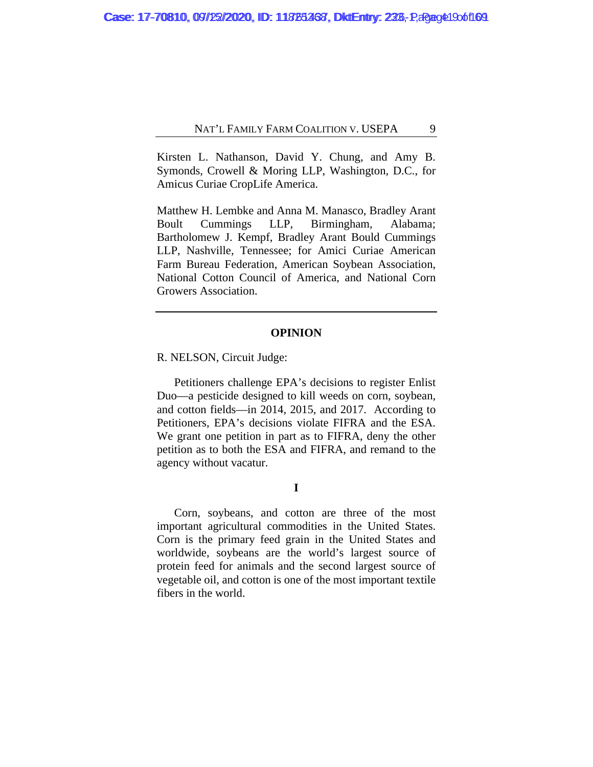Kirsten L. Nathanson, David Y. Chung, and Amy B. Symonds, Crowell & Moring LLP, Washington, D.C., for Amicus Curiae CropLife America.

Matthew H. Lembke and Anna M. Manasco, Bradley Arant Boult Cummings LLP, Birmingham, Alabama; Bartholomew J. Kempf, Bradley Arant Bould Cummings LLP, Nashville, Tennessee; for Amici Curiae American Farm Bureau Federation, American Soybean Association, National Cotton Council of America, and National Corn Growers Association.

### **OPINION**

R. NELSON, Circuit Judge:

Petitioners challenge EPA's decisions to register Enlist Duo—a pesticide designed to kill weeds on corn, soybean, and cotton fields—in 2014, 2015, and 2017. According to Petitioners, EPA's decisions violate FIFRA and the ESA. We grant one petition in part as to FIFRA, deny the other petition as to both the ESA and FIFRA, and remand to the agency without vacatur.

**I**

Corn, soybeans, and cotton are three of the most important agricultural commodities in the United States. Corn is the primary feed grain in the United States and worldwide, soybeans are the world's largest source of protein feed for animals and the second largest source of vegetable oil, and cotton is one of the most important textile fibers in the world.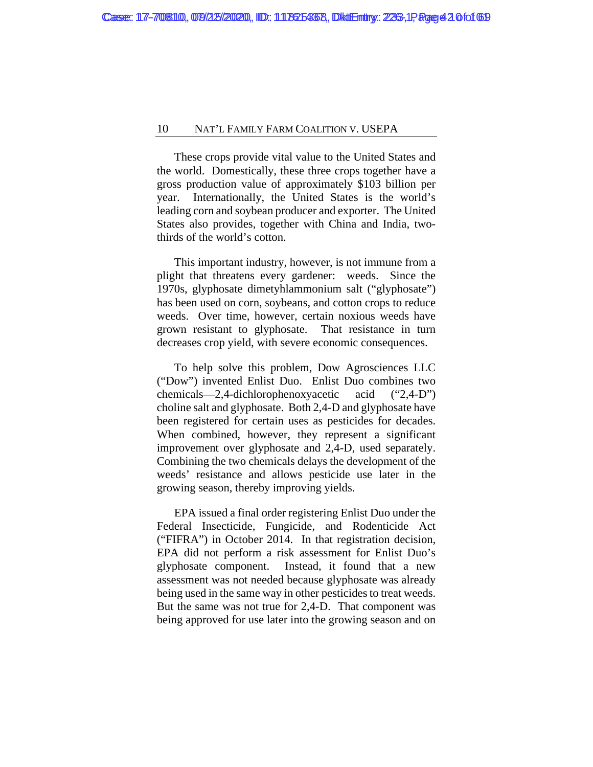These crops provide vital value to the United States and the world. Domestically, these three crops together have a gross production value of approximately \$103 billion per year. Internationally, the United States is the world's leading corn and soybean producer and exporter. The United States also provides, together with China and India, twothirds of the world's cotton.

This important industry, however, is not immune from a plight that threatens every gardener: weeds. Since the 1970s, glyphosate dimetyhlammonium salt ("glyphosate") has been used on corn, soybeans, and cotton crops to reduce weeds. Over time, however, certain noxious weeds have grown resistant to glyphosate. That resistance in turn decreases crop yield, with severe economic consequences.

To help solve this problem, Dow Agrosciences LLC ("Dow") invented Enlist Duo. Enlist Duo combines two chemicals—2,4-dichlorophenoxyacetic acid ("2,4-D") choline salt and glyphosate. Both 2,4-D and glyphosate have been registered for certain uses as pesticides for decades. When combined, however, they represent a significant improvement over glyphosate and 2,4-D, used separately. Combining the two chemicals delays the development of the weeds' resistance and allows pesticide use later in the growing season, thereby improving yields.

EPA issued a final order registering Enlist Duo under the Federal Insecticide, Fungicide, and Rodenticide Act ("FIFRA") in October 2014. In that registration decision, EPA did not perform a risk assessment for Enlist Duo's glyphosate component. Instead, it found that a new assessment was not needed because glyphosate was already being used in the same way in other pesticides to treat weeds. But the same was not true for 2,4-D. That component was being approved for use later into the growing season and on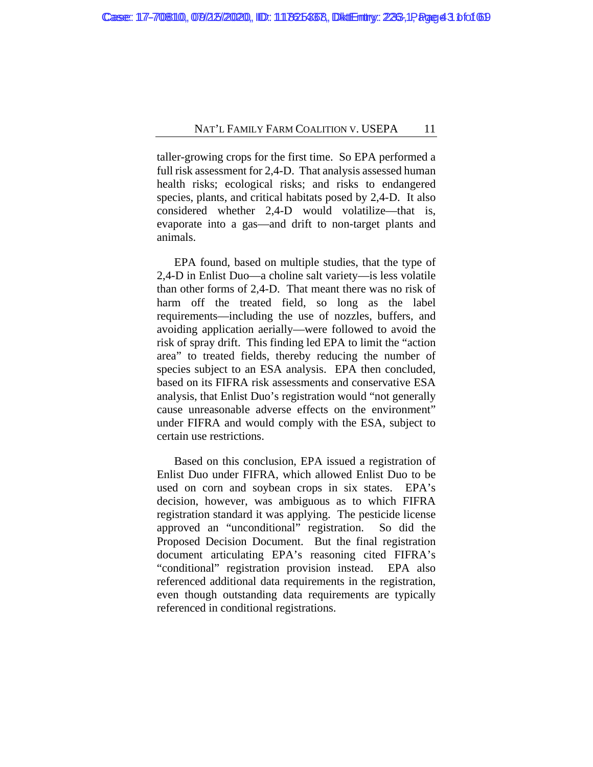taller-growing crops for the first time. So EPA performed a full risk assessment for 2,4-D. That analysis assessed human health risks; ecological risks; and risks to endangered species, plants, and critical habitats posed by 2,4-D. It also considered whether 2,4-D would volatilize—that is, evaporate into a gas—and drift to non-target plants and animals.

EPA found, based on multiple studies, that the type of 2,4-D in Enlist Duo—a choline salt variety—is less volatile than other forms of 2,4-D. That meant there was no risk of harm off the treated field, so long as the label requirements—including the use of nozzles, buffers, and avoiding application aerially—were followed to avoid the risk of spray drift. This finding led EPA to limit the "action area" to treated fields, thereby reducing the number of species subject to an ESA analysis. EPA then concluded, based on its FIFRA risk assessments and conservative ESA analysis, that Enlist Duo's registration would "not generally cause unreasonable adverse effects on the environment" under FIFRA and would comply with the ESA, subject to certain use restrictions.

Based on this conclusion, EPA issued a registration of Enlist Duo under FIFRA, which allowed Enlist Duo to be used on corn and soybean crops in six states. EPA's decision, however, was ambiguous as to which FIFRA registration standard it was applying. The pesticide license approved an "unconditional" registration. So did the Proposed Decision Document. But the final registration document articulating EPA's reasoning cited FIFRA's "conditional" registration provision instead. EPA also referenced additional data requirements in the registration, even though outstanding data requirements are typically referenced in conditional registrations.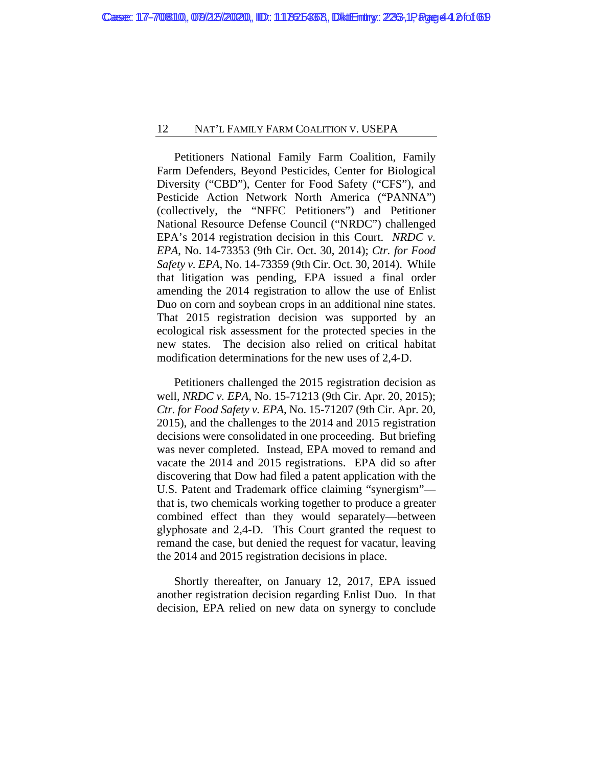Petitioners National Family Farm Coalition, Family Farm Defenders, Beyond Pesticides, Center for Biological Diversity ("CBD"), Center for Food Safety ("CFS"), and Pesticide Action Network North America ("PANNA") (collectively, the "NFFC Petitioners") and Petitioner National Resource Defense Council ("NRDC") challenged EPA's 2014 registration decision in this Court. *NRDC v. EPA*, No. 14-73353 (9th Cir. Oct. 30, 2014); *Ctr. for Food Safety v. EPA*, No. 14-73359 (9th Cir. Oct. 30, 2014). While that litigation was pending, EPA issued a final order amending the 2014 registration to allow the use of Enlist Duo on corn and soybean crops in an additional nine states. That 2015 registration decision was supported by an ecological risk assessment for the protected species in the new states. The decision also relied on critical habitat modification determinations for the new uses of 2,4-D.

Petitioners challenged the 2015 registration decision as well, *NRDC v. EPA*, No. 15-71213 (9th Cir. Apr. 20, 2015); *Ctr. for Food Safety v. EPA*, No. 15-71207 (9th Cir. Apr. 20, 2015), and the challenges to the 2014 and 2015 registration decisions were consolidated in one proceeding. But briefing was never completed. Instead, EPA moved to remand and vacate the 2014 and 2015 registrations. EPA did so after discovering that Dow had filed a patent application with the U.S. Patent and Trademark office claiming "synergism" that is, two chemicals working together to produce a greater combined effect than they would separately—between glyphosate and 2,4-D. This Court granted the request to remand the case, but denied the request for vacatur, leaving the 2014 and 2015 registration decisions in place.

Shortly thereafter, on January 12, 2017, EPA issued another registration decision regarding Enlist Duo. In that decision, EPA relied on new data on synergy to conclude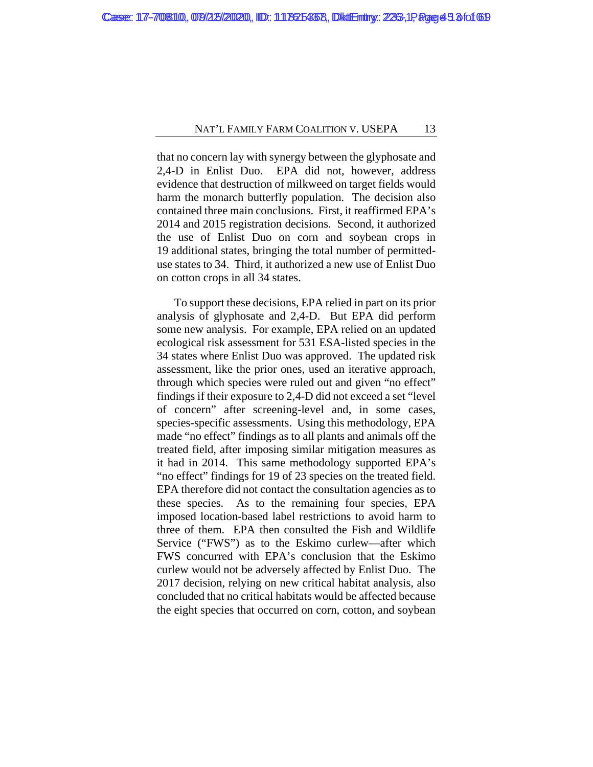that no concern lay with synergy between the glyphosate and 2,4-D in Enlist Duo. EPA did not, however, address evidence that destruction of milkweed on target fields would harm the monarch butterfly population. The decision also contained three main conclusions. First, it reaffirmed EPA's 2014 and 2015 registration decisions. Second, it authorized the use of Enlist Duo on corn and soybean crops in 19 additional states, bringing the total number of permitteduse states to 34. Third, it authorized a new use of Enlist Duo on cotton crops in all 34 states.

To support these decisions, EPA relied in part on its prior analysis of glyphosate and 2,4-D. But EPA did perform some new analysis. For example, EPA relied on an updated ecological risk assessment for 531 ESA-listed species in the 34 states where Enlist Duo was approved. The updated risk assessment, like the prior ones, used an iterative approach, through which species were ruled out and given "no effect" findings if their exposure to 2,4-D did not exceed a set "level of concern" after screening-level and, in some cases, species-specific assessments. Using this methodology, EPA made "no effect" findings as to all plants and animals off the treated field, after imposing similar mitigation measures as it had in 2014. This same methodology supported EPA's "no effect" findings for 19 of 23 species on the treated field. EPA therefore did not contact the consultation agencies as to these species. As to the remaining four species, EPA imposed location-based label restrictions to avoid harm to three of them. EPA then consulted the Fish and Wildlife Service ("FWS") as to the Eskimo curlew—after which FWS concurred with EPA's conclusion that the Eskimo curlew would not be adversely affected by Enlist Duo. The 2017 decision, relying on new critical habitat analysis, also concluded that no critical habitats would be affected because the eight species that occurred on corn, cotton, and soybean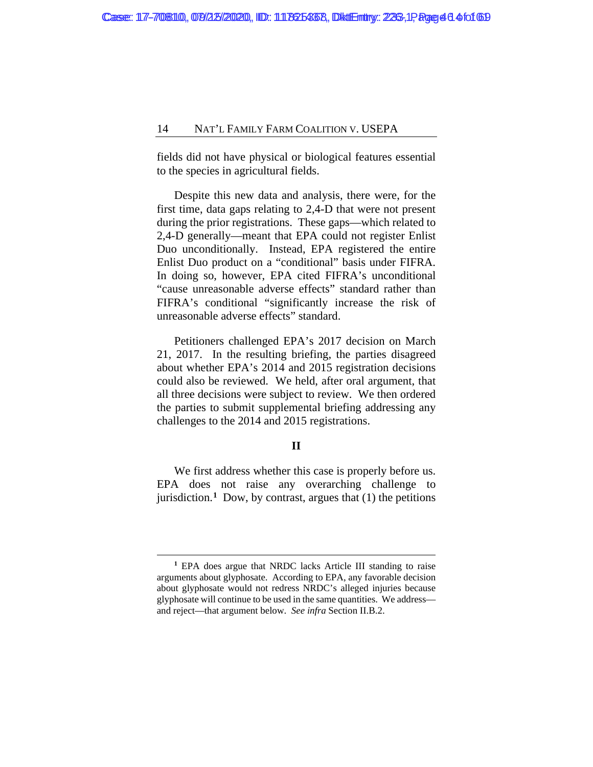fields did not have physical or biological features essential to the species in agricultural fields.

Despite this new data and analysis, there were, for the first time, data gaps relating to 2,4-D that were not present during the prior registrations. These gaps—which related to 2,4-D generally—meant that EPA could not register Enlist Duo unconditionally. Instead, EPA registered the entire Enlist Duo product on a "conditional" basis under FIFRA. In doing so, however, EPA cited FIFRA's unconditional "cause unreasonable adverse effects" standard rather than FIFRA's conditional "significantly increase the risk of unreasonable adverse effects" standard.

Petitioners challenged EPA's 2017 decision on March 21, 2017. In the resulting briefing, the parties disagreed about whether EPA's 2014 and 2015 registration decisions could also be reviewed. We held, after oral argument, that all three decisions were subject to review. We then ordered the parties to submit supplemental briefing addressing any challenges to the 2014 and 2015 registrations.

# **II**

We first address whether this case is properly before us. EPA does not raise any overarching challenge to jurisdiction.<sup>[1](#page-45-0)</sup> Dow, by contrast, argues that  $(1)$  the petitions

<span id="page-45-0"></span>**<sup>1</sup>** EPA does argue that NRDC lacks Article III standing to raise arguments about glyphosate. According to EPA, any favorable decision about glyphosate would not redress NRDC's alleged injuries because glyphosate will continue to be used in the same quantities. We address and reject—that argument below. *See infra* Section II.B.2.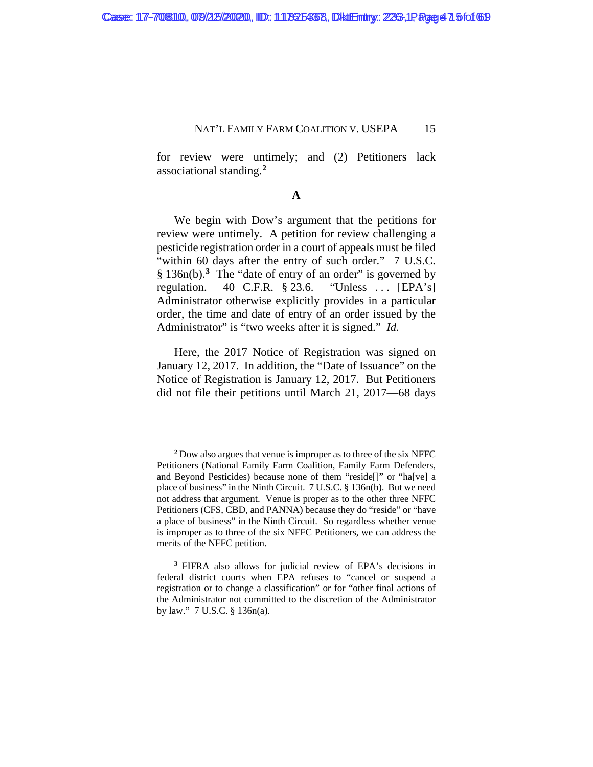for review were untimely; and (2) Petitioners lack associational standing.**[2](#page-46-0)**

### **A**

We begin with Dow's argument that the petitions for review were untimely. A petition for review challenging a pesticide registration order in a court of appeals must be filed "within 60 days after the entry of such order." 7 U.S.C. § 136n(b).**[3](#page-46-1)** The "date of entry of an order" is governed by regulation. 40 C.F.R.  $\S$  23.6. "Unless ... [EPA's] Administrator otherwise explicitly provides in a particular order, the time and date of entry of an order issued by the Administrator" is "two weeks after it is signed." *Id.*

Here, the 2017 Notice of Registration was signed on January 12, 2017. In addition, the "Date of Issuance" on the Notice of Registration is January 12, 2017. But Petitioners did not file their petitions until March 21, 2017—68 days

**<sup>2</sup>** Dow also argues that venue is improper as to three of the six NFFC Petitioners (National Family Farm Coalition, Family Farm Defenders, and Beyond Pesticides) because none of them "reside[]" or "ha[ve] a place of business" in the Ninth Circuit. 7 U.S.C. § 136n(b). But we need not address that argument. Venue is proper as to the other three NFFC Petitioners (CFS, CBD, and PANNA) because they do "reside" or "have a place of business" in the Ninth Circuit. So regardless whether venue is improper as to three of the six NFFC Petitioners, we can address the merits of the NFFC petition.

<span id="page-46-1"></span><span id="page-46-0"></span>**<sup>3</sup>** FIFRA also allows for judicial review of EPA's decisions in federal district courts when EPA refuses to "cancel or suspend a registration or to change a classification" or for "other final actions of the Administrator not committed to the discretion of the Administrator by law." 7 U.S.C. § 136n(a).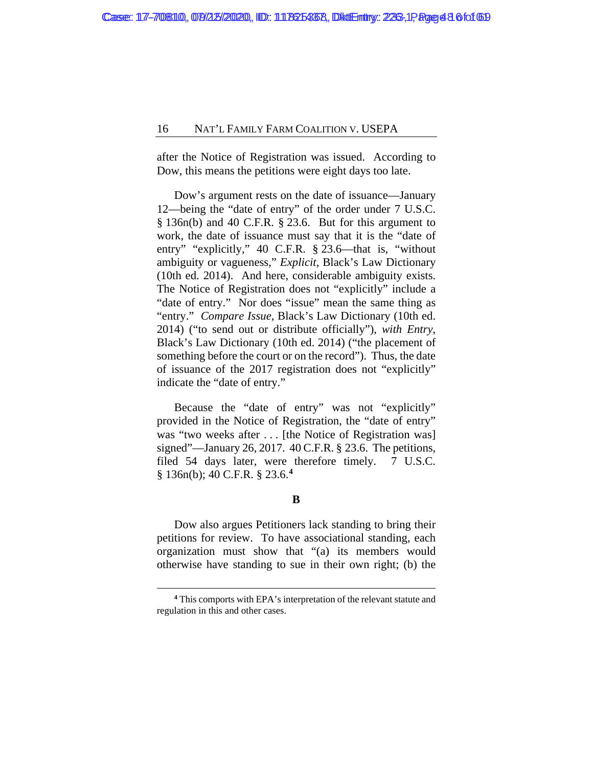after the Notice of Registration was issued. According to Dow, this means the petitions were eight days too late.

Dow's argument rests on the date of issuance—January 12—being the "date of entry" of the order under 7 U.S.C. § 136n(b) and 40 C.F.R. § 23.6. But for this argument to work, the date of issuance must say that it is the "date of entry" "explicitly," 40 C.F.R. § 23.6—that is, "without ambiguity or vagueness," *Explicit*, Black's Law Dictionary (10th ed. 2014). And here, considerable ambiguity exists. The Notice of Registration does not "explicitly" include a "date of entry." Nor does "issue" mean the same thing as "entry." *Compare Issue*, Black's Law Dictionary (10th ed. 2014) ("to send out or distribute officially"), *with Entry*, Black's Law Dictionary (10th ed. 2014) ("the placement of something before the court or on the record"). Thus, the date of issuance of the 2017 registration does not "explicitly" indicate the "date of entry."

Because the "date of entry" was not "explicitly" provided in the Notice of Registration, the "date of entry" was "two weeks after ... [the Notice of Registration was] signed"—January 26, 2017. 40 C.F.R. § 23.6. The petitions, filed 54 days later, were therefore timely. 7 U.S.C. § 136n(b); 40 C.F.R. § 23.6.**[4](#page-47-0)**

### **B**

Dow also argues Petitioners lack standing to bring their petitions for review. To have associational standing, each organization must show that "(a) its members would otherwise have standing to sue in their own right; (b) the

<span id="page-47-0"></span>**<sup>4</sup>** This comports with EPA's interpretation of the relevant statute and regulation in this and other cases.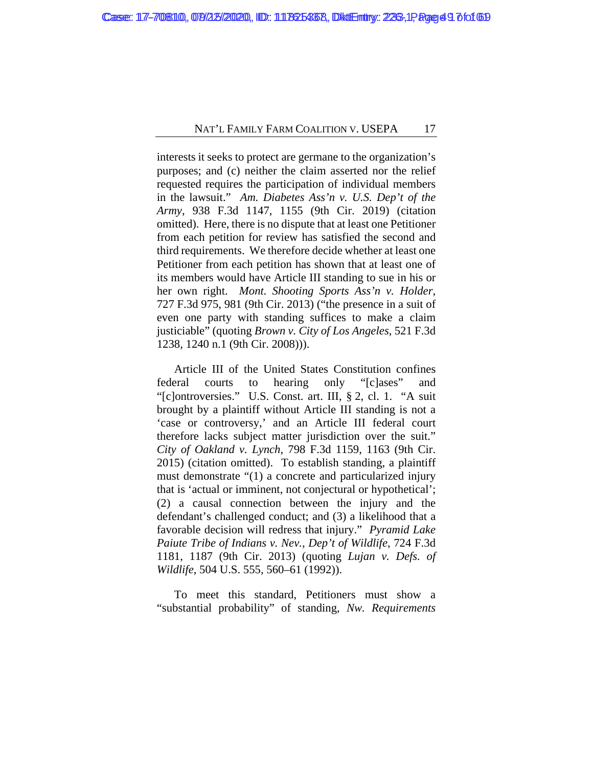interests it seeks to protect are germane to the organization's purposes; and (c) neither the claim asserted nor the relief requested requires the participation of individual members in the lawsuit." *Am. Diabetes Ass'n v. U.S. Dep't of the Army*, 938 F.3d 1147, 1155 (9th Cir. 2019) (citation omitted). Here, there is no dispute that at least one Petitioner from each petition for review has satisfied the second and third requirements. We therefore decide whether at least one Petitioner from each petition has shown that at least one of its members would have Article III standing to sue in his or her own right. *Mont. Shooting Sports Ass'n v. Holder*, 727 F.3d 975, 981 (9th Cir. 2013) ("the presence in a suit of even one party with standing suffices to make a claim justiciable" (quoting *Brown v. City of Los Angeles*, 521 F.3d 1238, 1240 n.1 (9th Cir. 2008))).

Article III of the United States Constitution confines federal courts to hearing only "[c]ases" and "[c]ontroversies." U.S. Const. art. III, § 2, cl. 1. "A suit brought by a plaintiff without Article III standing is not a 'case or controversy,' and an Article III federal court therefore lacks subject matter jurisdiction over the suit." *City of Oakland v. Lynch*, 798 F.3d 1159, 1163 (9th Cir. 2015) (citation omitted). To establish standing, a plaintiff must demonstrate "(1) a concrete and particularized injury that is 'actual or imminent, not conjectural or hypothetical'; (2) a causal connection between the injury and the defendant's challenged conduct; and (3) a likelihood that a favorable decision will redress that injury." *Pyramid Lake Paiute Tribe of Indians v. Nev., Dep't of Wildlife*, 724 F.3d 1181, 1187 (9th Cir. 2013) (quoting *Lujan v. Defs. of Wildlife*, 504 U.S. 555, 560–61 (1992)).

To meet this standard, Petitioners must show a "substantial probability" of standing, *Nw. Requirements*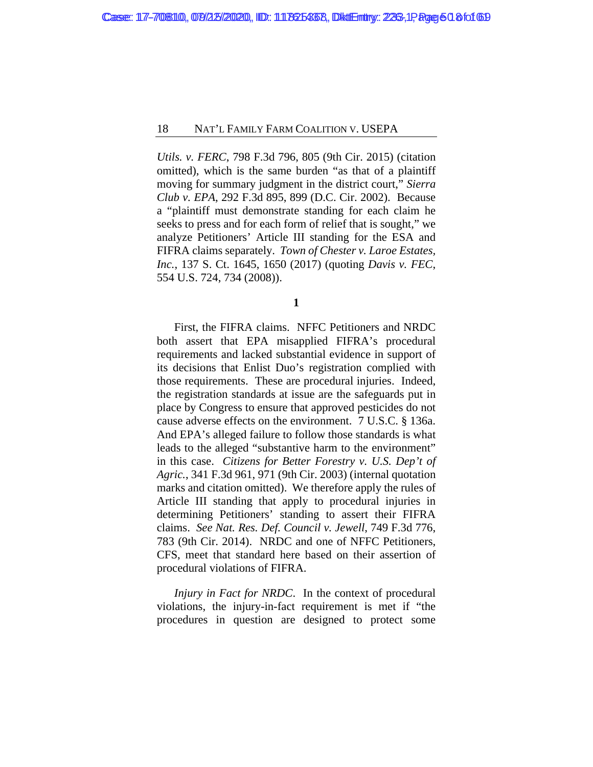*Utils. v. FERC*, 798 F.3d 796, 805 (9th Cir. 2015) (citation omitted), which is the same burden "as that of a plaintiff moving for summary judgment in the district court," *Sierra Club v. EPA*, 292 F.3d 895, 899 (D.C. Cir. 2002). Because a "plaintiff must demonstrate standing for each claim he seeks to press and for each form of relief that is sought," we analyze Petitioners' Article III standing for the ESA and FIFRA claims separately. *Town of Chester v. Laroe Estates, Inc.*, 137 S. Ct. 1645, 1650 (2017) (quoting *Davis v. FEC*, 554 U.S. 724, 734 (2008)).

**1**

First, the FIFRA claims. NFFC Petitioners and NRDC both assert that EPA misapplied FIFRA's procedural requirements and lacked substantial evidence in support of its decisions that Enlist Duo's registration complied with those requirements. These are procedural injuries. Indeed, the registration standards at issue are the safeguards put in place by Congress to ensure that approved pesticides do not cause adverse effects on the environment. 7 U.S.C. § 136a. And EPA's alleged failure to follow those standards is what leads to the alleged "substantive harm to the environment" in this case. *Citizens for Better Forestry v. U.S. Dep't of Agric.*, 341 F.3d 961, 971 (9th Cir. 2003) (internal quotation marks and citation omitted). We therefore apply the rules of Article III standing that apply to procedural injuries in determining Petitioners' standing to assert their FIFRA claims. *See Nat. Res. Def. Council v. Jewell*, 749 F.3d 776, 783 (9th Cir. 2014). NRDC and one of NFFC Petitioners, CFS, meet that standard here based on their assertion of procedural violations of FIFRA.

*Injury in Fact for NRDC*. In the context of procedural violations, the injury-in-fact requirement is met if "the procedures in question are designed to protect some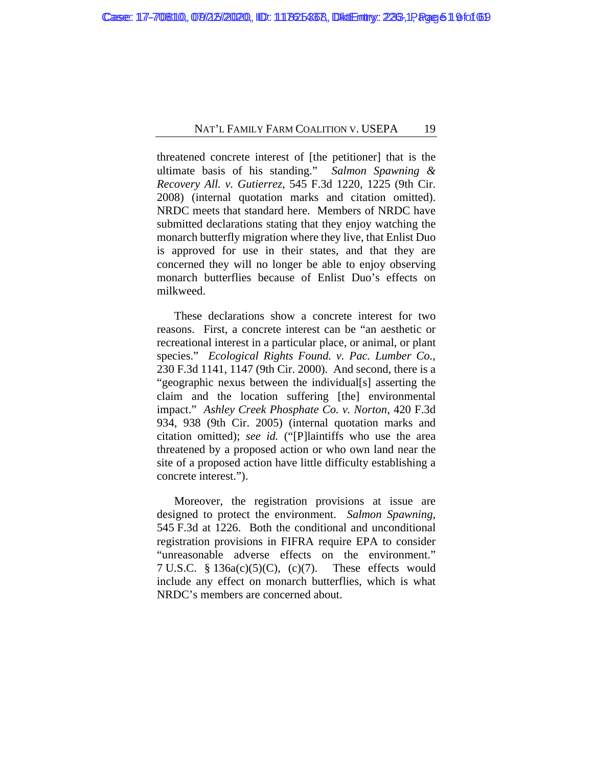threatened concrete interest of [the petitioner] that is the ultimate basis of his standing." *Salmon Spawning & Recovery All. v. Gutierrez*, 545 F.3d 1220, 1225 (9th Cir. 2008) (internal quotation marks and citation omitted). NRDC meets that standard here. Members of NRDC have submitted declarations stating that they enjoy watching the monarch butterfly migration where they live, that Enlist Duo is approved for use in their states, and that they are concerned they will no longer be able to enjoy observing monarch butterflies because of Enlist Duo's effects on milkweed.

These declarations show a concrete interest for two reasons. First, a concrete interest can be "an aesthetic or recreational interest in a particular place, or animal, or plant species." *Ecological Rights Found. v. Pac. Lumber Co.*, 230 F.3d 1141, 1147 (9th Cir. 2000). And second, there is a "geographic nexus between the individual[s] asserting the claim and the location suffering [the] environmental impact." *Ashley Creek Phosphate Co. v. Norton*, 420 F.3d 934, 938 (9th Cir. 2005) (internal quotation marks and citation omitted); *see id.* ("[P]laintiffs who use the area threatened by a proposed action or who own land near the site of a proposed action have little difficulty establishing a concrete interest.").

Moreover, the registration provisions at issue are designed to protect the environment. *Salmon Spawning*, 545 F.3d at 1226. Both the conditional and unconditional registration provisions in FIFRA require EPA to consider "unreasonable adverse effects on the environment." 7 U.S.C. § 136a(c)(5)(C), (c)(7). These effects would include any effect on monarch butterflies, which is what NRDC's members are concerned about.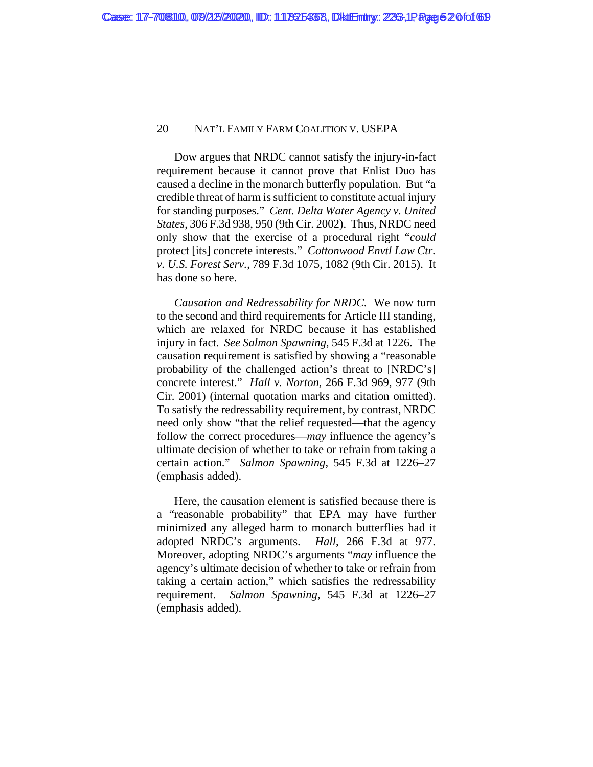Dow argues that NRDC cannot satisfy the injury-in-fact requirement because it cannot prove that Enlist Duo has caused a decline in the monarch butterfly population. But "a credible threat of harm is sufficient to constitute actual injury for standing purposes." *Cent. Delta Water Agency v. United States*, 306 F.3d 938, 950 (9th Cir. 2002). Thus, NRDC need only show that the exercise of a procedural right "*could*  protect [its] concrete interests." *Cottonwood Envtl Law Ctr. v. U.S. Forest Serv.*, 789 F.3d 1075, 1082 (9th Cir. 2015). It has done so here.

*Causation and Redressability for NRDC.* We now turn to the second and third requirements for Article III standing, which are relaxed for NRDC because it has established injury in fact. *See Salmon Spawning*, 545 F.3d at 1226. The causation requirement is satisfied by showing a "reasonable probability of the challenged action's threat to [NRDC's] concrete interest." *Hall v. Norton*, 266 F.3d 969, 977 (9th Cir. 2001) (internal quotation marks and citation omitted). To satisfy the redressability requirement, by contrast, NRDC need only show "that the relief requested—that the agency follow the correct procedures—*may* influence the agency's ultimate decision of whether to take or refrain from taking a certain action." *Salmon Spawning*, 545 F.3d at 1226–27 (emphasis added).

Here, the causation element is satisfied because there is a "reasonable probability" that EPA may have further minimized any alleged harm to monarch butterflies had it adopted NRDC's arguments. *Hall*, 266 F.3d at 977. Moreover, adopting NRDC's arguments "*may* influence the agency's ultimate decision of whether to take or refrain from taking a certain action," which satisfies the redressability requirement. *Salmon Spawning*, 545 F.3d at 1226–27 (emphasis added).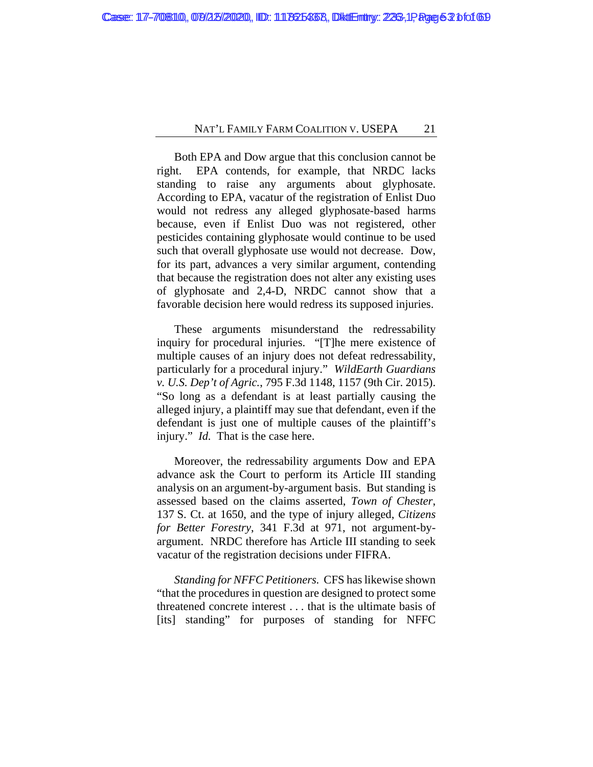Both EPA and Dow argue that this conclusion cannot be right. EPA contends, for example, that NRDC lacks standing to raise any arguments about glyphosate. According to EPA, vacatur of the registration of Enlist Duo would not redress any alleged glyphosate-based harms because, even if Enlist Duo was not registered, other pesticides containing glyphosate would continue to be used such that overall glyphosate use would not decrease. Dow, for its part, advances a very similar argument, contending that because the registration does not alter any existing uses of glyphosate and 2,4-D, NRDC cannot show that a favorable decision here would redress its supposed injuries.

These arguments misunderstand the redressability inquiry for procedural injuries. "[T]he mere existence of multiple causes of an injury does not defeat redressability, particularly for a procedural injury." *WildEarth Guardians v. U.S. Dep't of Agric.*, 795 F.3d 1148, 1157 (9th Cir. 2015). "So long as a defendant is at least partially causing the alleged injury, a plaintiff may sue that defendant, even if the defendant is just one of multiple causes of the plaintiff's injury." *Id.* That is the case here.

Moreover, the redressability arguments Dow and EPA advance ask the Court to perform its Article III standing analysis on an argument-by-argument basis. But standing is assessed based on the claims asserted, *Town of Chester*, 137 S. Ct. at 1650, and the type of injury alleged, *Citizens for Better Forestry*, 341 F.3d at 971, not argument-byargument. NRDC therefore has Article III standing to seek vacatur of the registration decisions under FIFRA.

*Standing for NFFC Petitioners.* CFS has likewise shown "that the procedures in question are designed to protect some threatened concrete interest . . . that is the ultimate basis of [its] standing" for purposes of standing for NFFC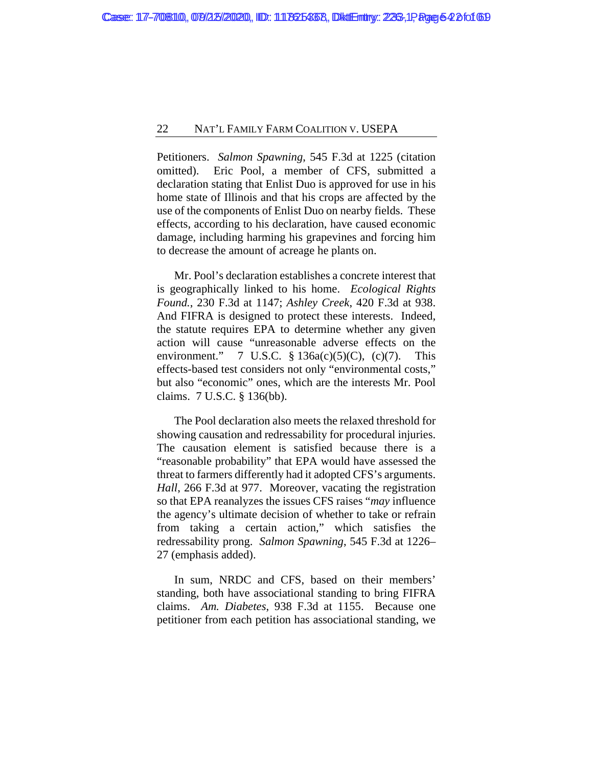Petitioners. *Salmon Spawning*, 545 F.3d at 1225 (citation omitted). Eric Pool, a member of CFS, submitted a declaration stating that Enlist Duo is approved for use in his home state of Illinois and that his crops are affected by the use of the components of Enlist Duo on nearby fields. These effects, according to his declaration, have caused economic damage, including harming his grapevines and forcing him to decrease the amount of acreage he plants on.

Mr. Pool's declaration establishes a concrete interest that is geographically linked to his home. *Ecological Rights Found.*, 230 F.3d at 1147; *Ashley Creek*, 420 F.3d at 938. And FIFRA is designed to protect these interests. Indeed, the statute requires EPA to determine whether any given action will cause "unreasonable adverse effects on the environment." 7 U.S.C.  $\S$  136a(c)(5)(C), (c)(7). This effects-based test considers not only "environmental costs," but also "economic" ones, which are the interests Mr. Pool claims. 7 U.S.C. § 136(bb).

The Pool declaration also meets the relaxed threshold for showing causation and redressability for procedural injuries. The causation element is satisfied because there is a "reasonable probability" that EPA would have assessed the threat to farmers differently had it adopted CFS's arguments. *Hall*, 266 F.3d at 977. Moreover, vacating the registration so that EPA reanalyzes the issues CFS raises "*may* influence the agency's ultimate decision of whether to take or refrain from taking a certain action," which satisfies the redressability prong. *Salmon Spawning*, 545 F.3d at 1226– 27 (emphasis added).

In sum, NRDC and CFS, based on their members' standing, both have associational standing to bring FIFRA claims. *Am. Diabetes*, 938 F.3d at 1155. Because one petitioner from each petition has associational standing, we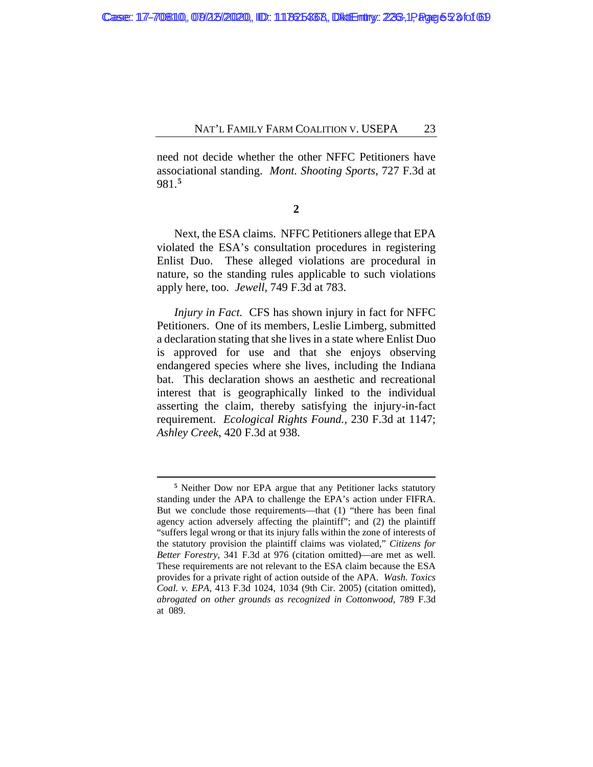need not decide whether the other NFFC Petitioners have associational standing. *Mont. Shooting Sports*, 727 F.3d at 981.**[5](#page-54-0)**

**2**

Next, the ESA claims. NFFC Petitioners allege that EPA violated the ESA's consultation procedures in registering Enlist Duo. These alleged violations are procedural in nature, so the standing rules applicable to such violations apply here, too. *Jewell*, 749 F.3d at 783.

*Injury in Fact.* CFS has shown injury in fact for NFFC Petitioners. One of its members, Leslie Limberg, submitted a declaration stating that she lives in a state where Enlist Duo is approved for use and that she enjoys observing endangered species where she lives, including the Indiana bat. This declaration shows an aesthetic and recreational interest that is geographically linked to the individual asserting the claim, thereby satisfying the injury-in-fact requirement. *Ecological Rights Found.*, 230 F.3d at 1147; *Ashley Creek*, 420 F.3d at 938.

<span id="page-54-0"></span>**<sup>5</sup>** Neither Dow nor EPA argue that any Petitioner lacks statutory standing under the APA to challenge the EPA's action under FIFRA. But we conclude those requirements—that (1) "there has been final agency action adversely affecting the plaintiff"; and (2) the plaintiff "suffers legal wrong or that its injury falls within the zone of interests of the statutory provision the plaintiff claims was violated," *Citizens for Better Forestry*, 341 F.3d at 976 (citation omitted)—are met as well. These requirements are not relevant to the ESA claim because the ESA provides for a private right of action outside of the APA. *Wash. Toxics Coal. v. EPA*, 413 F.3d 1024, 1034 (9th Cir. 2005) (citation omitted), *abrogated on other grounds as recognized in Cottonwood*, 789 F.3d at 089.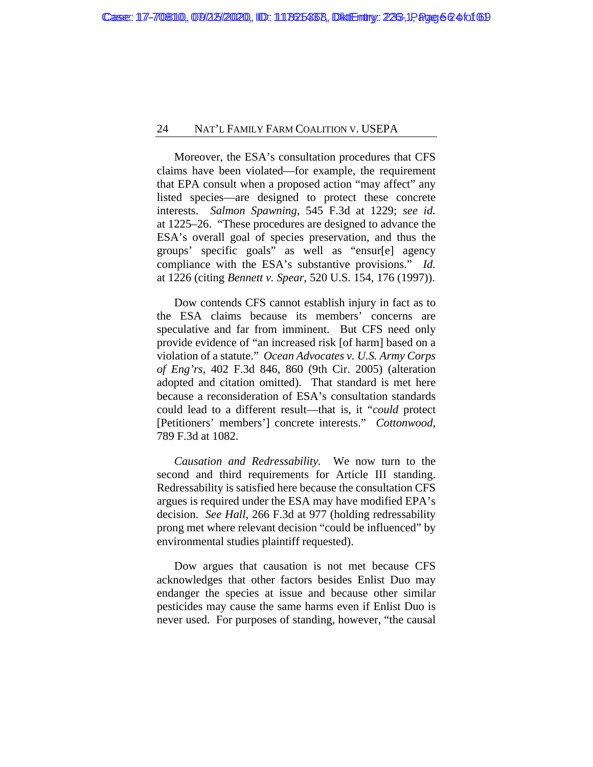Moreover, the ESA's consultation procedures that CFS claims have been violated—for example, the requirement that EPA consult when a proposed action "may affect" any listed species—are designed to protect these concrete interests. *Salmon Spawning*, 545 F.3d at 1229; *see id.*  at 1225–26. "These procedures are designed to advance the ESA's overall goal of species preservation, and thus the groups' specific goals" as well as "ensur[e] agency compliance with the ESA's substantive provisions." *Id.*  at 1226 (citing *Bennett v. Spear*, 520 U.S. 154, 176 (1997)).

Dow contends CFS cannot establish injury in fact as to the ESA claims because its members' concerns are speculative and far from imminent. But CFS need only provide evidence of "an increased risk [of harm] based on a violation of a statute." *Ocean Advocates v. U.S. Army Corps of Eng'rs*, 402 F.3d 846, 860 (9th Cir. 2005) (alteration adopted and citation omitted). That standard is met here because a reconsideration of ESA's consultation standards could lead to a different result—that is, it "*could* protect [Petitioners' members'] concrete interests." *Cottonwood*, 789 F.3d at 1082.

*Causation and Redressability.* We now turn to the second and third requirements for Article III standing. Redressability is satisfied here because the consultation CFS argues is required under the ESA may have modified EPA's decision. *See Hall*, 266 F.3d at 977 (holding redressability prong met where relevant decision "could be influenced" by environmental studies plaintiff requested).

Dow argues that causation is not met because CFS acknowledges that other factors besides Enlist Duo may endanger the species at issue and because other similar pesticides may cause the same harms even if Enlist Duo is never used. For purposes of standing, however, "the causal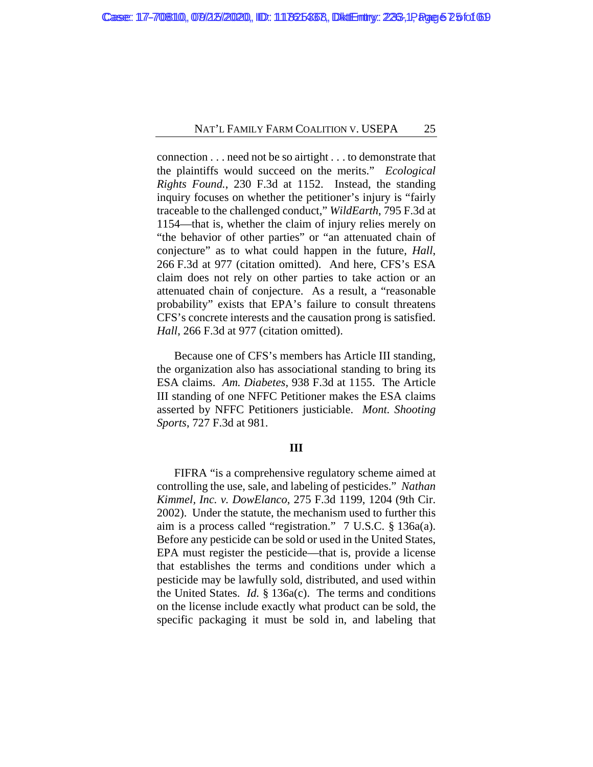connection . . . need not be so airtight . . . to demonstrate that the plaintiffs would succeed on the merits." *Ecological Rights Found.*, 230 F.3d at 1152. Instead, the standing inquiry focuses on whether the petitioner's injury is "fairly traceable to the challenged conduct," *WildEarth*, 795 F.3d at 1154—that is, whether the claim of injury relies merely on "the behavior of other parties" or "an attenuated chain of conjecture" as to what could happen in the future, *Hall*, 266 F.3d at 977 (citation omitted). And here, CFS's ESA claim does not rely on other parties to take action or an attenuated chain of conjecture. As a result, a "reasonable probability" exists that EPA's failure to consult threatens CFS's concrete interests and the causation prong is satisfied. *Hall*, 266 F.3d at 977 (citation omitted).

Because one of CFS's members has Article III standing, the organization also has associational standing to bring its ESA claims. *Am. Diabetes*, 938 F.3d at 1155. The Article III standing of one NFFC Petitioner makes the ESA claims asserted by NFFC Petitioners justiciable. *Mont. Shooting Sports*, 727 F.3d at 981.

# **III**

FIFRA "is a comprehensive regulatory scheme aimed at controlling the use, sale, and labeling of pesticides." *Nathan Kimmel, Inc. v. DowElanco*, 275 F.3d 1199, 1204 (9th Cir. 2002). Under the statute, the mechanism used to further this aim is a process called "registration." 7 U.S.C. § 136a(a). Before any pesticide can be sold or used in the United States, EPA must register the pesticide—that is, provide a license that establishes the terms and conditions under which a pesticide may be lawfully sold, distributed, and used within the United States. *Id.* § 136a(c). The terms and conditions on the license include exactly what product can be sold, the specific packaging it must be sold in, and labeling that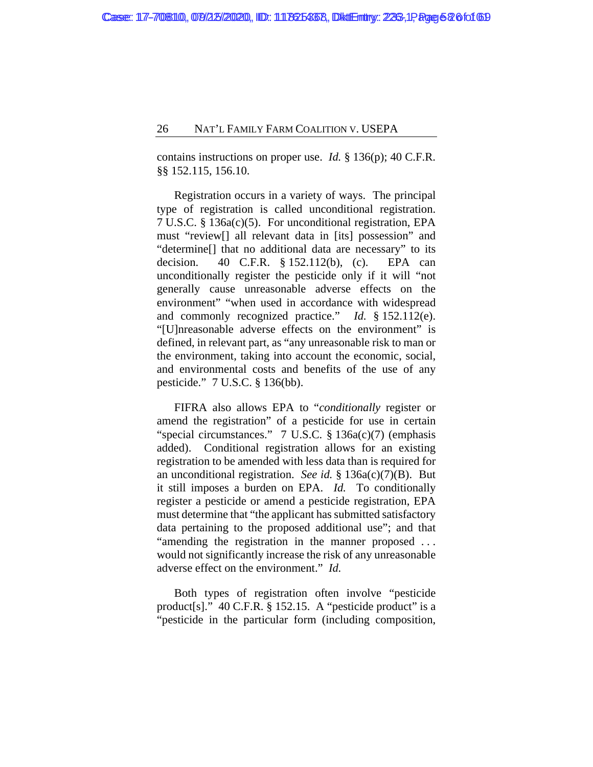contains instructions on proper use. *Id.* § 136(p); 40 C.F.R. §§ 152.115, 156.10.

Registration occurs in a variety of ways. The principal type of registration is called unconditional registration. 7 U.S.C. § 136a(c)(5). For unconditional registration, EPA must "review[] all relevant data in [its] possession" and "determine[] that no additional data are necessary" to its decision. 40 C.F.R. § 152.112(b), (c). EPA can unconditionally register the pesticide only if it will "not generally cause unreasonable adverse effects on the environment" "when used in accordance with widespread and commonly recognized practice." *Id.* § 152.112(e). "[U]nreasonable adverse effects on the environment" is defined, in relevant part, as "any unreasonable risk to man or the environment, taking into account the economic, social, and environmental costs and benefits of the use of any pesticide." 7 U.S.C. § 136(bb).

FIFRA also allows EPA to "*conditionally* register or amend the registration" of a pesticide for use in certain "special circumstances." 7 U.S.C. § 136a(c)(7) (emphasis added). Conditional registration allows for an existing registration to be amended with less data than is required for an unconditional registration. *See id.* § 136a(c)(7)(B). But it still imposes a burden on EPA. *Id.* To conditionally register a pesticide or amend a pesticide registration, EPA must determine that "the applicant has submitted satisfactory data pertaining to the proposed additional use"; and that "amending the registration in the manner proposed ... would not significantly increase the risk of any unreasonable adverse effect on the environment." *Id.*

Both types of registration often involve "pesticide product[s]." 40 C.F.R. § 152.15. A "pesticide product" is a "pesticide in the particular form (including composition,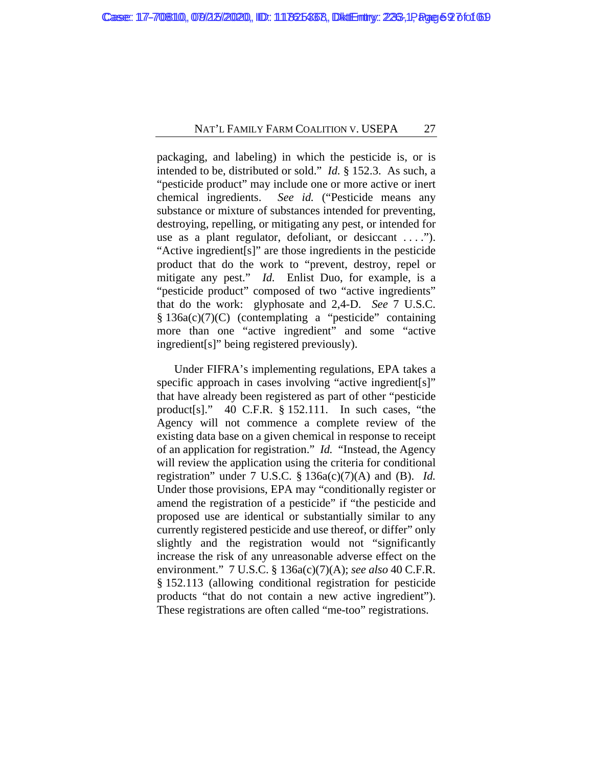packaging, and labeling) in which the pesticide is, or is intended to be, distributed or sold." *Id.* § 152.3. As such, a "pesticide product" may include one or more active or inert chemical ingredients. *See id.* ("Pesticide means any substance or mixture of substances intended for preventing, destroying, repelling, or mitigating any pest, or intended for use as a plant regulator, defoliant, or desiccant ...."). "Active ingredient[s]" are those ingredients in the pesticide product that do the work to "prevent, destroy, repel or mitigate any pest." *Id.* Enlist Duo, for example, is a "pesticide product" composed of two "active ingredients" that do the work: glyphosate and 2,4-D. *See* 7 U.S.C. § 136a(c)(7)(C) (contemplating a "pesticide" containing more than one "active ingredient" and some "active ingredient[s]" being registered previously).

Under FIFRA's implementing regulations, EPA takes a specific approach in cases involving "active ingredient[s]" that have already been registered as part of other "pesticide product[s]." 40 C.F.R. § 152.111. In such cases, "the Agency will not commence a complete review of the existing data base on a given chemical in response to receipt of an application for registration." *Id.* "Instead, the Agency will review the application using the criteria for conditional registration" under 7 U.S.C. § 136a(c)(7)(A) and (B). *Id.* Under those provisions, EPA may "conditionally register or amend the registration of a pesticide" if "the pesticide and proposed use are identical or substantially similar to any currently registered pesticide and use thereof, or differ" only slightly and the registration would not "significantly increase the risk of any unreasonable adverse effect on the environment." 7 U.S.C. § 136a(c)(7)(A); *see also* 40 C.F.R. § 152.113 (allowing conditional registration for pesticide products "that do not contain a new active ingredient"). These registrations are often called "me-too" registrations.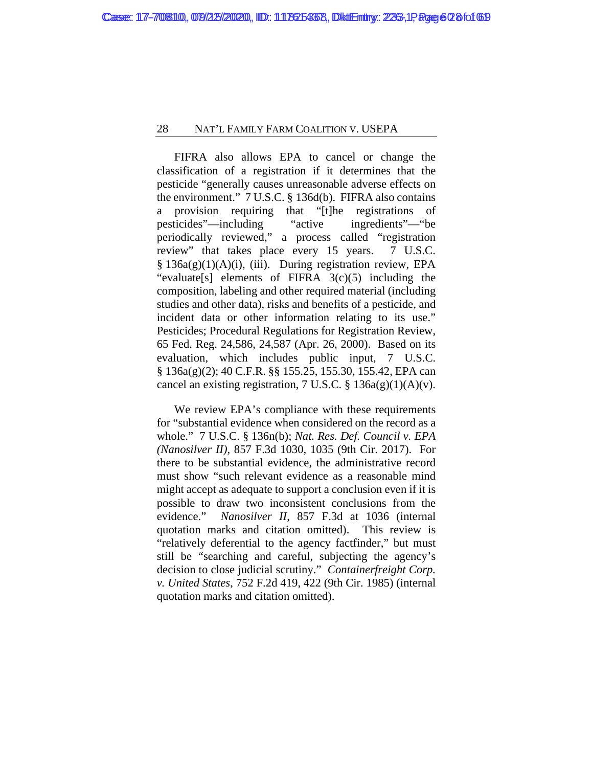FIFRA also allows EPA to cancel or change the classification of a registration if it determines that the pesticide "generally causes unreasonable adverse effects on the environment." 7 U.S.C. § 136d(b). FIFRA also contains a provision requiring that "[t]he registrations of pesticides"—including "active ingredients"—"be periodically reviewed," a process called "registration review" that takes place every 15 years. 7 U.S.C. § 136a(g)(1)(A)(i), (iii). During registration review, EPA "evaluate<sup>[s]</sup> elements of FIFRA  $3(c)(5)$  including the composition, labeling and other required material (including studies and other data), risks and benefits of a pesticide, and incident data or other information relating to its use." Pesticides; Procedural Regulations for Registration Review, 65 Fed. Reg. 24,586, 24,587 (Apr. 26, 2000). Based on its evaluation, which includes public input, 7 U.S.C. § 136a(g)(2); 40 C.F.R. §§ 155.25, 155.30, 155.42, EPA can cancel an existing registration, 7 U.S.C.  $\S$  136a(g)(1)(A)(v).

We review EPA's compliance with these requirements for "substantial evidence when considered on the record as a whole." 7 U.S.C. § 136n(b); *Nat. Res. Def. Council v. EPA (Nanosilver II)*, 857 F.3d 1030, 1035 (9th Cir. 2017). For there to be substantial evidence, the administrative record must show "such relevant evidence as a reasonable mind might accept as adequate to support a conclusion even if it is possible to draw two inconsistent conclusions from the evidence." *Nanosilver II*, 857 F.3d at 1036 (internal quotation marks and citation omitted). This review is "relatively deferential to the agency factfinder," but must still be "searching and careful, subjecting the agency's decision to close judicial scrutiny." *Containerfreight Corp. v. United States*, 752 F.2d 419, 422 (9th Cir. 1985) (internal quotation marks and citation omitted).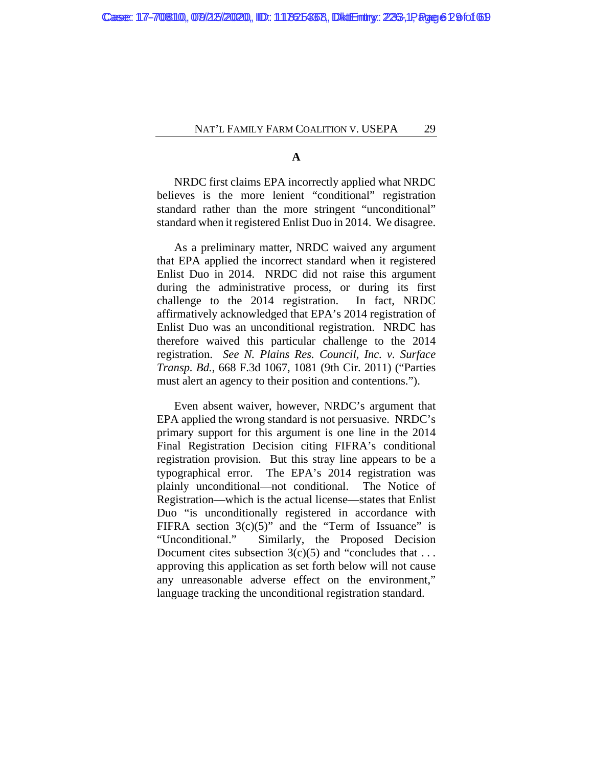**A**

NRDC first claims EPA incorrectly applied what NRDC believes is the more lenient "conditional" registration standard rather than the more stringent "unconditional" standard when it registered Enlist Duo in 2014. We disagree.

As a preliminary matter, NRDC waived any argument that EPA applied the incorrect standard when it registered Enlist Duo in 2014. NRDC did not raise this argument during the administrative process, or during its first challenge to the 2014 registration. In fact, NRDC affirmatively acknowledged that EPA's 2014 registration of Enlist Duo was an unconditional registration. NRDC has therefore waived this particular challenge to the 2014 registration. *See N. Plains Res. Council, Inc. v. Surface Transp. Bd.*, 668 F.3d 1067, 1081 (9th Cir. 2011) ("Parties must alert an agency to their position and contentions.").

Even absent waiver, however, NRDC's argument that EPA applied the wrong standard is not persuasive. NRDC's primary support for this argument is one line in the 2014 Final Registration Decision citing FIFRA's conditional registration provision. But this stray line appears to be a typographical error. The EPA's 2014 registration was plainly unconditional—not conditional. The Notice of Registration—which is the actual license—states that Enlist Duo "is unconditionally registered in accordance with FIFRA section  $3(c)(5)$ " and the "Term of Issuance" is "Unconditional." Similarly, the Proposed Decision Document cites subsection  $3(c)(5)$  and "concludes that ... approving this application as set forth below will not cause any unreasonable adverse effect on the environment," language tracking the unconditional registration standard.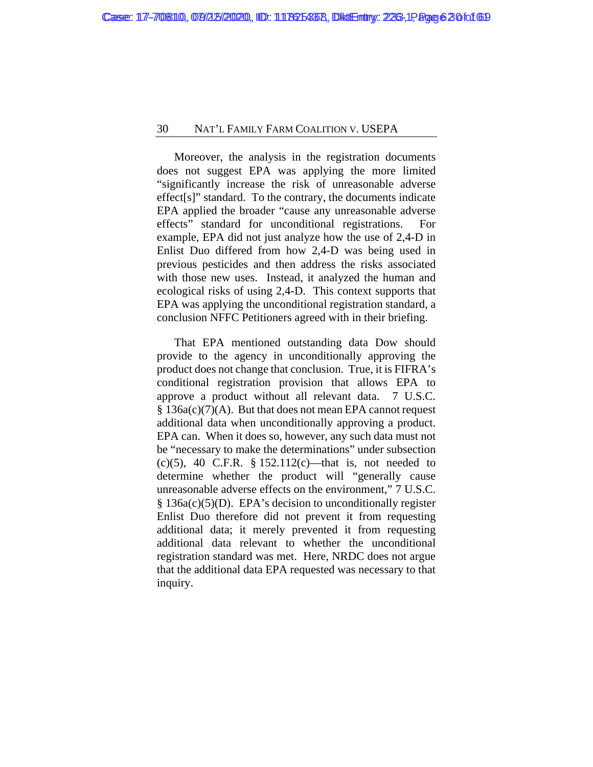Moreover, the analysis in the registration documents does not suggest EPA was applying the more limited "significantly increase the risk of unreasonable adverse effect[s]" standard. To the contrary, the documents indicate EPA applied the broader "cause any unreasonable adverse effects" standard for unconditional registrations. For example, EPA did not just analyze how the use of 2,4-D in Enlist Duo differed from how 2,4-D was being used in previous pesticides and then address the risks associated with those new uses. Instead, it analyzed the human and ecological risks of using 2,4-D. This context supports that EPA was applying the unconditional registration standard, a conclusion NFFC Petitioners agreed with in their briefing.

That EPA mentioned outstanding data Dow should provide to the agency in unconditionally approving the product does not change that conclusion. True, it is FIFRA's conditional registration provision that allows EPA to approve a product without all relevant data. 7 U.S.C. § 136a(c)(7)(A). But that does not mean EPA cannot request additional data when unconditionally approving a product. EPA can. When it does so, however, any such data must not be "necessary to make the determinations" under subsection (c)(5), 40 C.F.R. § 152.112(c)—that is, not needed to determine whether the product will "generally cause unreasonable adverse effects on the environment," 7 U.S.C. § 136a(c)(5)(D). EPA's decision to unconditionally register Enlist Duo therefore did not prevent it from requesting additional data; it merely prevented it from requesting additional data relevant to whether the unconditional registration standard was met. Here, NRDC does not argue that the additional data EPA requested was necessary to that inquiry.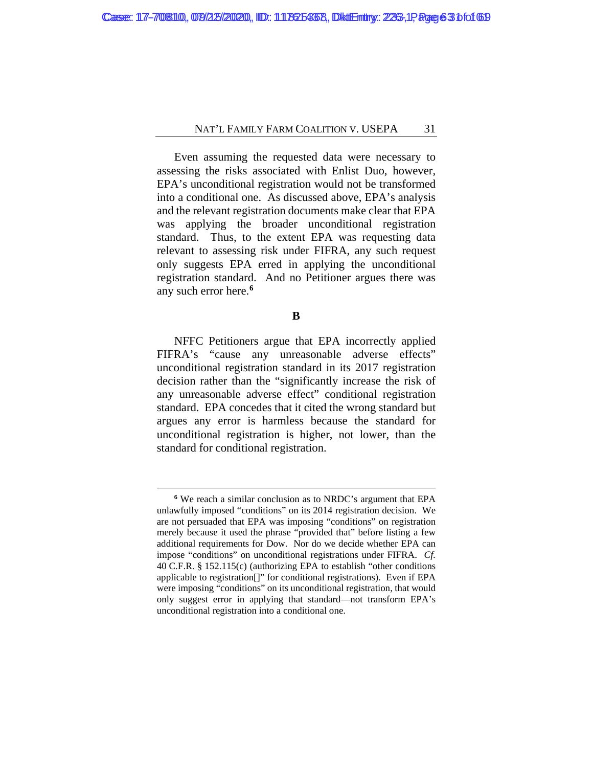Even assuming the requested data were necessary to assessing the risks associated with Enlist Duo, however, EPA's unconditional registration would not be transformed into a conditional one. As discussed above, EPA's analysis and the relevant registration documents make clear that EPA was applying the broader unconditional registration standard. Thus, to the extent EPA was requesting data relevant to assessing risk under FIFRA, any such request only suggests EPA erred in applying the unconditional registration standard. And no Petitioner argues there was any such error here.**[6](#page-62-0)**

**B**

NFFC Petitioners argue that EPA incorrectly applied FIFRA's "cause any unreasonable adverse effects" unconditional registration standard in its 2017 registration decision rather than the "significantly increase the risk of any unreasonable adverse effect" conditional registration standard. EPA concedes that it cited the wrong standard but argues any error is harmless because the standard for unconditional registration is higher, not lower, than the standard for conditional registration.

<span id="page-62-0"></span>**<sup>6</sup>** We reach a similar conclusion as to NRDC's argument that EPA unlawfully imposed "conditions" on its 2014 registration decision. We are not persuaded that EPA was imposing "conditions" on registration merely because it used the phrase "provided that" before listing a few additional requirements for Dow. Nor do we decide whether EPA can impose "conditions" on unconditional registrations under FIFRA. *Cf.* 40 C.F.R. § 152.115(c) (authorizing EPA to establish "other conditions applicable to registration[]" for conditional registrations). Even if EPA were imposing "conditions" on its unconditional registration, that would only suggest error in applying that standard—not transform EPA's unconditional registration into a conditional one.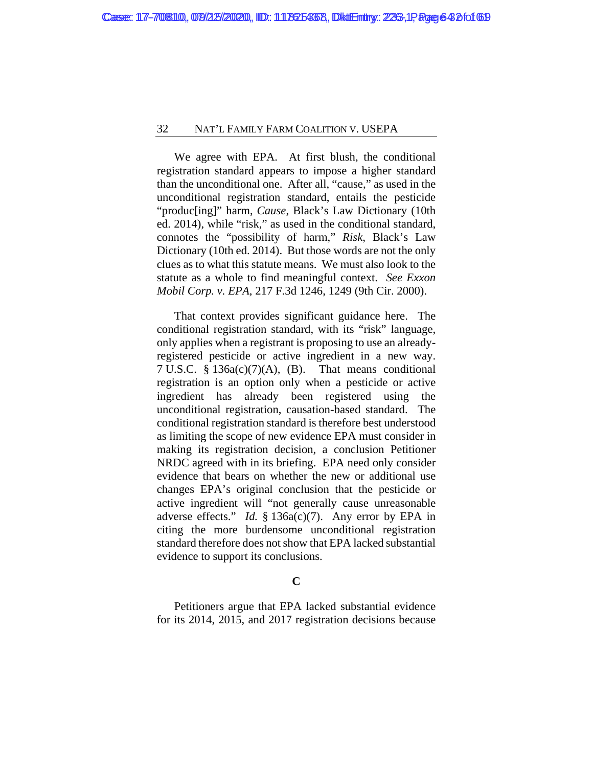We agree with EPA. At first blush, the conditional registration standard appears to impose a higher standard than the unconditional one. After all, "cause," as used in the unconditional registration standard, entails the pesticide "produc[ing]" harm, *Cause*, Black's Law Dictionary (10th ed. 2014), while "risk," as used in the conditional standard, connotes the "possibility of harm," *Risk*, Black's Law Dictionary (10th ed. 2014). But those words are not the only clues as to what this statute means. We must also look to the statute as a whole to find meaningful context. *See Exxon Mobil Corp. v. EPA*, 217 F.3d 1246, 1249 (9th Cir. 2000).

That context provides significant guidance here. The conditional registration standard, with its "risk" language, only applies when a registrant is proposing to use an alreadyregistered pesticide or active ingredient in a new way. 7 U.S.C. § 136a(c)(7)(A), (B). That means conditional registration is an option only when a pesticide or active ingredient has already been registered using the unconditional registration, causation-based standard. The conditional registration standard is therefore best understood as limiting the scope of new evidence EPA must consider in making its registration decision, a conclusion Petitioner NRDC agreed with in its briefing. EPA need only consider evidence that bears on whether the new or additional use changes EPA's original conclusion that the pesticide or active ingredient will "not generally cause unreasonable adverse effects." *Id.* § 136a(c)(7). Any error by EPA in citing the more burdensome unconditional registration standard therefore does not show that EPA lacked substantial evidence to support its conclusions.

# **C**

Petitioners argue that EPA lacked substantial evidence for its 2014, 2015, and 2017 registration decisions because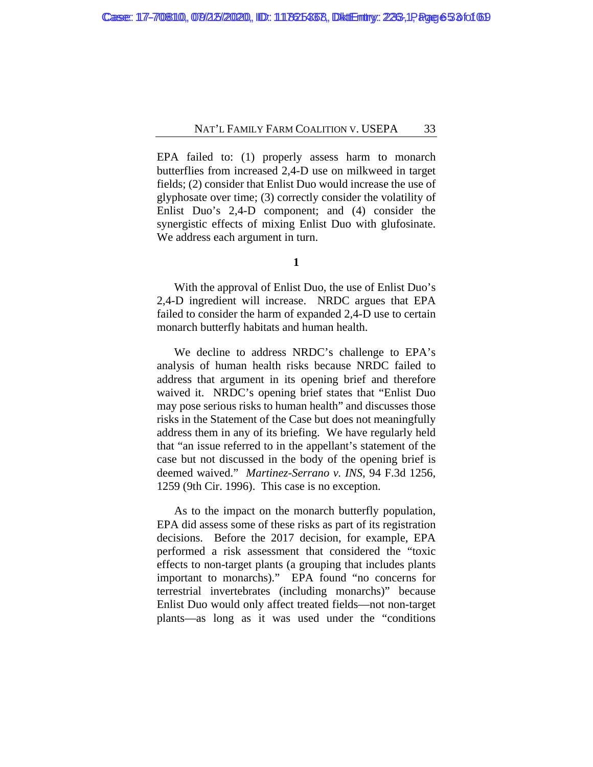EPA failed to: (1) properly assess harm to monarch butterflies from increased 2,4-D use on milkweed in target fields; (2) consider that Enlist Duo would increase the use of glyphosate over time; (3) correctly consider the volatility of Enlist Duo's 2,4-D component; and (4) consider the synergistic effects of mixing Enlist Duo with glufosinate. We address each argument in turn.

With the approval of Enlist Duo, the use of Enlist Duo's 2,4-D ingredient will increase. NRDC argues that EPA failed to consider the harm of expanded 2,4-D use to certain monarch butterfly habitats and human health.

We decline to address NRDC's challenge to EPA's analysis of human health risks because NRDC failed to address that argument in its opening brief and therefore waived it. NRDC's opening brief states that "Enlist Duo may pose serious risks to human health" and discusses those risks in the Statement of the Case but does not meaningfully address them in any of its briefing. We have regularly held that "an issue referred to in the appellant's statement of the case but not discussed in the body of the opening brief is deemed waived." *Martinez-Serrano v. INS*, 94 F.3d 1256, 1259 (9th Cir. 1996). This case is no exception.

As to the impact on the monarch butterfly population, EPA did assess some of these risks as part of its registration decisions. Before the 2017 decision, for example, EPA performed a risk assessment that considered the "toxic effects to non-target plants (a grouping that includes plants important to monarchs)." EPA found "no concerns for terrestrial invertebrates (including monarchs)" because Enlist Duo would only affect treated fields—not non-target plants—as long as it was used under the "conditions

**<sup>1</sup>**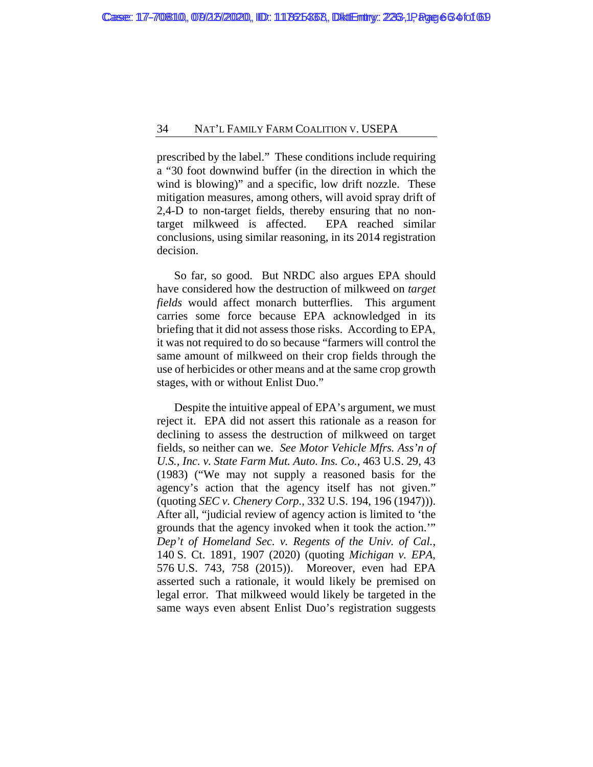prescribed by the label." These conditions include requiring a "30 foot downwind buffer (in the direction in which the wind is blowing)" and a specific, low drift nozzle. These mitigation measures, among others, will avoid spray drift of 2,4-D to non-target fields, thereby ensuring that no nontarget milkweed is affected. EPA reached similar conclusions, using similar reasoning, in its 2014 registration decision.

So far, so good. But NRDC also argues EPA should have considered how the destruction of milkweed on *target fields* would affect monarch butterflies. This argument carries some force because EPA acknowledged in its briefing that it did not assess those risks. According to EPA, it was not required to do so because "farmers will control the same amount of milkweed on their crop fields through the use of herbicides or other means and at the same crop growth stages, with or without Enlist Duo."

Despite the intuitive appeal of EPA's argument, we must reject it. EPA did not assert this rationale as a reason for declining to assess the destruction of milkweed on target fields, so neither can we. *See Motor Vehicle Mfrs. Ass'n of U.S., Inc. v. State Farm Mut. Auto. Ins. Co.*, 463 U.S. 29, 43 (1983) ("We may not supply a reasoned basis for the agency's action that the agency itself has not given." (quoting *SEC v. Chenery Corp.*, 332 U.S. 194, 196 (1947))). After all, "judicial review of agency action is limited to 'the grounds that the agency invoked when it took the action.'" *Dep't of Homeland Sec. v. Regents of the Univ. of Cal.*, 140 S. Ct. 1891, 1907 (2020) (quoting *Michigan v. EPA*, 576 U.S. 743, 758 (2015)). Moreover, even had EPA asserted such a rationale, it would likely be premised on legal error. That milkweed would likely be targeted in the same ways even absent Enlist Duo's registration suggests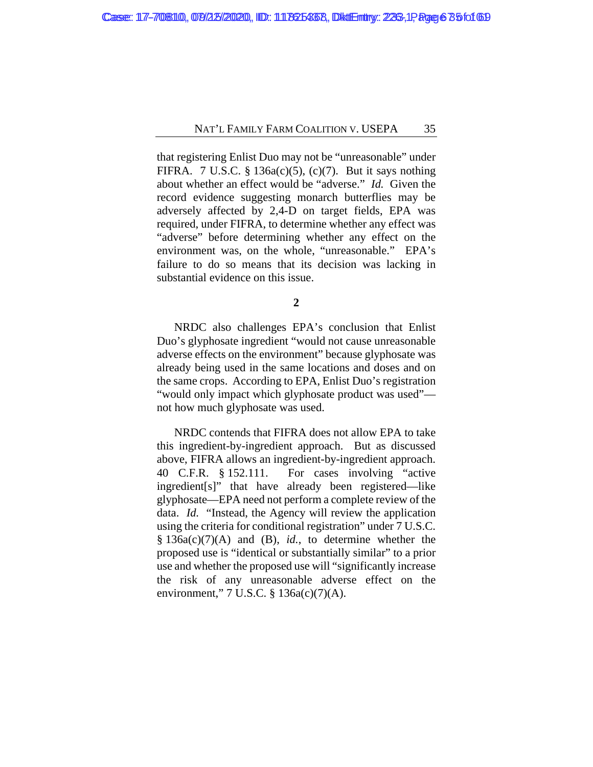that registering Enlist Duo may not be "unreasonable" under FIFRA. 7 U.S.C. § 136a(c)(5), (c)(7). But it says nothing about whether an effect would be "adverse." *Id.* Given the record evidence suggesting monarch butterflies may be adversely affected by 2,4-D on target fields, EPA was required, under FIFRA, to determine whether any effect was "adverse" before determining whether any effect on the environment was, on the whole, "unreasonable." EPA's failure to do so means that its decision was lacking in substantial evidence on this issue.

**2**

NRDC also challenges EPA's conclusion that Enlist Duo's glyphosate ingredient "would not cause unreasonable adverse effects on the environment" because glyphosate was already being used in the same locations and doses and on the same crops. According to EPA, Enlist Duo's registration "would only impact which glyphosate product was used" not how much glyphosate was used.

NRDC contends that FIFRA does not allow EPA to take this ingredient-by-ingredient approach. But as discussed above, FIFRA allows an ingredient-by-ingredient approach. 40 C.F.R. § 152.111. For cases involving "active ingredient[s]" that have already been registered—like glyphosate—EPA need not perform a complete review of the data. *Id.* "Instead, the Agency will review the application using the criteria for conditional registration" under 7 U.S.C. § 136a(c)(7)(A) and (B), *id.*, to determine whether the proposed use is "identical or substantially similar" to a prior use and whether the proposed use will "significantly increase the risk of any unreasonable adverse effect on the environment," 7 U.S.C. § 136a(c)(7)(A).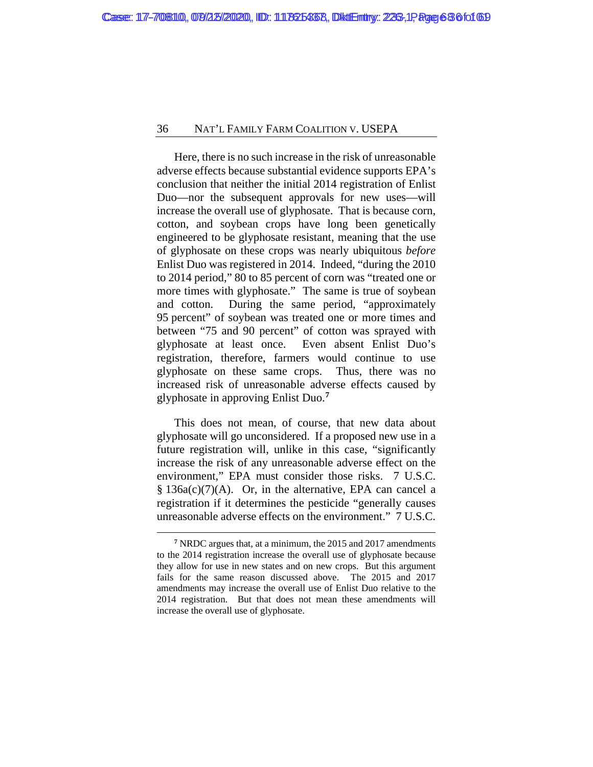Here, there is no such increase in the risk of unreasonable adverse effects because substantial evidence supports EPA's conclusion that neither the initial 2014 registration of Enlist Duo—nor the subsequent approvals for new uses—will increase the overall use of glyphosate. That is because corn, cotton, and soybean crops have long been genetically engineered to be glyphosate resistant, meaning that the use of glyphosate on these crops was nearly ubiquitous *before*  Enlist Duo was registered in 2014. Indeed, "during the 2010 to 2014 period," 80 to 85 percent of corn was "treated one or more times with glyphosate." The same is true of soybean and cotton. During the same period, "approximately 95 percent" of soybean was treated one or more times and between "75 and 90 percent" of cotton was sprayed with glyphosate at least once. Even absent Enlist Duo's registration, therefore, farmers would continue to use glyphosate on these same crops. Thus, there was no increased risk of unreasonable adverse effects caused by glyphosate in approving Enlist Duo.**[7](#page-67-0)**

This does not mean, of course, that new data about glyphosate will go unconsidered. If a proposed new use in a future registration will, unlike in this case, "significantly increase the risk of any unreasonable adverse effect on the environment," EPA must consider those risks. 7 U.S.C. § 136a(c)(7)(A). Or, in the alternative, EPA can cancel a registration if it determines the pesticide "generally causes unreasonable adverse effects on the environment." 7 U.S.C.

<span id="page-67-0"></span>**<sup>7</sup>** NRDC argues that, at a minimum, the 2015 and 2017 amendments to the 2014 registration increase the overall use of glyphosate because they allow for use in new states and on new crops. But this argument fails for the same reason discussed above. The 2015 and 2017 amendments may increase the overall use of Enlist Duo relative to the 2014 registration. But that does not mean these amendments will increase the overall use of glyphosate.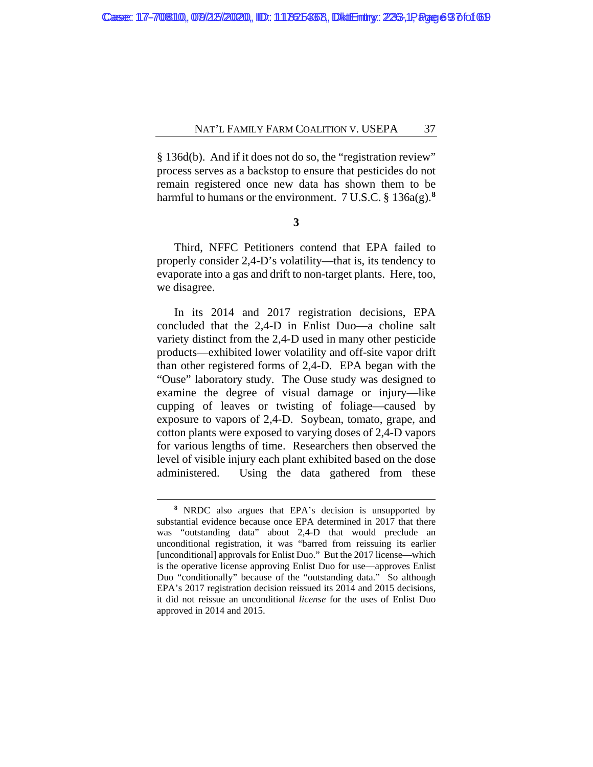§ 136d(b). And if it does not do so, the "registration review" process serves as a backstop to ensure that pesticides do not remain registered once new data has shown them to be harmful to humans or the environment. 7 U.S.C. § 136a(g).**[8](#page-68-0)**

## **3**

Third, NFFC Petitioners contend that EPA failed to properly consider 2,4-D's volatility—that is, its tendency to evaporate into a gas and drift to non-target plants. Here, too, we disagree.

In its 2014 and 2017 registration decisions, EPA concluded that the 2,4-D in Enlist Duo—a choline salt variety distinct from the 2,4-D used in many other pesticide products—exhibited lower volatility and off-site vapor drift than other registered forms of 2,4-D. EPA began with the "Ouse" laboratory study. The Ouse study was designed to examine the degree of visual damage or injury—like cupping of leaves or twisting of foliage—caused by exposure to vapors of 2,4-D. Soybean, tomato, grape, and cotton plants were exposed to varying doses of 2,4-D vapors for various lengths of time. Researchers then observed the level of visible injury each plant exhibited based on the dose administered. Using the data gathered from these

<span id="page-68-0"></span>**<sup>8</sup>** NRDC also argues that EPA's decision is unsupported by substantial evidence because once EPA determined in 2017 that there was "outstanding data" about 2,4-D that would preclude an unconditional registration, it was "barred from reissuing its earlier [unconditional] approvals for Enlist Duo." But the 2017 license—which is the operative license approving Enlist Duo for use—approves Enlist Duo "conditionally" because of the "outstanding data." So although EPA's 2017 registration decision reissued its 2014 and 2015 decisions, it did not reissue an unconditional *license* for the uses of Enlist Duo approved in 2014 and 2015.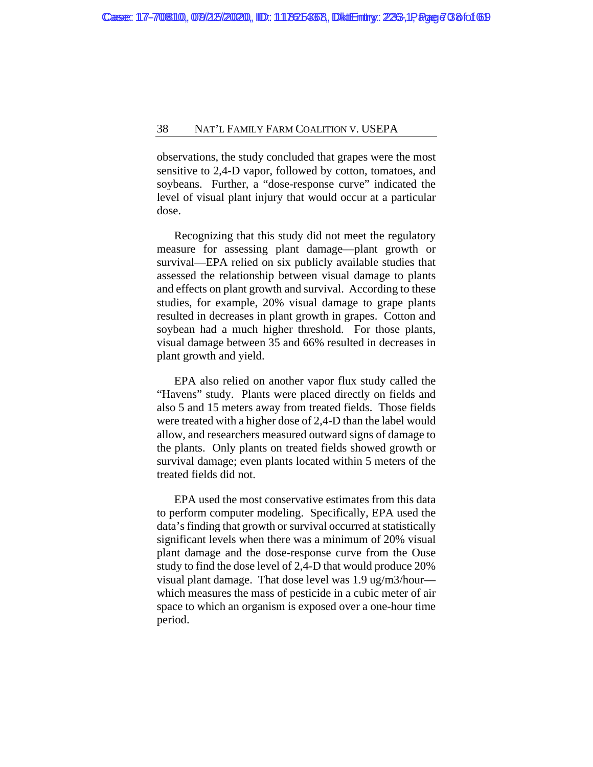observations, the study concluded that grapes were the most sensitive to 2,4-D vapor, followed by cotton, tomatoes, and soybeans. Further, a "dose-response curve" indicated the level of visual plant injury that would occur at a particular dose.

Recognizing that this study did not meet the regulatory measure for assessing plant damage—plant growth or survival—EPA relied on six publicly available studies that assessed the relationship between visual damage to plants and effects on plant growth and survival. According to these studies, for example, 20% visual damage to grape plants resulted in decreases in plant growth in grapes. Cotton and soybean had a much higher threshold. For those plants, visual damage between 35 and 66% resulted in decreases in plant growth and yield.

EPA also relied on another vapor flux study called the "Havens" study. Plants were placed directly on fields and also 5 and 15 meters away from treated fields. Those fields were treated with a higher dose of 2,4-D than the label would allow, and researchers measured outward signs of damage to the plants. Only plants on treated fields showed growth or survival damage; even plants located within 5 meters of the treated fields did not.

EPA used the most conservative estimates from this data to perform computer modeling. Specifically, EPA used the data's finding that growth or survival occurred at statistically significant levels when there was a minimum of 20% visual plant damage and the dose-response curve from the Ouse study to find the dose level of 2,4-D that would produce 20% visual plant damage. That dose level was 1.9 ug/m3/hour which measures the mass of pesticide in a cubic meter of air space to which an organism is exposed over a one-hour time period.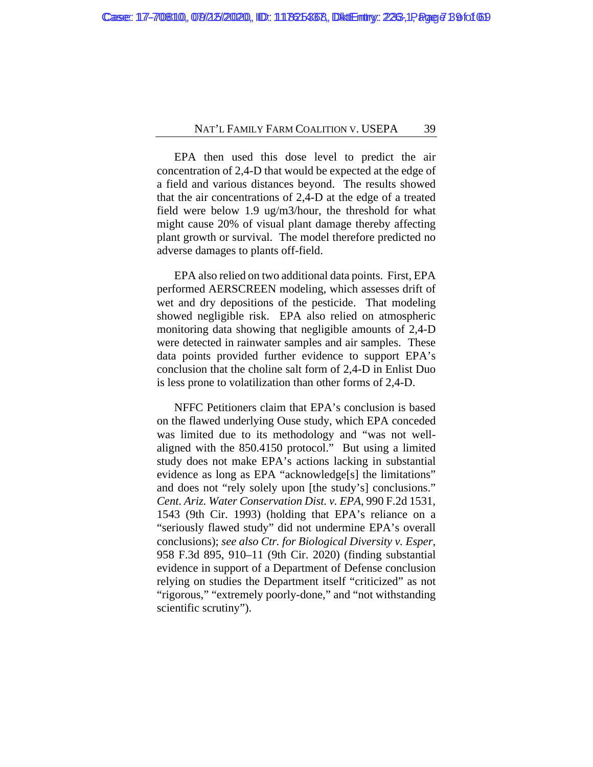EPA then used this dose level to predict the air concentration of 2,4-D that would be expected at the edge of a field and various distances beyond. The results showed that the air concentrations of 2,4-D at the edge of a treated field were below 1.9 ug/m3/hour, the threshold for what might cause 20% of visual plant damage thereby affecting plant growth or survival. The model therefore predicted no adverse damages to plants off-field.

EPA also relied on two additional data points. First, EPA performed AERSCREEN modeling, which assesses drift of wet and dry depositions of the pesticide. That modeling showed negligible risk. EPA also relied on atmospheric monitoring data showing that negligible amounts of 2,4-D were detected in rainwater samples and air samples. These data points provided further evidence to support EPA's conclusion that the choline salt form of 2,4-D in Enlist Duo is less prone to volatilization than other forms of 2,4-D.

NFFC Petitioners claim that EPA's conclusion is based on the flawed underlying Ouse study, which EPA conceded was limited due to its methodology and "was not wellaligned with the 850.4150 protocol." But using a limited study does not make EPA's actions lacking in substantial evidence as long as EPA "acknowledge[s] the limitations" and does not "rely solely upon [the study's] conclusions." *Cent. Ariz. Water Conservation Dist. v. EPA*, 990 F.2d 1531, 1543 (9th Cir. 1993) (holding that EPA's reliance on a "seriously flawed study" did not undermine EPA's overall conclusions); *see also Ctr. for Biological Diversity v. Esper*, 958 F.3d 895, 910–11 (9th Cir. 2020) (finding substantial evidence in support of a Department of Defense conclusion relying on studies the Department itself "criticized" as not "rigorous," "extremely poorly-done," and "not withstanding scientific scrutiny").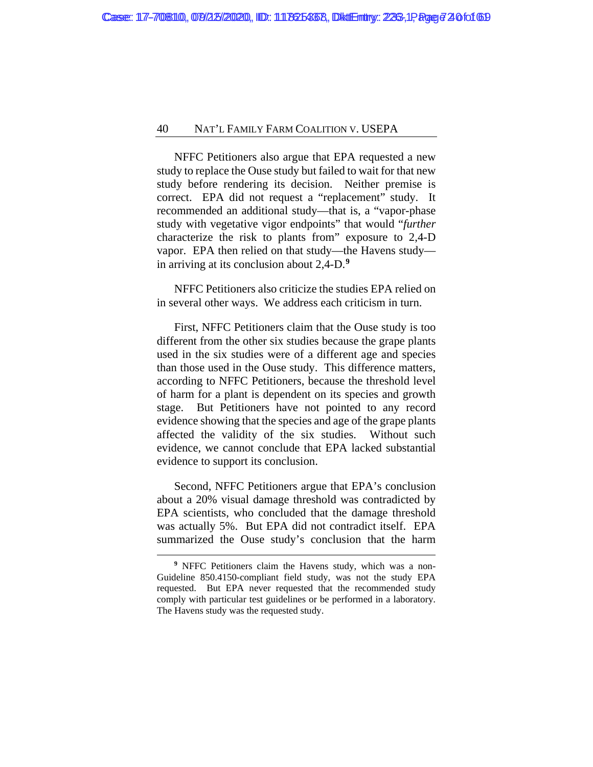NFFC Petitioners also argue that EPA requested a new study to replace the Ouse study but failed to wait for that new study before rendering its decision. Neither premise is correct. EPA did not request a "replacement" study. It recommended an additional study—that is, a "vapor-phase study with vegetative vigor endpoints" that would "*further* characterize the risk to plants from" exposure to 2,4-D vapor. EPA then relied on that study—the Havens study in arriving at its conclusion about 2,4-D.**[9](#page-71-0)**

NFFC Petitioners also criticize the studies EPA relied on in several other ways. We address each criticism in turn.

First, NFFC Petitioners claim that the Ouse study is too different from the other six studies because the grape plants used in the six studies were of a different age and species than those used in the Ouse study. This difference matters, according to NFFC Petitioners, because the threshold level of harm for a plant is dependent on its species and growth stage. But Petitioners have not pointed to any record evidence showing that the species and age of the grape plants affected the validity of the six studies. Without such evidence, we cannot conclude that EPA lacked substantial evidence to support its conclusion.

Second, NFFC Petitioners argue that EPA's conclusion about a 20% visual damage threshold was contradicted by EPA scientists, who concluded that the damage threshold was actually 5%. But EPA did not contradict itself. EPA summarized the Ouse study's conclusion that the harm

<span id="page-71-0"></span>**<sup>9</sup>** NFFC Petitioners claim the Havens study, which was a non-Guideline 850.4150-compliant field study, was not the study EPA requested. But EPA never requested that the recommended study comply with particular test guidelines or be performed in a laboratory. The Havens study was the requested study.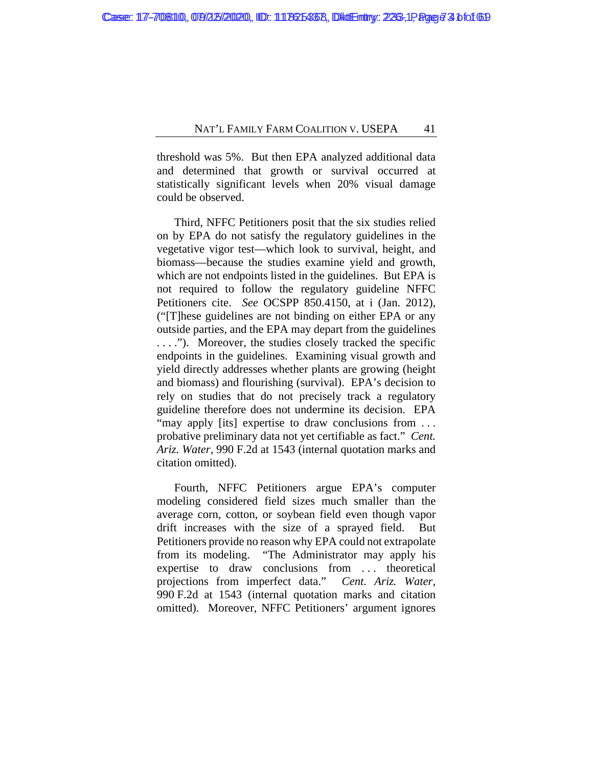threshold was 5%. But then EPA analyzed additional data and determined that growth or survival occurred at statistically significant levels when 20% visual damage could be observed.

Third, NFFC Petitioners posit that the six studies relied on by EPA do not satisfy the regulatory guidelines in the vegetative vigor test—which look to survival, height, and biomass—because the studies examine yield and growth, which are not endpoints listed in the guidelines. But EPA is not required to follow the regulatory guideline NFFC Petitioners cite. *See* OCSPP 850.4150, at i (Jan. 2012), ("[T]hese guidelines are not binding on either EPA or any outside parties, and the EPA may depart from the guidelines . . . ."). Moreover, the studies closely tracked the specific endpoints in the guidelines. Examining visual growth and yield directly addresses whether plants are growing (height and biomass) and flourishing (survival). EPA's decision to rely on studies that do not precisely track a regulatory guideline therefore does not undermine its decision. EPA "may apply [its] expertise to draw conclusions from ... probative preliminary data not yet certifiable as fact." *Cent. Ariz. Water*, 990 F.2d at 1543 (internal quotation marks and citation omitted).

Fourth, NFFC Petitioners argue EPA's computer modeling considered field sizes much smaller than the average corn, cotton, or soybean field even though vapor drift increases with the size of a sprayed field. But Petitioners provide no reason why EPA could not extrapolate from its modeling. "The Administrator may apply his expertise to draw conclusions from ... theoretical projections from imperfect data." *Cent. Ariz. Water*, 990 F.2d at 1543 (internal quotation marks and citation omitted). Moreover, NFFC Petitioners' argument ignores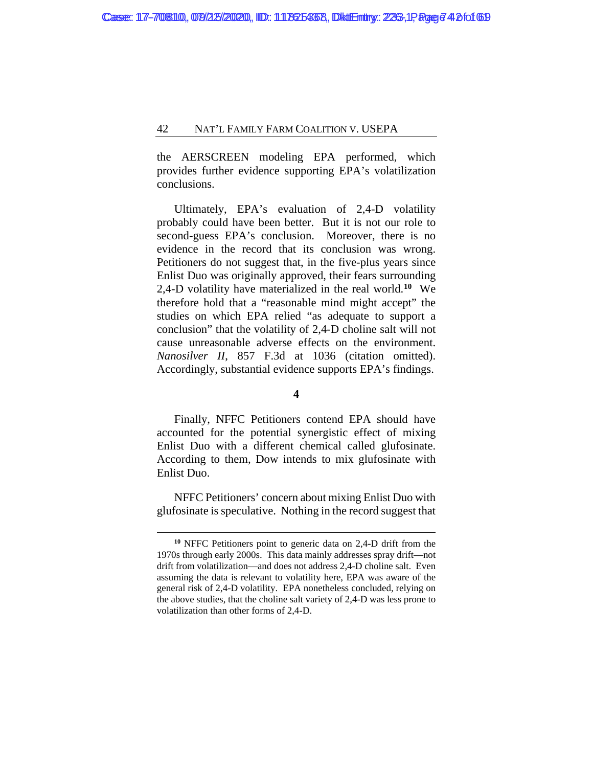the AERSCREEN modeling EPA performed, which provides further evidence supporting EPA's volatilization conclusions.

Ultimately, EPA's evaluation of 2,4-D volatility probably could have been better. But it is not our role to second-guess EPA's conclusion. Moreover, there is no evidence in the record that its conclusion was wrong. Petitioners do not suggest that, in the five-plus years since Enlist Duo was originally approved, their fears surrounding 2,4-D volatility have materialized in the real world.**[10](#page-73-0)** We therefore hold that a "reasonable mind might accept" the studies on which EPA relied "as adequate to support a conclusion" that the volatility of 2,4-D choline salt will not cause unreasonable adverse effects on the environment. *Nanosilver II*, 857 F.3d at 1036 (citation omitted). Accordingly, substantial evidence supports EPA's findings.

**4**

Finally, NFFC Petitioners contend EPA should have accounted for the potential synergistic effect of mixing Enlist Duo with a different chemical called glufosinate. According to them, Dow intends to mix glufosinate with Enlist Duo.

NFFC Petitioners' concern about mixing Enlist Duo with glufosinate is speculative. Nothing in the record suggest that

<span id="page-73-0"></span>**<sup>10</sup>** NFFC Petitioners point to generic data on 2,4-D drift from the 1970s through early 2000s. This data mainly addresses spray drift—not drift from volatilization—and does not address 2,4-D choline salt. Even assuming the data is relevant to volatility here, EPA was aware of the general risk of 2,4-D volatility. EPA nonetheless concluded, relying on the above studies, that the choline salt variety of 2,4-D was less prone to volatilization than other forms of 2,4-D.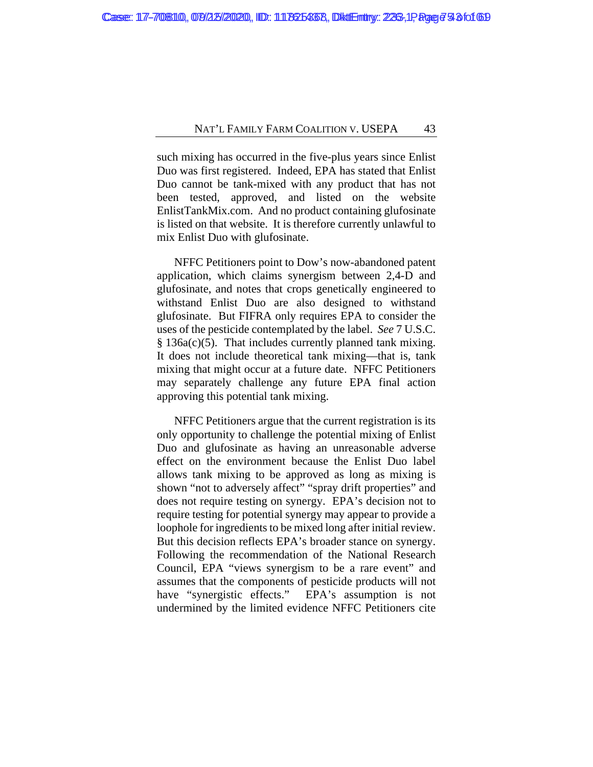such mixing has occurred in the five-plus years since Enlist Duo was first registered. Indeed, EPA has stated that Enlist Duo cannot be tank-mixed with any product that has not been tested, approved, and listed on the website EnlistTankMix.com. And no product containing glufosinate is listed on that website. It is therefore currently unlawful to mix Enlist Duo with glufosinate.

NFFC Petitioners point to Dow's now-abandoned patent application, which claims synergism between 2,4-D and glufosinate, and notes that crops genetically engineered to withstand Enlist Duo are also designed to withstand glufosinate. But FIFRA only requires EPA to consider the uses of the pesticide contemplated by the label. *See* 7 U.S.C. § 136a(c)(5). That includes currently planned tank mixing. It does not include theoretical tank mixing—that is, tank mixing that might occur at a future date. NFFC Petitioners may separately challenge any future EPA final action approving this potential tank mixing.

NFFC Petitioners argue that the current registration is its only opportunity to challenge the potential mixing of Enlist Duo and glufosinate as having an unreasonable adverse effect on the environment because the Enlist Duo label allows tank mixing to be approved as long as mixing is shown "not to adversely affect" "spray drift properties" and does not require testing on synergy. EPA's decision not to require testing for potential synergy may appear to provide a loophole for ingredients to be mixed long after initial review. But this decision reflects EPA's broader stance on synergy. Following the recommendation of the National Research Council, EPA "views synergism to be a rare event" and assumes that the components of pesticide products will not have "synergistic effects." EPA's assumption is not undermined by the limited evidence NFFC Petitioners cite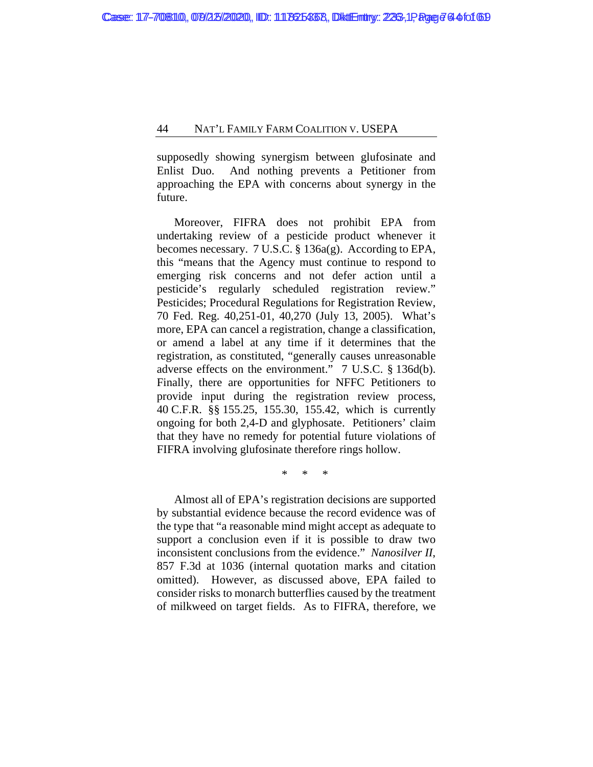supposedly showing synergism between glufosinate and Enlist Duo. And nothing prevents a Petitioner from approaching the EPA with concerns about synergy in the future.

Moreover, FIFRA does not prohibit EPA from undertaking review of a pesticide product whenever it becomes necessary. 7 U.S.C. § 136a(g). According to EPA, this "means that the Agency must continue to respond to emerging risk concerns and not defer action until a pesticide's regularly scheduled registration review." Pesticides; Procedural Regulations for Registration Review, 70 Fed. Reg. 40,251-01, 40,270 (July 13, 2005). What's more, EPA can cancel a registration, change a classification, or amend a label at any time if it determines that the registration, as constituted, "generally causes unreasonable adverse effects on the environment." 7 U.S.C. § 136d(b). Finally, there are opportunities for NFFC Petitioners to provide input during the registration review process, 40 C.F.R. §§ 155.25, 155.30, 155.42, which is currently ongoing for both 2,4-D and glyphosate. Petitioners' claim that they have no remedy for potential future violations of FIFRA involving glufosinate therefore rings hollow.

\* \* \*

Almost all of EPA's registration decisions are supported by substantial evidence because the record evidence was of the type that "a reasonable mind might accept as adequate to support a conclusion even if it is possible to draw two inconsistent conclusions from the evidence." *Nanosilver II*, 857 F.3d at 1036 (internal quotation marks and citation omitted). However, as discussed above, EPA failed to consider risks to monarch butterflies caused by the treatment of milkweed on target fields. As to FIFRA, therefore, we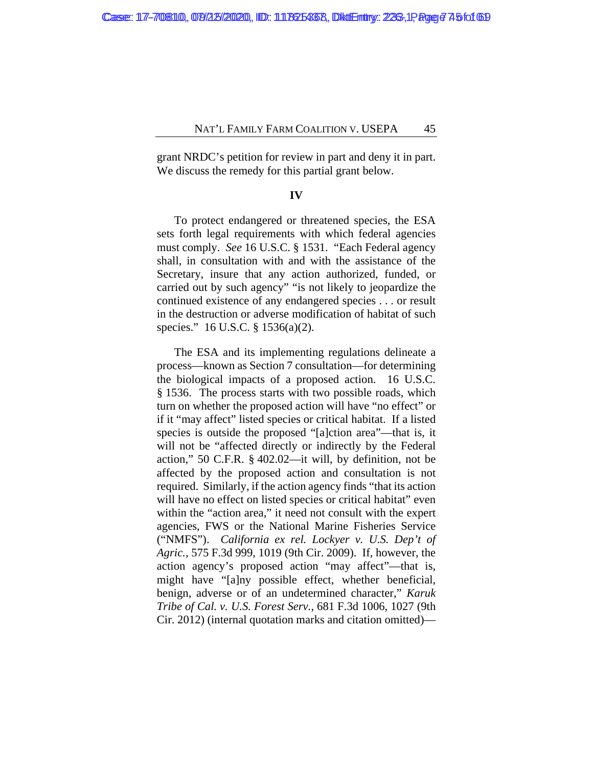grant NRDC's petition for review in part and deny it in part. We discuss the remedy for this partial grant below.

#### **IV**

To protect endangered or threatened species, the ESA sets forth legal requirements with which federal agencies must comply. *See* 16 U.S.C. § 1531. "Each Federal agency shall, in consultation with and with the assistance of the Secretary, insure that any action authorized, funded, or carried out by such agency" "is not likely to jeopardize the continued existence of any endangered species . . . or result in the destruction or adverse modification of habitat of such species." 16 U.S.C. § 1536(a)(2).

The ESA and its implementing regulations delineate a process—known as Section 7 consultation—for determining the biological impacts of a proposed action. 16 U.S.C. § 1536. The process starts with two possible roads, which turn on whether the proposed action will have "no effect" or if it "may affect" listed species or critical habitat. If a listed species is outside the proposed "[a]ction area"—that is, it will not be "affected directly or indirectly by the Federal action," 50 C.F.R. § 402.02—it will, by definition, not be affected by the proposed action and consultation is not required. Similarly, if the action agency finds "that its action will have no effect on listed species or critical habitat" even within the "action area," it need not consult with the expert agencies, FWS or the National Marine Fisheries Service ("NMFS"). *California ex rel. Lockyer v. U.S. Dep't of Agric.*, 575 F.3d 999, 1019 (9th Cir. 2009). If, however, the action agency's proposed action "may affect"—that is, might have "[a]ny possible effect, whether beneficial, benign, adverse or of an undetermined character," *Karuk Tribe of Cal. v. U.S. Forest Serv.*, 681 F.3d 1006, 1027 (9th Cir. 2012) (internal quotation marks and citation omitted)—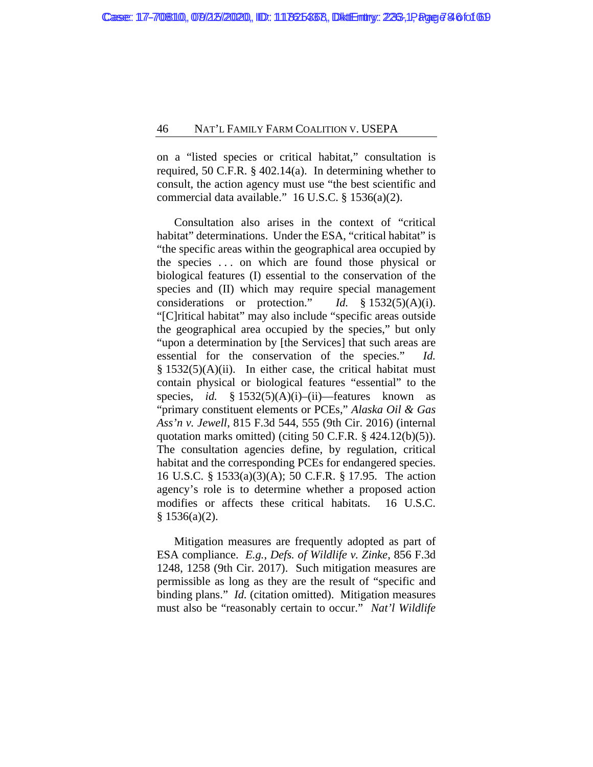on a "listed species or critical habitat," consultation is required, 50 C.F.R. § 402.14(a). In determining whether to consult, the action agency must use "the best scientific and commercial data available." 16 U.S.C. § 1536(a)(2).

Consultation also arises in the context of "critical habitat" determinations. Under the ESA, "critical habitat" is "the specific areas within the geographical area occupied by the species . . . on which are found those physical or biological features (I) essential to the conservation of the species and (II) which may require special management considerations or protection." *Id.* § 1532(5)(A)(i). "[C]ritical habitat" may also include "specific areas outside the geographical area occupied by the species," but only "upon a determination by [the Services] that such areas are essential for the conservation of the species." *Id.*   $§ 1532(5)(A)(ii)$ . In either case, the critical habitat must contain physical or biological features "essential" to the species, *id.* § 1532(5)(A)(i)–(ii)–features known as "primary constituent elements or PCEs," *Alaska Oil & Gas Ass'n v. Jewell*, 815 F.3d 544, 555 (9th Cir. 2016) (internal quotation marks omitted) (citing 50 C.F.R. § 424.12(b)(5)). The consultation agencies define, by regulation, critical habitat and the corresponding PCEs for endangered species. 16 U.S.C. § 1533(a)(3)(A); 50 C.F.R. § 17.95. The action agency's role is to determine whether a proposed action modifies or affects these critical habitats. 16 U.S.C.  $§ 1536(a)(2).$ 

Mitigation measures are frequently adopted as part of ESA compliance. *E.g.*, *Defs. of Wildlife v. Zinke*, 856 F.3d 1248, 1258 (9th Cir. 2017). Such mitigation measures are permissible as long as they are the result of "specific and binding plans." *Id.* (citation omitted). Mitigation measures must also be "reasonably certain to occur." *Nat'l Wildlife*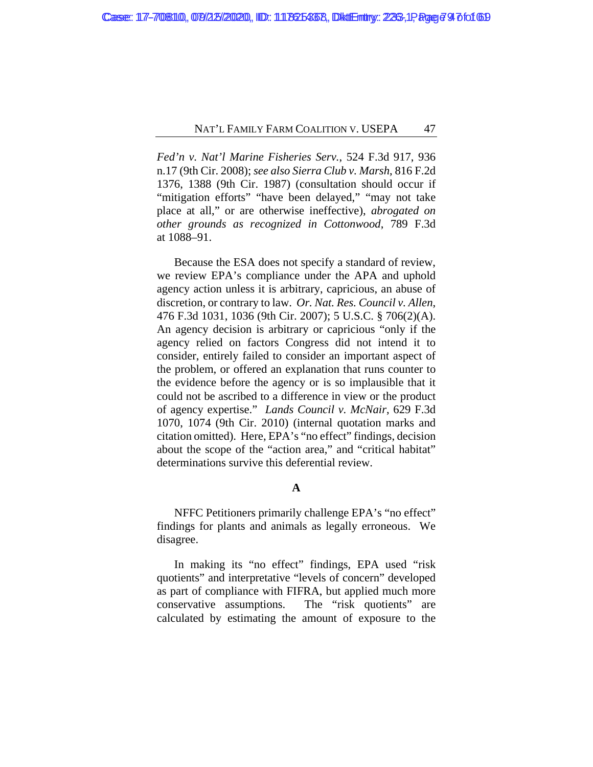*Fed'n v. Nat'l Marine Fisheries Serv.*, 524 F.3d 917, 936 n.17 (9th Cir. 2008); *see also Sierra Club v. Marsh*, 816 F.2d 1376, 1388 (9th Cir. 1987) (consultation should occur if "mitigation efforts" "have been delayed," "may not take place at all," or are otherwise ineffective), *abrogated on other grounds as recognized in Cottonwood*, 789 F.3d at 1088–91.

Because the ESA does not specify a standard of review, we review EPA's compliance under the APA and uphold agency action unless it is arbitrary, capricious, an abuse of discretion, or contrary to law. *Or. Nat. Res. Council v. Allen*, 476 F.3d 1031, 1036 (9th Cir. 2007); 5 U.S.C. § 706(2)(A). An agency decision is arbitrary or capricious "only if the agency relied on factors Congress did not intend it to consider, entirely failed to consider an important aspect of the problem, or offered an explanation that runs counter to the evidence before the agency or is so implausible that it could not be ascribed to a difference in view or the product of agency expertise." *Lands Council v. McNair*, 629 F.3d 1070, 1074 (9th Cir. 2010) (internal quotation marks and citation omitted). Here, EPA's "no effect" findings, decision about the scope of the "action area," and "critical habitat" determinations survive this deferential review.

# **A**

NFFC Petitioners primarily challenge EPA's "no effect" findings for plants and animals as legally erroneous. We disagree.

In making its "no effect" findings, EPA used "risk quotients" and interpretative "levels of concern" developed as part of compliance with FIFRA, but applied much more conservative assumptions. The "risk quotients" are calculated by estimating the amount of exposure to the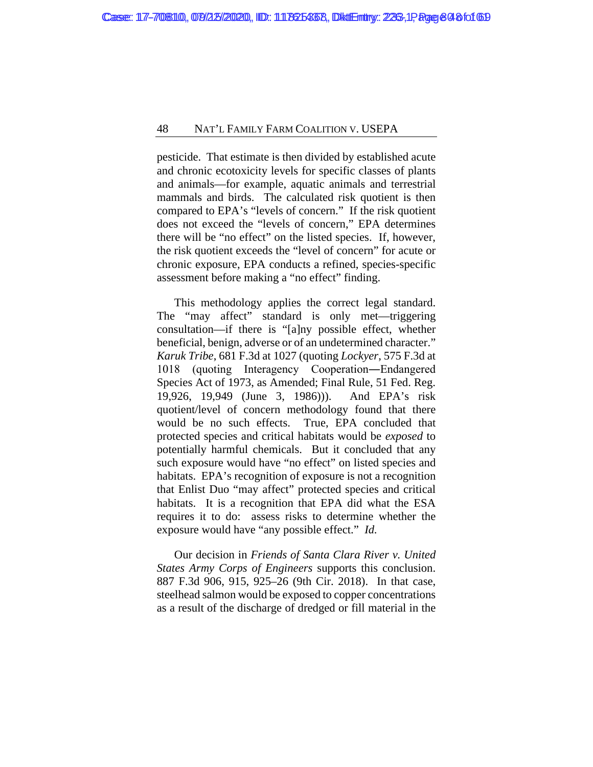pesticide. That estimate is then divided by established acute and chronic ecotoxicity levels for specific classes of plants and animals—for example, aquatic animals and terrestrial mammals and birds. The calculated risk quotient is then compared to EPA's "levels of concern." If the risk quotient does not exceed the "levels of concern," EPA determines there will be "no effect" on the listed species. If, however, the risk quotient exceeds the "level of concern" for acute or chronic exposure, EPA conducts a refined, species-specific assessment before making a "no effect" finding.

This methodology applies the correct legal standard. The "may affect" standard is only met—triggering consultation—if there is "[a]ny possible effect, whether beneficial, benign, adverse or of an undetermined character." *Karuk Tribe*, 681 F.3d at 1027 (quoting *Lockyer*, 575 F.3d at 1018 (quoting Interagency Cooperation―Endangered Species Act of 1973, as Amended; Final Rule, 51 Fed. Reg. 19,926, 19,949 (June 3, 1986))). And EPA's risk quotient/level of concern methodology found that there would be no such effects. True, EPA concluded that protected species and critical habitats would be *exposed* to potentially harmful chemicals. But it concluded that any such exposure would have "no effect" on listed species and habitats. EPA's recognition of exposure is not a recognition that Enlist Duo "may affect" protected species and critical habitats. It is a recognition that EPA did what the ESA requires it to do: assess risks to determine whether the exposure would have "any possible effect." *Id.*

Our decision in *Friends of Santa Clara River v. United States Army Corps of Engineers* supports this conclusion. 887 F.3d 906, 915, 925–26 (9th Cir. 2018). In that case, steelhead salmon would be exposed to copper concentrations as a result of the discharge of dredged or fill material in the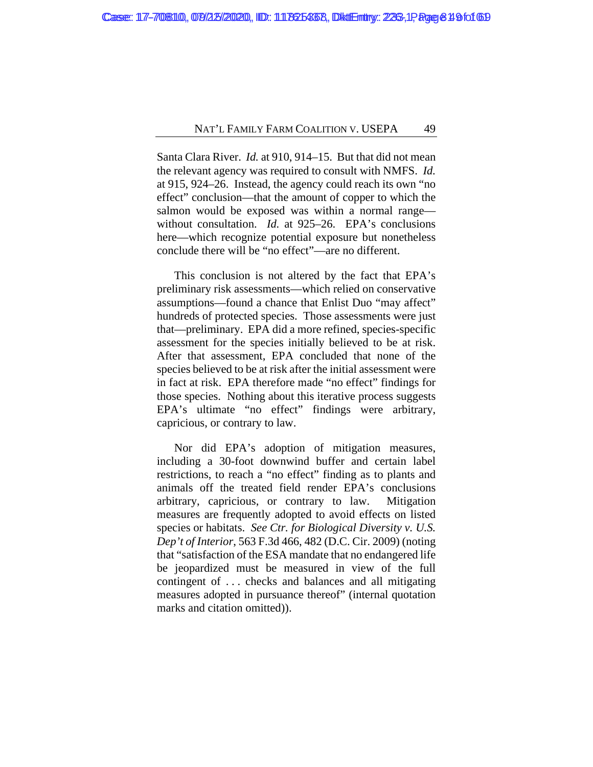Santa Clara River. *Id.* at 910, 914–15. But that did not mean the relevant agency was required to consult with NMFS. *Id.*  at 915, 924–26. Instead, the agency could reach its own "no effect" conclusion—that the amount of copper to which the salmon would be exposed was within a normal range without consultation. *Id.* at 925–26. EPA's conclusions here—which recognize potential exposure but nonetheless conclude there will be "no effect"—are no different.

This conclusion is not altered by the fact that EPA's preliminary risk assessments—which relied on conservative assumptions—found a chance that Enlist Duo "may affect" hundreds of protected species. Those assessments were just that—preliminary. EPA did a more refined, species-specific assessment for the species initially believed to be at risk. After that assessment, EPA concluded that none of the species believed to be at risk after the initial assessment were in fact at risk. EPA therefore made "no effect" findings for those species. Nothing about this iterative process suggests EPA's ultimate "no effect" findings were arbitrary, capricious, or contrary to law.

Nor did EPA's adoption of mitigation measures, including a 30-foot downwind buffer and certain label restrictions, to reach a "no effect" finding as to plants and animals off the treated field render EPA's conclusions arbitrary, capricious, or contrary to law. Mitigation measures are frequently adopted to avoid effects on listed species or habitats. *See Ctr. for Biological Diversity v. U.S. Dep't of Interior*, 563 F.3d 466, 482 (D.C. Cir. 2009) (noting that "satisfaction of the ESA mandate that no endangered life be jeopardized must be measured in view of the full contingent of . . . checks and balances and all mitigating measures adopted in pursuance thereof" (internal quotation marks and citation omitted)).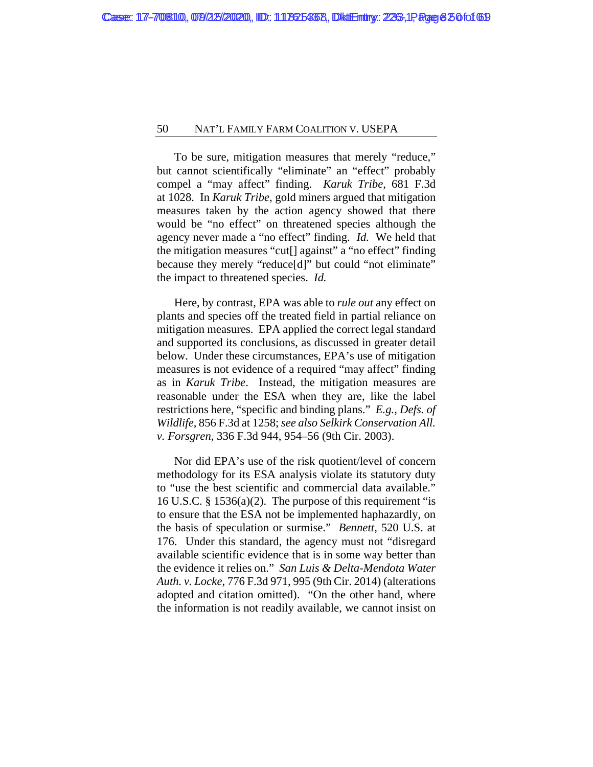To be sure, mitigation measures that merely "reduce," but cannot scientifically "eliminate" an "effect" probably compel a "may affect" finding. *Karuk Tribe*, 681 F.3d at 1028. In *Karuk Tribe*, gold miners argued that mitigation measures taken by the action agency showed that there would be "no effect" on threatened species although the agency never made a "no effect" finding. *Id.* We held that the mitigation measures "cut[] against" a "no effect" finding because they merely "reduce[d]" but could "not eliminate" the impact to threatened species. *Id.*

Here, by contrast, EPA was able to *rule out* any effect on plants and species off the treated field in partial reliance on mitigation measures. EPA applied the correct legal standard and supported its conclusions, as discussed in greater detail below. Under these circumstances, EPA's use of mitigation measures is not evidence of a required "may affect" finding as in *Karuk Tribe*. Instead, the mitigation measures are reasonable under the ESA when they are, like the label restrictions here, "specific and binding plans." *E.g.*, *Defs. of Wildlife*, 856 F.3d at 1258; *see also Selkirk Conservation All. v. Forsgren*, 336 F.3d 944, 954–56 (9th Cir. 2003).

Nor did EPA's use of the risk quotient/level of concern methodology for its ESA analysis violate its statutory duty to "use the best scientific and commercial data available." 16 U.S.C. § 1536(a)(2). The purpose of this requirement "is to ensure that the ESA not be implemented haphazardly, on the basis of speculation or surmise." *Bennett*, 520 U.S. at 176. Under this standard, the agency must not "disregard available scientific evidence that is in some way better than the evidence it relies on." *San Luis & Delta-Mendota Water Auth. v. Locke*, 776 F.3d 971, 995 (9th Cir. 2014) (alterations adopted and citation omitted). "On the other hand, where the information is not readily available, we cannot insist on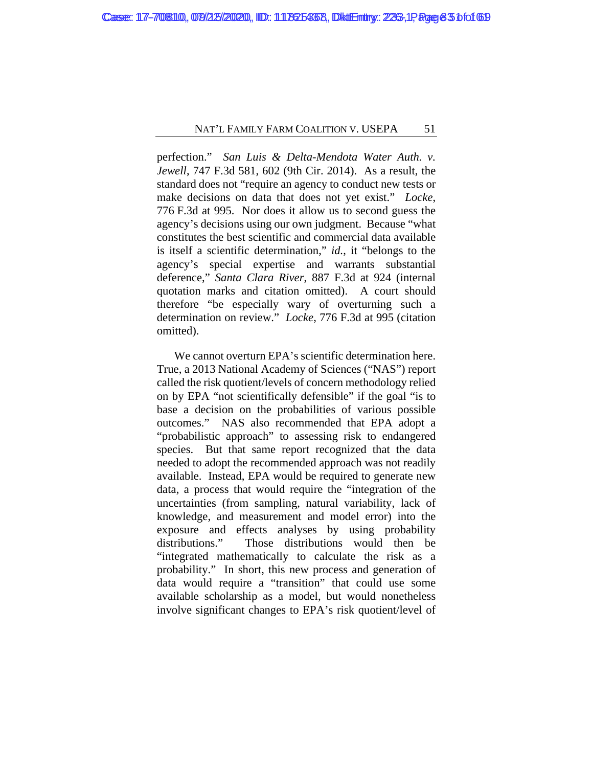perfection." *San Luis & Delta-Mendota Water Auth. v. Jewell*, 747 F.3d 581, 602 (9th Cir. 2014). As a result, the standard does not "require an agency to conduct new tests or make decisions on data that does not yet exist." *Locke*, 776 F.3d at 995. Nor does it allow us to second guess the agency's decisions using our own judgment. Because "what constitutes the best scientific and commercial data available is itself a scientific determination," *id.*, it "belongs to the agency's special expertise and warrants substantial deference," *Santa Clara River*, 887 F.3d at 924 (internal quotation marks and citation omitted). A court should therefore "be especially wary of overturning such a determination on review." *Locke*, 776 F.3d at 995 (citation omitted).

We cannot overturn EPA's scientific determination here. True, a 2013 National Academy of Sciences ("NAS") report called the risk quotient/levels of concern methodology relied on by EPA "not scientifically defensible" if the goal "is to base a decision on the probabilities of various possible outcomes." NAS also recommended that EPA adopt a "probabilistic approach" to assessing risk to endangered species. But that same report recognized that the data needed to adopt the recommended approach was not readily available. Instead, EPA would be required to generate new data, a process that would require the "integration of the uncertainties (from sampling, natural variability, lack of knowledge, and measurement and model error) into the exposure and effects analyses by using probability distributions." Those distributions would then be "integrated mathematically to calculate the risk as a probability." In short, this new process and generation of data would require a "transition" that could use some available scholarship as a model, but would nonetheless involve significant changes to EPA's risk quotient/level of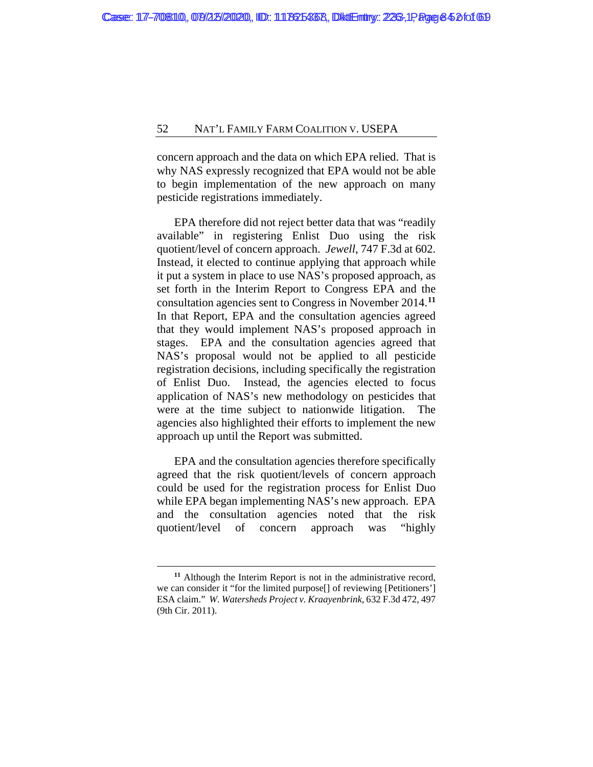concern approach and the data on which EPA relied. That is why NAS expressly recognized that EPA would not be able to begin implementation of the new approach on many pesticide registrations immediately.

EPA therefore did not reject better data that was "readily available" in registering Enlist Duo using the risk quotient/level of concern approach. *Jewell*, 747 F.3d at 602. Instead, it elected to continue applying that approach while it put a system in place to use NAS's proposed approach, as set forth in the Interim Report to Congress EPA and the consultation agencies sent to Congress in November 2014.**[11](#page-83-0)** In that Report, EPA and the consultation agencies agreed that they would implement NAS's proposed approach in stages. EPA and the consultation agencies agreed that NAS's proposal would not be applied to all pesticide registration decisions, including specifically the registration of Enlist Duo. Instead, the agencies elected to focus application of NAS's new methodology on pesticides that were at the time subject to nationwide litigation. The agencies also highlighted their efforts to implement the new approach up until the Report was submitted.

EPA and the consultation agencies therefore specifically agreed that the risk quotient/levels of concern approach could be used for the registration process for Enlist Duo while EPA began implementing NAS's new approach. EPA and the consultation agencies noted that the risk quotient/level of concern approach was "highly

<span id="page-83-0"></span>**<sup>11</sup>** Although the Interim Report is not in the administrative record, we can consider it "for the limited purpose[] of reviewing [Petitioners'] ESA claim." *W*. *Watersheds Project v. Kraayenbrink*, 632 F.3d 472, 497 (9th Cir. 2011).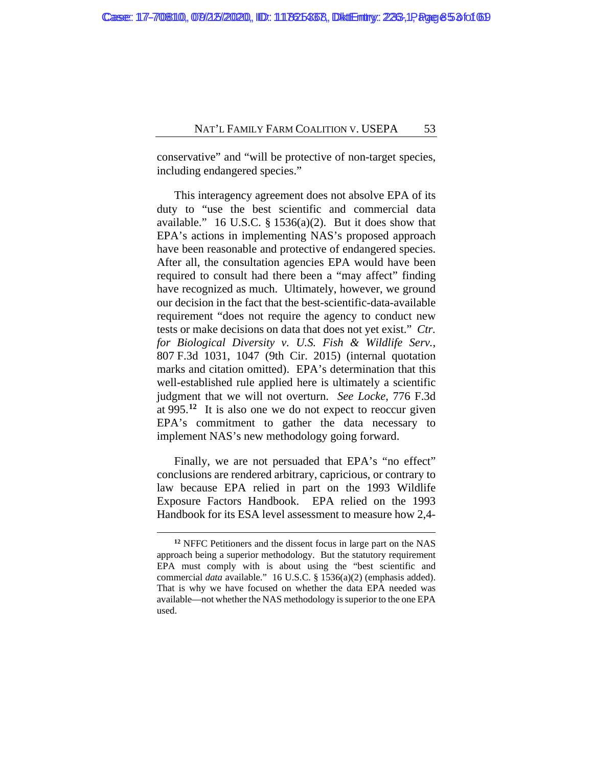conservative" and "will be protective of non-target species, including endangered species."

This interagency agreement does not absolve EPA of its duty to "use the best scientific and commercial data available." 16 U.S.C.  $\S$  1536(a)(2). But it does show that EPA's actions in implementing NAS's proposed approach have been reasonable and protective of endangered species. After all, the consultation agencies EPA would have been required to consult had there been a "may affect" finding have recognized as much. Ultimately, however, we ground our decision in the fact that the best-scientific-data-available requirement "does not require the agency to conduct new tests or make decisions on data that does not yet exist." *Ctr. for Biological Diversity v. U.S. Fish & Wildlife Serv.*, 807 F.3d 1031, 1047 (9th Cir. 2015) (internal quotation marks and citation omitted). EPA's determination that this well-established rule applied here is ultimately a scientific judgment that we will not overturn. *See Locke*, 776 F.3d at 995.**[12](#page-84-0)** It is also one we do not expect to reoccur given EPA's commitment to gather the data necessary to implement NAS's new methodology going forward.

Finally, we are not persuaded that EPA's "no effect" conclusions are rendered arbitrary, capricious, or contrary to law because EPA relied in part on the 1993 Wildlife Exposure Factors Handbook. EPA relied on the 1993 Handbook for its ESA level assessment to measure how 2,4-

<span id="page-84-0"></span>**<sup>12</sup>** NFFC Petitioners and the dissent focus in large part on the NAS approach being a superior methodology. But the statutory requirement EPA must comply with is about using the "best scientific and commercial *data* available." 16 U.S.C. § 1536(a)(2) (emphasis added). That is why we have focused on whether the data EPA needed was available—not whether the NAS methodology is superior to the one EPA used.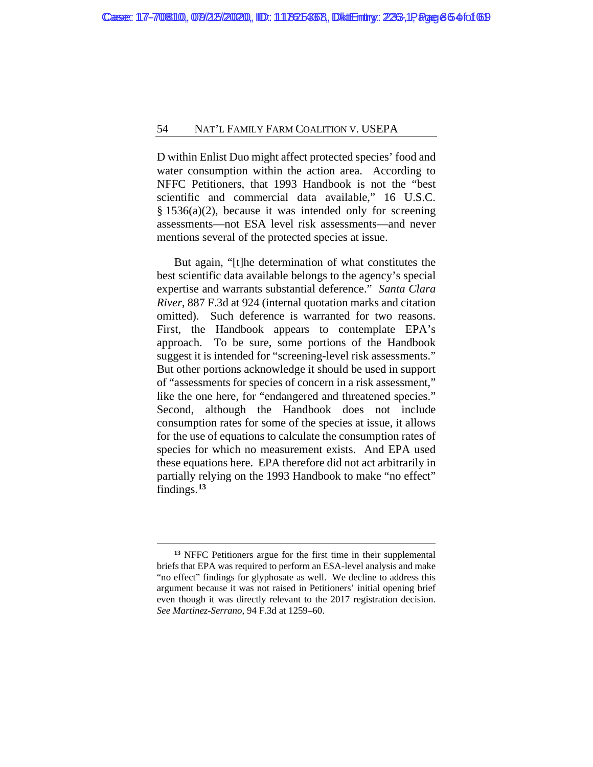D within Enlist Duo might affect protected species' food and water consumption within the action area. According to NFFC Petitioners, that 1993 Handbook is not the "best scientific and commercial data available," 16 U.S.C. § 1536(a)(2), because it was intended only for screening assessments—not ESA level risk assessments—and never mentions several of the protected species at issue.

But again, "[t]he determination of what constitutes the best scientific data available belongs to the agency's special expertise and warrants substantial deference." *Santa Clara River*, 887 F.3d at 924 (internal quotation marks and citation omitted). Such deference is warranted for two reasons. First, the Handbook appears to contemplate EPA's approach. To be sure, some portions of the Handbook suggest it is intended for "screening-level risk assessments." But other portions acknowledge it should be used in support of "assessments for species of concern in a risk assessment," like the one here, for "endangered and threatened species." Second, although the Handbook does not include consumption rates for some of the species at issue, it allows for the use of equations to calculate the consumption rates of species for which no measurement exists. And EPA used these equations here. EPA therefore did not act arbitrarily in partially relying on the 1993 Handbook to make "no effect" findings.**[13](#page-85-0)**

<span id="page-85-0"></span>**<sup>13</sup>** NFFC Petitioners argue for the first time in their supplemental briefs that EPA was required to perform an ESA-level analysis and make "no effect" findings for glyphosate as well. We decline to address this argument because it was not raised in Petitioners' initial opening brief even though it was directly relevant to the 2017 registration decision. *See Martinez-Serrano*, 94 F.3d at 1259–60.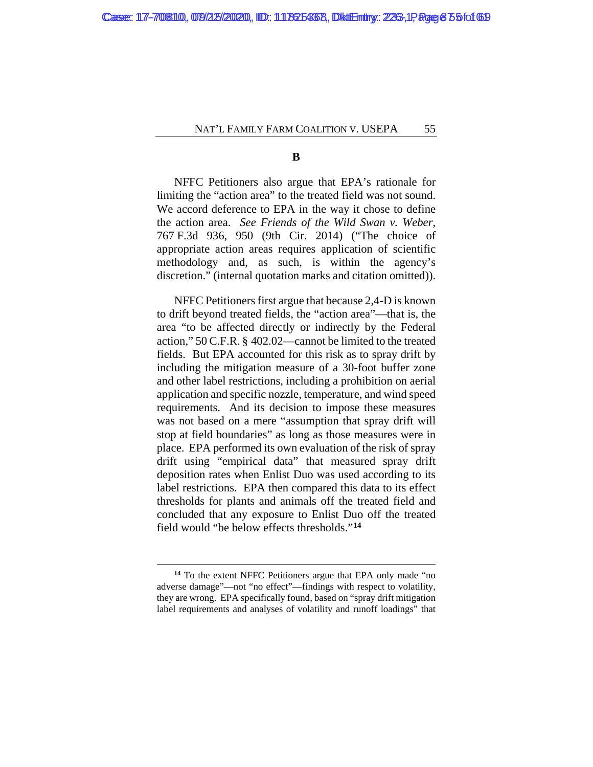**B**

NFFC Petitioners also argue that EPA's rationale for limiting the "action area" to the treated field was not sound. We accord deference to EPA in the way it chose to define the action area. *See Friends of the Wild Swan v. Weber*, 767 F.3d 936, 950 (9th Cir. 2014) ("The choice of appropriate action areas requires application of scientific methodology and, as such, is within the agency's discretion." (internal quotation marks and citation omitted)).

NFFC Petitioners first argue that because 2,4-D is known to drift beyond treated fields, the "action area"—that is, the area "to be affected directly or indirectly by the Federal action," 50 C.F.R. § 402.02—cannot be limited to the treated fields. But EPA accounted for this risk as to spray drift by including the mitigation measure of a 30-foot buffer zone and other label restrictions, including a prohibition on aerial application and specific nozzle, temperature, and wind speed requirements. And its decision to impose these measures was not based on a mere "assumption that spray drift will stop at field boundaries" as long as those measures were in place. EPA performed its own evaluation of the risk of spray drift using "empirical data" that measured spray drift deposition rates when Enlist Duo was used according to its label restrictions. EPA then compared this data to its effect thresholds for plants and animals off the treated field and concluded that any exposure to Enlist Duo off the treated field would "be below effects thresholds."**[14](#page-86-0)**

<span id="page-86-0"></span>**<sup>14</sup>** To the extent NFFC Petitioners argue that EPA only made "no adverse damage"—not "no effect"—findings with respect to volatility, they are wrong. EPA specifically found, based on "spray drift mitigation label requirements and analyses of volatility and runoff loadings" that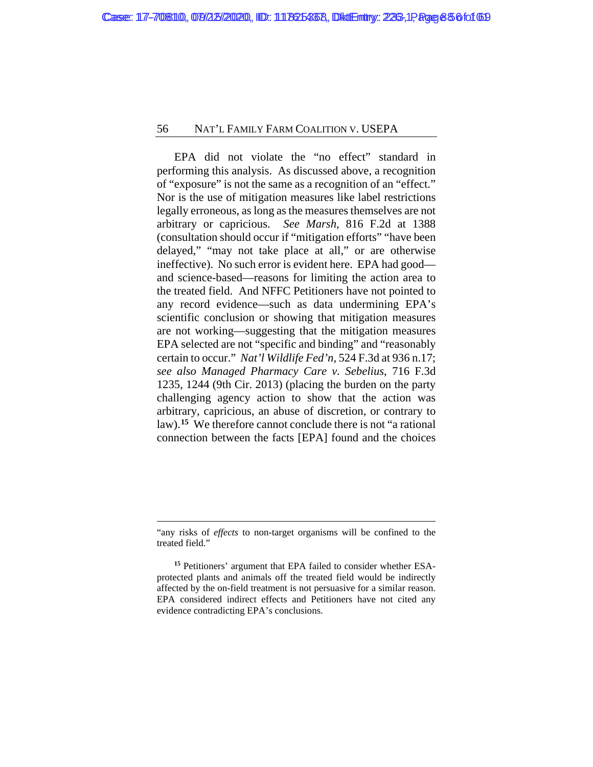EPA did not violate the "no effect" standard in performing this analysis. As discussed above, a recognition of "exposure" is not the same as a recognition of an "effect." Nor is the use of mitigation measures like label restrictions legally erroneous, as long as the measures themselves are not arbitrary or capricious. *See Marsh*, 816 F.2d at 1388 (consultation should occur if "mitigation efforts" "have been delayed," "may not take place at all," or are otherwise ineffective). No such error is evident here. EPA had good and science-based—reasons for limiting the action area to the treated field. And NFFC Petitioners have not pointed to any record evidence—such as data undermining EPA's scientific conclusion or showing that mitigation measures are not working—suggesting that the mitigation measures EPA selected are not "specific and binding" and "reasonably certain to occur." *Nat'l Wildlife Fed'n*, 524 F.3d at 936 n.17; *see also Managed Pharmacy Care v. Sebelius*, 716 F.3d 1235, 1244 (9th Cir. 2013) (placing the burden on the party challenging agency action to show that the action was arbitrary, capricious, an abuse of discretion, or contrary to law).**[15](#page-87-0)** We therefore cannot conclude there is not "a rational connection between the facts [EPA] found and the choices

<sup>&</sup>quot;any risks of *effects* to non-target organisms will be confined to the treated field."

<span id="page-87-0"></span>**<sup>15</sup>** Petitioners' argument that EPA failed to consider whether ESAprotected plants and animals off the treated field would be indirectly affected by the on-field treatment is not persuasive for a similar reason. EPA considered indirect effects and Petitioners have not cited any evidence contradicting EPA's conclusions.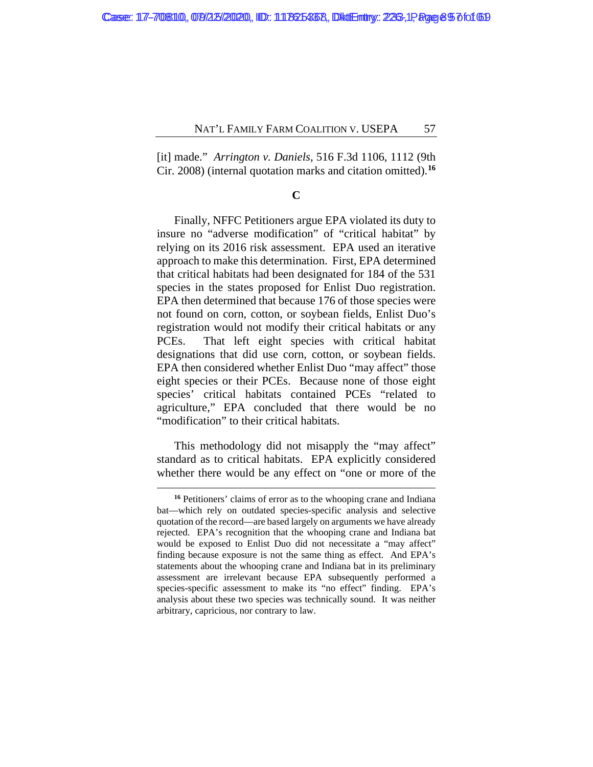[it] made." *Arrington v. Daniels*, 516 F.3d 1106, 1112 (9th Cir. 2008) (internal quotation marks and citation omitted).**[16](#page-88-0)**

#### **C**

Finally, NFFC Petitioners argue EPA violated its duty to insure no "adverse modification" of "critical habitat" by relying on its 2016 risk assessment. EPA used an iterative approach to make this determination. First, EPA determined that critical habitats had been designated for 184 of the 531 species in the states proposed for Enlist Duo registration. EPA then determined that because 176 of those species were not found on corn, cotton, or soybean fields, Enlist Duo's registration would not modify their critical habitats or any PCEs. That left eight species with critical habitat designations that did use corn, cotton, or soybean fields. EPA then considered whether Enlist Duo "may affect" those eight species or their PCEs. Because none of those eight species' critical habitats contained PCEs "related to agriculture," EPA concluded that there would be no "modification" to their critical habitats.

This methodology did not misapply the "may affect" standard as to critical habitats. EPA explicitly considered whether there would be any effect on "one or more of the

<span id="page-88-0"></span>**<sup>16</sup>** Petitioners' claims of error as to the whooping crane and Indiana bat—which rely on outdated species-specific analysis and selective quotation of the record—are based largely on arguments we have already rejected. EPA's recognition that the whooping crane and Indiana bat would be exposed to Enlist Duo did not necessitate a "may affect" finding because exposure is not the same thing as effect. And EPA's statements about the whooping crane and Indiana bat in its preliminary assessment are irrelevant because EPA subsequently performed a species-specific assessment to make its "no effect" finding. EPA's analysis about these two species was technically sound. It was neither arbitrary, capricious, nor contrary to law.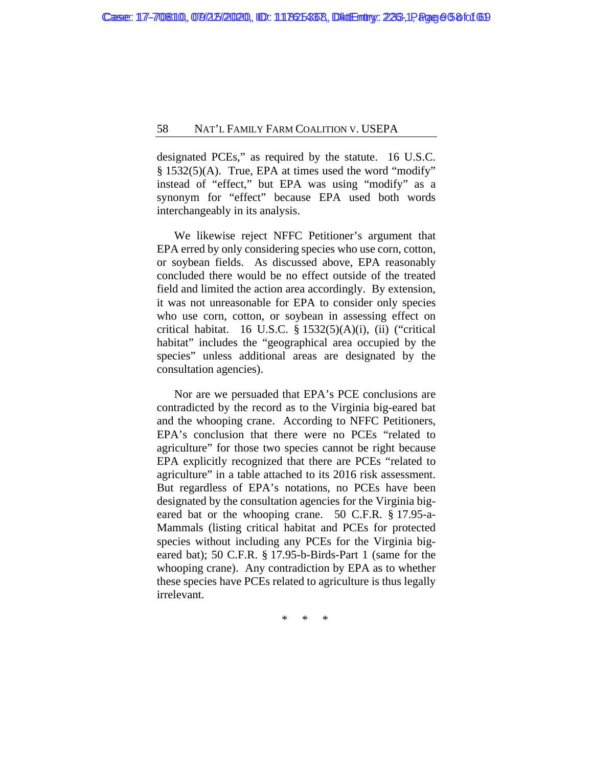designated PCEs," as required by the statute.16 U.S.C. § 1532(5)(A).True, EPA at times used the word "modify" instead of "effect," but EPA was using "modify" as a synonym for "effect" because EPA used both words interchangeably in its analysis.

We likewise reject NFFC Petitioner's argument that EPA erred by only considering species who use corn, cotton, or soybean fields. As discussed above, EPA reasonably concluded there would be no effect outside of the treated field and limited the action area accordingly. By extension, it was not unreasonable for EPA to consider only species who use corn, cotton, or soybean in assessing effect on critical habitat. 16 U.S.C. § 1532(5)(A)(i), (ii) ("critical habitat" includes the "geographical area occupied by the species" unless additional areas are designated by the consultation agencies).

Nor are we persuaded that EPA's PCE conclusions are contradicted by the record as to the Virginia big-eared bat and the whooping crane. According to NFFC Petitioners, EPA's conclusion that there were no PCEs "related to agriculture" for those two species cannot be right because EPA explicitly recognized that there are PCEs "related to agriculture" in a table attached to its 2016 risk assessment. But regardless of EPA's notations, no PCEs have been designated by the consultation agencies for the Virginia bigeared bat or the whooping crane. 50 C.F.R. § 17.95-a-Mammals (listing critical habitat and PCEs for protected species without including any PCEs for the Virginia bigeared bat); 50 C.F.R. § 17.95-b-Birds-Part 1 (same for the whooping crane). Any contradiction by EPA as to whether these species have PCEs related to agriculture is thus legally irrelevant.

\* \* \*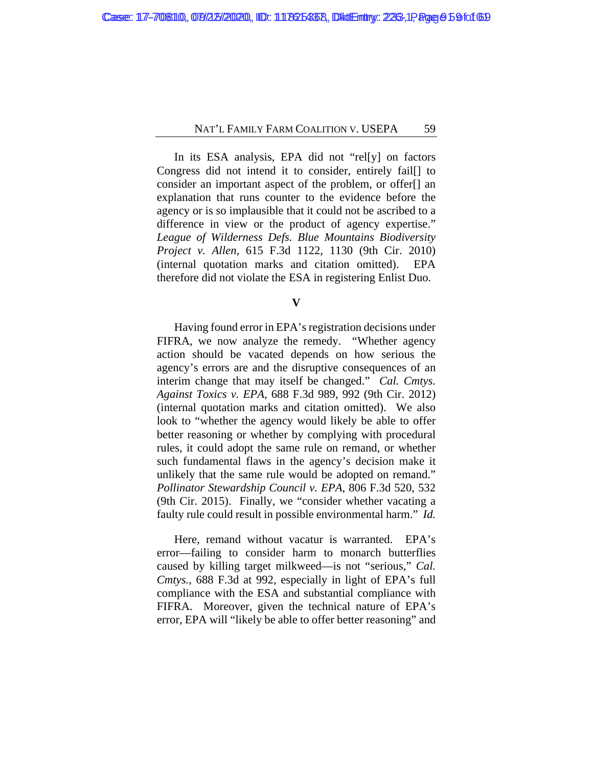In its ESA analysis, EPA did not "rel[y] on factors Congress did not intend it to consider, entirely fail[] to consider an important aspect of the problem, or offer[] an explanation that runs counter to the evidence before the agency or is so implausible that it could not be ascribed to a difference in view or the product of agency expertise." *League of Wilderness Defs. Blue Mountains Biodiversity Project v. Allen*, 615 F.3d 1122, 1130 (9th Cir. 2010) (internal quotation marks and citation omitted). EPA therefore did not violate the ESA in registering Enlist Duo.

**V**

Having found error in EPA's registration decisions under FIFRA, we now analyze the remedy. "Whether agency action should be vacated depends on how serious the agency's errors are and the disruptive consequences of an interim change that may itself be changed." *Cal. Cmtys. Against Toxics v. EPA*, 688 F.3d 989, 992 (9th Cir. 2012) (internal quotation marks and citation omitted). We also look to "whether the agency would likely be able to offer better reasoning or whether by complying with procedural rules, it could adopt the same rule on remand, or whether such fundamental flaws in the agency's decision make it unlikely that the same rule would be adopted on remand." *Pollinator Stewardship Council v. EPA*, 806 F.3d 520, 532 (9th Cir. 2015). Finally, we "consider whether vacating a faulty rule could result in possible environmental harm." *Id.*

Here, remand without vacatur is warranted. EPA's error—failing to consider harm to monarch butterflies caused by killing target milkweed—is not "serious," *Cal. Cmtys.*, 688 F.3d at 992, especially in light of EPA's full compliance with the ESA and substantial compliance with FIFRA. Moreover, given the technical nature of EPA's error, EPA will "likely be able to offer better reasoning" and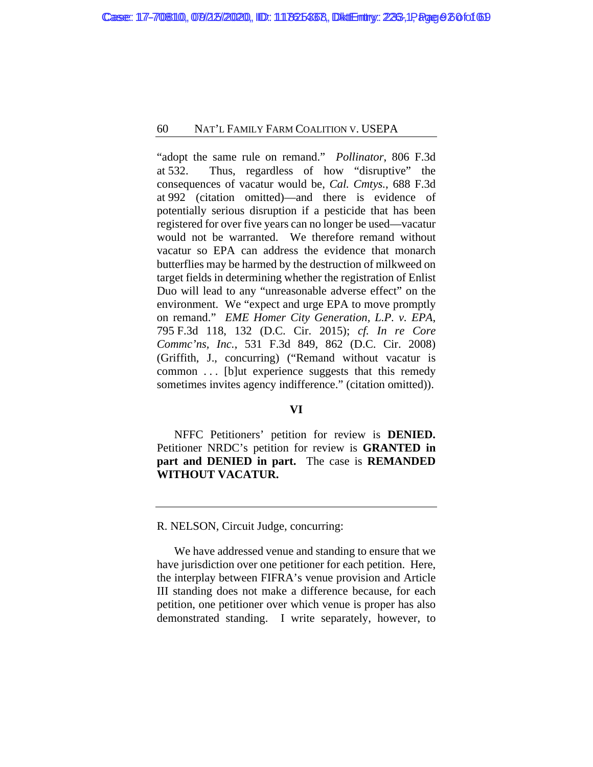"adopt the same rule on remand." *Pollinator*, 806 F.3d at 532. Thus, regardless of how "disruptive" the consequences of vacatur would be, *Cal. Cmtys.*, 688 F.3d at 992 (citation omitted)—and there is evidence of potentially serious disruption if a pesticide that has been registered for over five years can no longer be used—vacatur would not be warranted. We therefore remand without vacatur so EPA can address the evidence that monarch butterflies may be harmed by the destruction of milkweed on target fields in determining whether the registration of Enlist Duo will lead to any "unreasonable adverse effect" on the environment. We "expect and urge EPA to move promptly on remand." *EME Homer City Generation, L.P. v. EPA*, 795 F.3d 118, 132 (D.C. Cir. 2015); *cf. In re Core Commc'ns, Inc.*, 531 F.3d 849, 862 (D.C. Cir. 2008) (Griffith, J., concurring) ("Remand without vacatur is common . . . [b]ut experience suggests that this remedy sometimes invites agency indifference." (citation omitted)).

# **VI**

NFFC Petitioners' petition for review is **DENIED.**  Petitioner NRDC's petition for review is **GRANTED in part and DENIED in part.** The case is **REMANDED WITHOUT VACATUR.**

R. NELSON, Circuit Judge, concurring:

We have addressed venue and standing to ensure that we have jurisdiction over one petitioner for each petition. Here, the interplay between FIFRA's venue provision and Article III standing does not make a difference because, for each petition, one petitioner over which venue is proper has also demonstrated standing. I write separately, however, to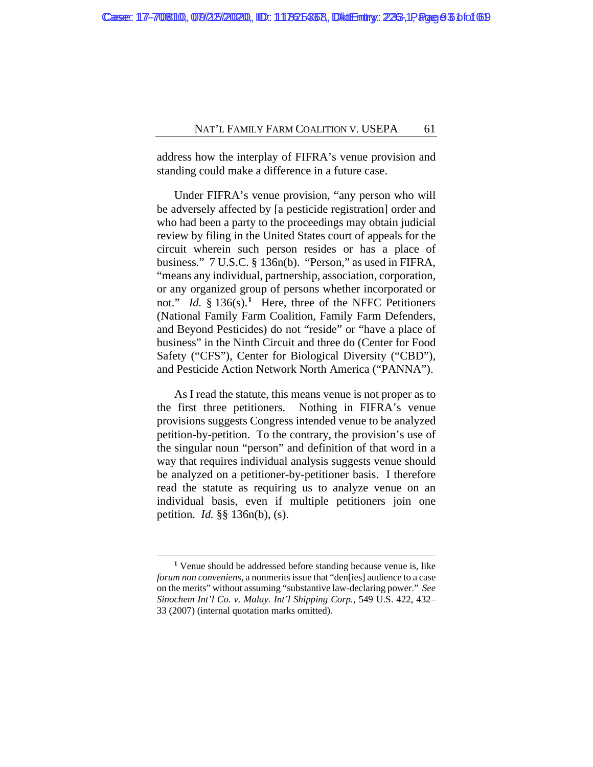address how the interplay of FIFRA's venue provision and standing could make a difference in a future case.

Under FIFRA's venue provision, "any person who will be adversely affected by [a pesticide registration] order and who had been a party to the proceedings may obtain judicial review by filing in the United States court of appeals for the circuit wherein such person resides or has a place of business." 7 U.S.C. § 136n(b). "Person," as used in FIFRA, "means any individual, partnership, association, corporation, or any organized group of persons whether incorporated or not." *Id.* § 136(s).**[1](#page-92-0)** Here, three of the NFFC Petitioners (National Family Farm Coalition, Family Farm Defenders, and Beyond Pesticides) do not "reside" or "have a place of business" in the Ninth Circuit and three do (Center for Food Safety ("CFS"), Center for Biological Diversity ("CBD"), and Pesticide Action Network North America ("PANNA").

As I read the statute, this means venue is not proper as to the first three petitioners. Nothing in FIFRA's venue provisions suggests Congress intended venue to be analyzed petition-by-petition. To the contrary, the provision's use of the singular noun "person" and definition of that word in a way that requires individual analysis suggests venue should be analyzed on a petitioner-by-petitioner basis. I therefore read the statute as requiring us to analyze venue on an individual basis, even if multiple petitioners join one petition. *Id.* §§ 136n(b), (s).

<span id="page-92-0"></span>**<sup>1</sup>** Venue should be addressed before standing because venue is, like *forum non conveniens*, a nonmerits issue that "den[ies] audience to a case on the merits" without assuming "substantive law-declaring power." *See Sinochem Int'l Co. v. Malay. Int'l Shipping Corp.*, 549 U.S. 422, 432– 33 (2007) (internal quotation marks omitted).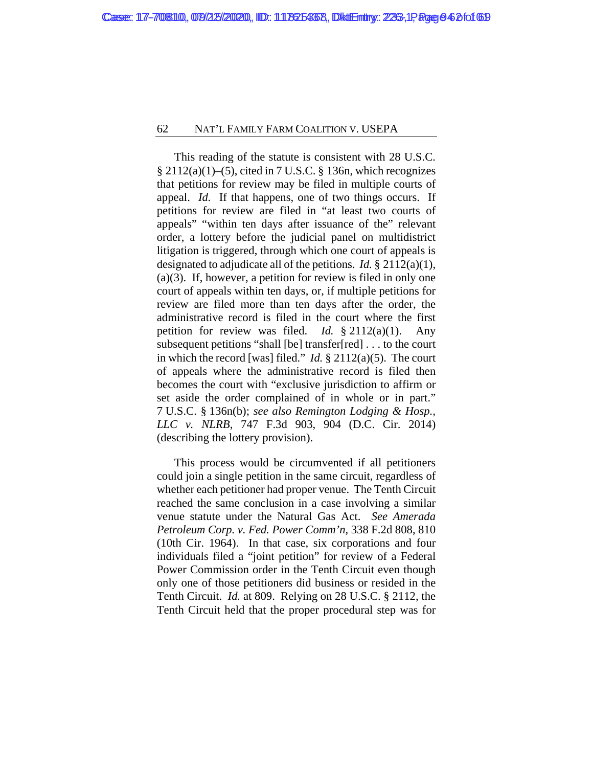This reading of the statute is consistent with 28 U.S.C.  $\S 2112(a)(1)–(5)$ , cited in 7 U.S.C. § 136n, which recognizes that petitions for review may be filed in multiple courts of appeal. *Id.* If that happens, one of two things occurs. If petitions for review are filed in "at least two courts of appeals" "within ten days after issuance of the" relevant order, a lottery before the judicial panel on multidistrict litigation is triggered, through which one court of appeals is designated to adjudicate all of the petitions. *Id.* § 2112(a)(1), (a)(3). If, however, a petition for review is filed in only one court of appeals within ten days, or, if multiple petitions for review are filed more than ten days after the order, the administrative record is filed in the court where the first petition for review was filed. *Id.* § 2112(a)(1). Any subsequent petitions "shall [be] transfer[red] . . . to the court in which the record [was] filed." *Id.* § 2112(a)(5). The court of appeals where the administrative record is filed then becomes the court with "exclusive jurisdiction to affirm or set aside the order complained of in whole or in part." 7 U.S.C. § 136n(b); *see also Remington Lodging & Hosp., LLC v. NLRB*, 747 F.3d 903, 904 (D.C. Cir. 2014) (describing the lottery provision).

This process would be circumvented if all petitioners could join a single petition in the same circuit, regardless of whether each petitioner had proper venue. The Tenth Circuit reached the same conclusion in a case involving a similar venue statute under the Natural Gas Act. *See Amerada Petroleum Corp. v. Fed. Power Comm'n*, 338 F.2d 808, 810 (10th Cir. 1964). In that case, six corporations and four individuals filed a "joint petition" for review of a Federal Power Commission order in the Tenth Circuit even though only one of those petitioners did business or resided in the Tenth Circuit. *Id.* at 809. Relying on 28 U.S.C. § 2112, the Tenth Circuit held that the proper procedural step was for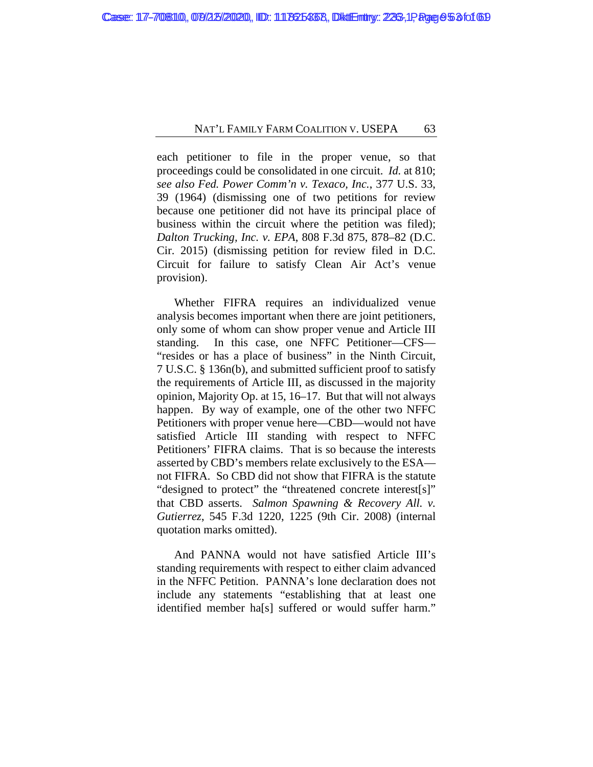each petitioner to file in the proper venue, so that proceedings could be consolidated in one circuit. *Id.* at 810; *see also Fed. Power Comm'n v. Texaco, Inc.*, 377 U.S. 33, 39 (1964) (dismissing one of two petitions for review because one petitioner did not have its principal place of business within the circuit where the petition was filed); *Dalton Trucking, Inc. v. EPA*, 808 F.3d 875, 878–82 (D.C. Cir. 2015) (dismissing petition for review filed in D.C. Circuit for failure to satisfy Clean Air Act's venue provision).

Whether FIFRA requires an individualized venue analysis becomes important when there are joint petitioners, only some of whom can show proper venue and Article III standing. In this case, one NFFC Petitioner—CFS— "resides or has a place of business" in the Ninth Circuit, 7 U.S.C. § 136n(b), and submitted sufficient proof to satisfy the requirements of Article III, as discussed in the majority opinion, Majority Op. at [15,](#page-46-0) [16–](#page-47-0)[17.](#page-48-0) But that will not always happen. By way of example, one of the other two NFFC Petitioners with proper venue here—CBD—would not have satisfied Article III standing with respect to NFFC Petitioners' FIFRA claims. That is so because the interests asserted by CBD's members relate exclusively to the ESA not FIFRA. So CBD did not show that FIFRA is the statute "designed to protect" the "threatened concrete interest[s]" that CBD asserts. *Salmon Spawning & Recovery All. v. Gutierrez*, 545 F.3d 1220, 1225 (9th Cir. 2008) (internal quotation marks omitted).

And PANNA would not have satisfied Article III's standing requirements with respect to either claim advanced in the NFFC Petition. PANNA's lone declaration does not include any statements "establishing that at least one identified member ha[s] suffered or would suffer harm."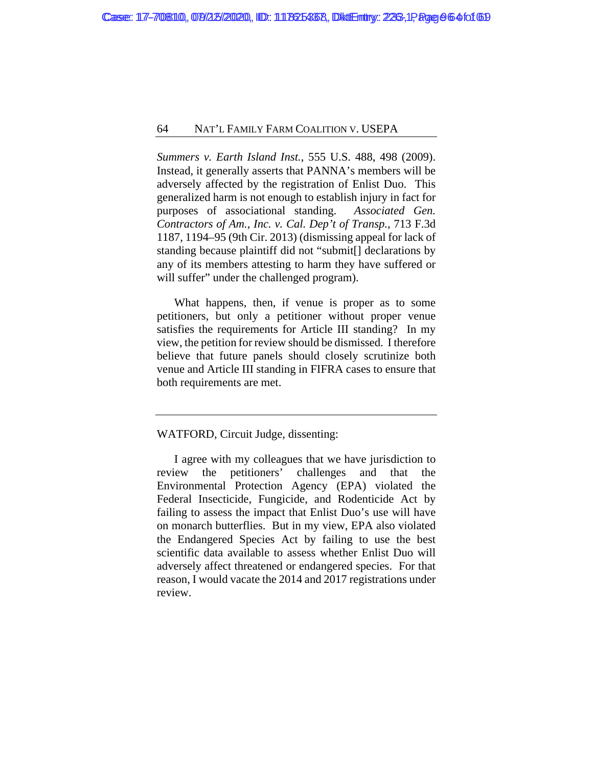*Summers v. Earth Island Inst.*, 555 U.S. 488, 498 (2009). Instead, it generally asserts that PANNA's members will be adversely affected by the registration of Enlist Duo. This generalized harm is not enough to establish injury in fact for purposes of associational standing. *Associated Gen. Contractors of Am., Inc. v. Cal. Dep't of Transp.*, 713 F.3d 1187, 1194–95 (9th Cir. 2013) (dismissing appeal for lack of standing because plaintiff did not "submit[] declarations by any of its members attesting to harm they have suffered or will suffer" under the challenged program).

What happens, then, if venue is proper as to some petitioners, but only a petitioner without proper venue satisfies the requirements for Article III standing? In my view, the petition for review should be dismissed. I therefore believe that future panels should closely scrutinize both venue and Article III standing in FIFRA cases to ensure that both requirements are met.

# WATFORD, Circuit Judge, dissenting:

I agree with my colleagues that we have jurisdiction to review the petitioners' challenges and that the Environmental Protection Agency (EPA) violated the Federal Insecticide, Fungicide, and Rodenticide Act by failing to assess the impact that Enlist Duo's use will have on monarch butterflies. But in my view, EPA also violated the Endangered Species Act by failing to use the best scientific data available to assess whether Enlist Duo will adversely affect threatened or endangered species. For that reason, I would vacate the 2014 and 2017 registrations under review.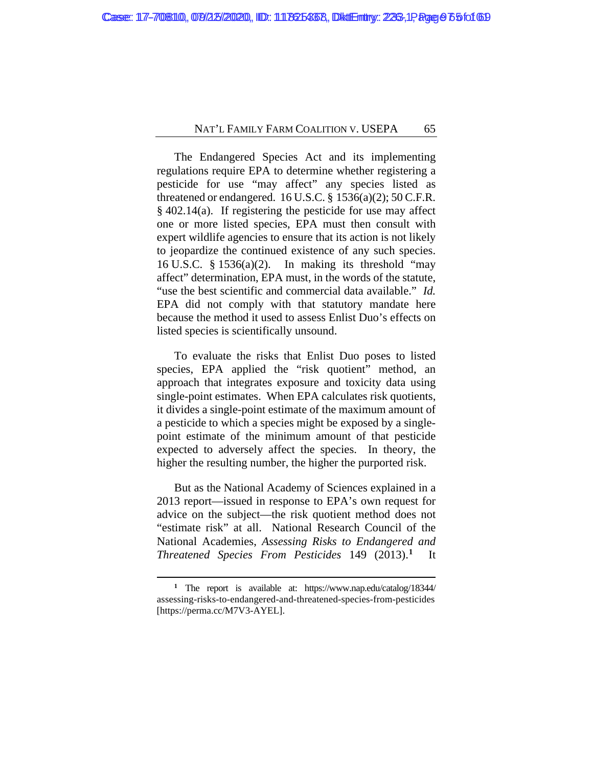The Endangered Species Act and its implementing regulations require EPA to determine whether registering a pesticide for use "may affect" any species listed as threatened or endangered.  $16$  U.S.C. §  $1536(a)(2)$ ;  $50$  C.F.R. § 402.14(a). If registering the pesticide for use may affect one or more listed species, EPA must then consult with expert wildlife agencies to ensure that its action is not likely to jeopardize the continued existence of any such species. 16 U.S.C.  $\S$  1536(a)(2). In making its threshold "may affect" determination, EPA must, in the words of the statute, "use the best scientific and commercial data available." *Id.* EPA did not comply with that statutory mandate here because the method it used to assess Enlist Duo's effects on listed species is scientifically unsound.

To evaluate the risks that Enlist Duo poses to listed species, EPA applied the "risk quotient" method, an approach that integrates exposure and toxicity data using single-point estimates. When EPA calculates risk quotients, it divides a single-point estimate of the maximum amount of a pesticide to which a species might be exposed by a singlepoint estimate of the minimum amount of that pesticide expected to adversely affect the species. In theory, the higher the resulting number, the higher the purported risk.

But as the National Academy of Sciences explained in a 2013 report—issued in response to EPA's own request for advice on the subject—the risk quotient method does not "estimate risk" at all. National Research Council of the National Academies, *Assessing Risks to Endangered and Threatened Species From Pesticides* 149 (2013).**[1](#page-96-0)** It

<span id="page-96-0"></span>**<sup>1</sup>** The report is available at: https://www.nap.edu/catalog/18344/ assessing-risks-to-endangered-and-threatened-species-from-pesticides [https://perma.cc/M7V3-AYEL].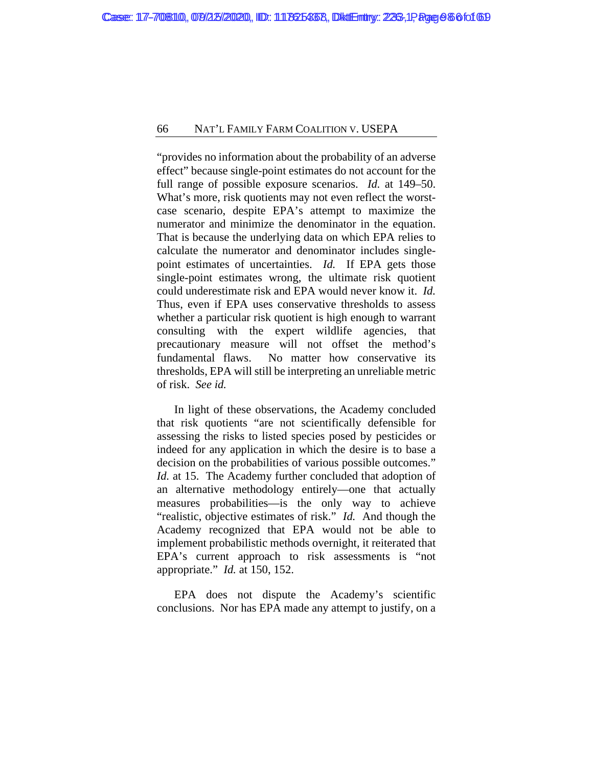"provides no information about the probability of an adverse effect" because single-point estimates do not account for the full range of possible exposure scenarios. *Id.* at 149–50. What's more, risk quotients may not even reflect the worstcase scenario, despite EPA's attempt to maximize the numerator and minimize the denominator in the equation. That is because the underlying data on which EPA relies to calculate the numerator and denominator includes singlepoint estimates of uncertainties. *Id.* If EPA gets those single-point estimates wrong, the ultimate risk quotient could underestimate risk and EPA would never know it. *Id.*  Thus, even if EPA uses conservative thresholds to assess whether a particular risk quotient is high enough to warrant consulting with the expert wildlife agencies, that precautionary measure will not offset the method's fundamental flaws. No matter how conservative its thresholds, EPA will still be interpreting an unreliable metric of risk. *See id.*

In light of these observations, the Academy concluded that risk quotients "are not scientifically defensible for assessing the risks to listed species posed by pesticides or indeed for any application in which the desire is to base a decision on the probabilities of various possible outcomes." *Id.* at 15. The Academy further concluded that adoption of an alternative methodology entirely—one that actually measures probabilities—is the only way to achieve "realistic, objective estimates of risk." *Id.* And though the Academy recognized that EPA would not be able to implement probabilistic methods overnight, it reiterated that EPA's current approach to risk assessments is "not appropriate." *Id.* at 150, 152.

EPA does not dispute the Academy's scientific conclusions. Nor has EPA made any attempt to justify, on a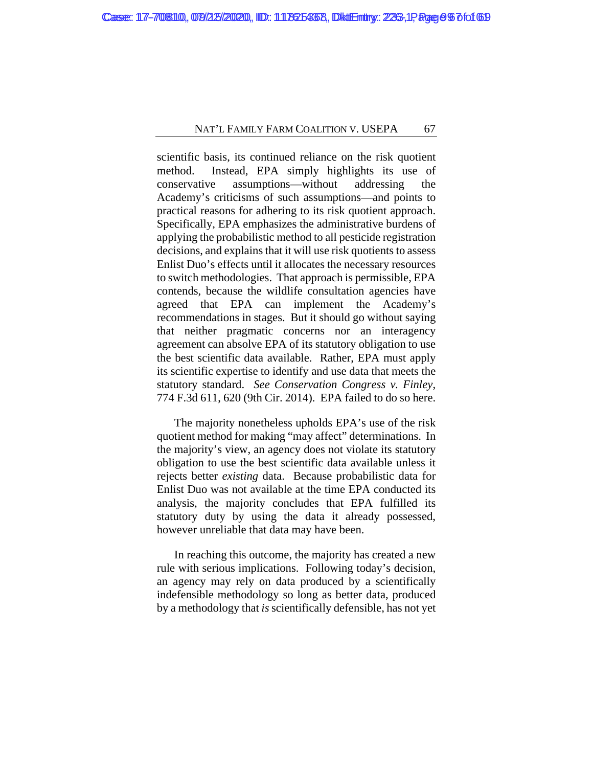scientific basis, its continued reliance on the risk quotient method. Instead, EPA simply highlights its use of conservative assumptions—without addressing the Academy's criticisms of such assumptions—and points to practical reasons for adhering to its risk quotient approach. Specifically, EPA emphasizes the administrative burdens of applying the probabilistic method to all pesticide registration decisions, and explains that it will use risk quotients to assess Enlist Duo's effects until it allocates the necessary resources to switch methodologies. That approach is permissible, EPA contends, because the wildlife consultation agencies have agreed that EPA can implement the Academy's recommendations in stages. But it should go without saying that neither pragmatic concerns nor an interagency agreement can absolve EPA of its statutory obligation to use the best scientific data available. Rather, EPA must apply its scientific expertise to identify and use data that meets the statutory standard. *See Conservation Congress v. Finley*, 774 F.3d 611, 620 (9th Cir. 2014). EPA failed to do so here.

The majority nonetheless upholds EPA's use of the risk quotient method for making "may affect" determinations. In the majority's view, an agency does not violate its statutory obligation to use the best scientific data available unless it rejects better *existing* data. Because probabilistic data for Enlist Duo was not available at the time EPA conducted its analysis, the majority concludes that EPA fulfilled its statutory duty by using the data it already possessed, however unreliable that data may have been.

In reaching this outcome, the majority has created a new rule with serious implications. Following today's decision, an agency may rely on data produced by a scientifically indefensible methodology so long as better data, produced by a methodology that *is*scientifically defensible, has not yet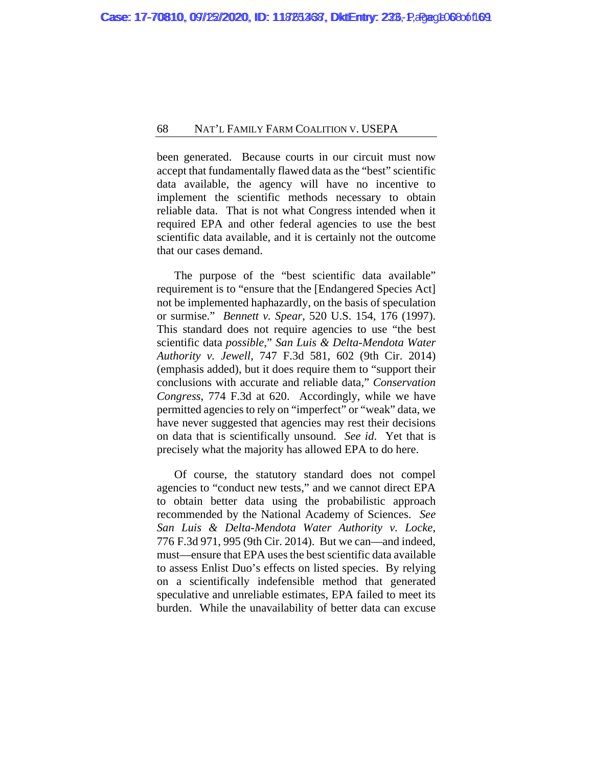been generated. Because courts in our circuit must now accept that fundamentally flawed data as the "best" scientific data available, the agency will have no incentive to implement the scientific methods necessary to obtain reliable data. That is not what Congress intended when it required EPA and other federal agencies to use the best scientific data available, and it is certainly not the outcome that our cases demand.

The purpose of the "best scientific data available" requirement is to "ensure that the [Endangered Species Act] not be implemented haphazardly, on the basis of speculation or surmise." *Bennett v. Spear*, 520 U.S. 154, 176 (1997). This standard does not require agencies to use "the best scientific data *possible*," *San Luis & Delta-Mendota Water Authority v. Jewell*, 747 F.3d 581, 602 (9th Cir. 2014) (emphasis added), but it does require them to "support their conclusions with accurate and reliable data," *Conservation Congress*, 774 F.3d at 620. Accordingly, while we have permitted agencies to rely on "imperfect" or "weak" data, we have never suggested that agencies may rest their decisions on data that is scientifically unsound. *See id*. Yet that is precisely what the majority has allowed EPA to do here.

Of course, the statutory standard does not compel agencies to "conduct new tests," and we cannot direct EPA to obtain better data using the probabilistic approach recommended by the National Academy of Sciences. *See San Luis & Delta-Mendota Water Authority v. Locke*, 776 F.3d 971, 995 (9th Cir. 2014). But we can—and indeed, must—ensure that EPA uses the best scientific data available to assess Enlist Duo's effects on listed species. By relying on a scientifically indefensible method that generated speculative and unreliable estimates, EPA failed to meet its burden. While the unavailability of better data can excuse